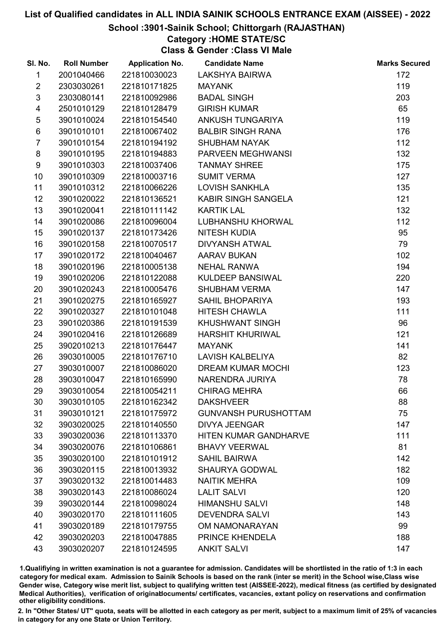### School :3901-Sainik School; Chittorgarh (RAJASTHAN)

# Category :HOME STATE/SC

Class & Gender :Class VI Male

| SI. No.          | <b>Roll Number</b> | <b>Application No.</b> | <b>Candidate Name</b>       | <b>Marks Secured</b> |
|------------------|--------------------|------------------------|-----------------------------|----------------------|
| 1                | 2001040466         | 221810030023           | LAKSHYA BAIRWA              | 172                  |
| $\overline{2}$   | 2303030261         | 221810171825           | <b>MAYANK</b>               | 119                  |
| $\mathfrak{S}$   | 2303080141         | 221810092986           | <b>BADAL SINGH</b>          | 203                  |
| 4                | 2501010129         | 221810128479           | <b>GIRISH KUMAR</b>         | 65                   |
| $\sqrt{5}$       | 3901010024         | 221810154540           | ANKUSH TUNGARIYA            | 119                  |
| 6                | 3901010101         | 221810067402           | <b>BALBIR SINGH RANA</b>    | 176                  |
| $\overline{7}$   | 3901010154         | 221810194192           | <b>SHUBHAM NAYAK</b>        | 112                  |
| 8                | 3901010195         | 221810194883           | PARVEEN MEGHWANSI           | 132                  |
| 9                | 3901010303         | 221810037406           | <b>TANMAY SHREE</b>         | 175                  |
| 10               | 3901010309         | 221810003716           | <b>SUMIT VERMA</b>          | 127                  |
| 11               | 3901010312         | 221810066226           | <b>LOVISH SANKHLA</b>       | 135                  |
| 12               | 3901020022         | 221810136521           | KABIR SINGH SANGELA         | 121                  |
| 13               | 3901020041         | 221810111142           | <b>KARTIK LAL</b>           | 132                  |
| 14               | 3901020086         | 221810096004           | <b>LUBHANSHU KHORWAL</b>    | 112                  |
| 15 <sub>15</sub> | 3901020137         | 221810173426           | <b>NITESH KUDIA</b>         | 95                   |
| 16               | 3901020158         | 221810070517           | DIVYANSH ATWAL              | 79                   |
| 17               | 3901020172         | 221810040467           | <b>AARAV BUKAN</b>          | 102                  |
| 18               | 3901020196         | 221810005138           | <b>NEHAL RANWA</b>          | 194                  |
| 19               | 3901020206         | 221810122088           | KULDEEP BANSIWAL            | 220                  |
| 20               | 3901020243         | 221810005476           | <b>SHUBHAM VERMA</b>        | 147                  |
| 21               | 3901020275         | 221810165927           | <b>SAHIL BHOPARIYA</b>      | 193                  |
| 22               | 3901020327         | 221810101048           | <b>HITESH CHAWLA</b>        | 111                  |
| 23               | 3901020386         | 221810191539           | <b>KHUSHWANT SINGH</b>      | 96                   |
| 24               | 3901020416         | 221810126689           | <b>HARSHIT KHURIWAL</b>     | 121                  |
| 25               | 3902010213         | 221810176447           | <b>MAYANK</b>               | 141                  |
| 26               | 3903010005         | 221810176710           | <b>LAVISH KALBELIYA</b>     | 82                   |
| 27               | 3903010007         | 221810086020           | <b>DREAM KUMAR MOCHI</b>    | 123                  |
| 28               | 3903010047         | 221810165990           | NARENDRA JURIYA             | 78                   |
| 29               | 3903010054         | 221810054211           | <b>CHIRAG MEHRA</b>         | 66                   |
| 30               | 3903010105         | 221810162342           | <b>DAKSHVEER</b>            | 88                   |
| 31               | 3903010121         | 221810175972           | <b>GUNVANSH PURUSHOTTAM</b> | 75                   |
| 32               | 3903020025         | 221810140550           | <b>DIVYA JEENGAR</b>        | 147                  |
| 33               | 3903020036         | 221810113370           | HITEN KUMAR GANDHARVE       | 111                  |
| 34               | 3903020076         | 221810106861           | <b>BHAVY VEERWAL</b>        | 81                   |
| 35               | 3903020100         | 221810101912           | <b>SAHIL BAIRWA</b>         | 142                  |
| 36               | 3903020115         | 221810013932           | SHAURYA GODWAL              | 182                  |
| 37               | 3903020132         | 221810014483           | <b>NAITIK MEHRA</b>         | 109                  |
| 38               | 3903020143         | 221810086024           | <b>LALIT SALVI</b>          | 120                  |
| 39               | 3903020144         | 221810098024           | <b>HIMANSHU SALVI</b>       | 148                  |
| 40               | 3903020170         | 221810111605           | <b>DEVENDRA SALVI</b>       | 143                  |
| 41               | 3903020189         | 221810179755           | OM NAMONARAYAN              | 99                   |
| 42               | 3903020203         | 221810047885           | PRINCE KHENDELA             | 188                  |
| 43               | 3903020207         | 221810124595           | <b>ANKIT SALVI</b>          | 147                  |

1.Qualifiying in written examination is not a guarantee for admission. Candidates will be shortlisted in the ratio of 1:3 in each category for medical exam. Admission to Sainik Schools is based on the rank (inter se merit) in the School wise,Class wise Gender wise, Category wise merit list, subject to qualifying written test (AISSEE-2022), medical fitness (as certified by designated Medical Authorities), verification of originablocuments/ certificates, vacancies, extant policy on reservations and confirmation other eligibility conditions.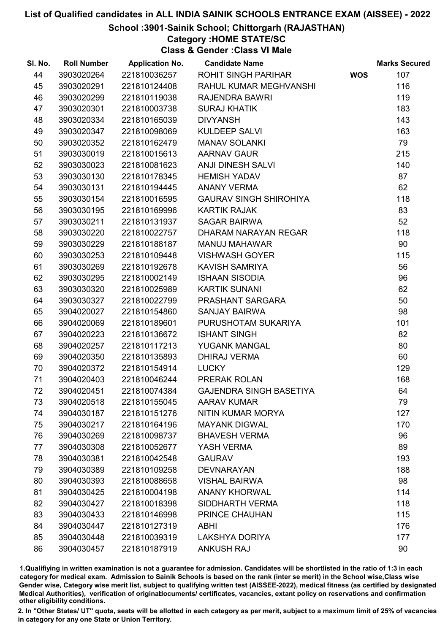### School :3901-Sainik School; Chittorgarh (RAJASTHAN)

# Category :HOME STATE/SC

Class & Gender :Class VI Male

| SI. No. | <b>Roll Number</b> | <b>Application No.</b> | <b>Candidate Name</b>          |            | <b>Marks Secured</b> |
|---------|--------------------|------------------------|--------------------------------|------------|----------------------|
| 44      | 3903020264         | 221810036257           | ROHIT SINGH PARIHAR            | <b>WOS</b> | 107                  |
| 45      | 3903020291         | 221810124408           | RAHUL KUMAR MEGHVANSHI         |            | 116                  |
| 46      | 3903020299         | 221810119038           | <b>RAJENDRA BAWRI</b>          |            | 119                  |
| 47      | 3903020301         | 221810003738           | <b>SURAJ KHATIK</b>            |            | 183                  |
| 48      | 3903020334         | 221810165039           | <b>DIVYANSH</b>                |            | 143                  |
| 49      | 3903020347         | 221810098069           | <b>KULDEEP SALVI</b>           |            | 163                  |
| 50      | 3903020352         | 221810162479           | <b>MANAV SOLANKI</b>           |            | 79                   |
| 51      | 3903030019         | 221810015613           | <b>AARNAV GAUR</b>             |            | 215                  |
| 52      | 3903030023         | 221810081623           | ANJI DINESH SALVI              |            | 140                  |
| 53      | 3903030130         | 221810178345           | <b>HEMISH YADAV</b>            |            | 87                   |
| 54      | 3903030131         | 221810194445           | <b>ANANY VERMA</b>             |            | 62                   |
| 55      | 3903030154         | 221810016595           | <b>GAURAV SINGH SHIROHIYA</b>  |            | 118                  |
| 56      | 3903030195         | 221810169996           | <b>KARTIK RAJAK</b>            |            | 83                   |
| 57      | 3903030211         | 221810131937           | <b>SAGAR BAIRWA</b>            |            | 52                   |
| 58      | 3903030220         | 221810022757           | DHARAM NARAYAN REGAR           |            | 118                  |
| 59      | 3903030229         | 221810188187           | <b>MANUJ MAHAWAR</b>           |            | 90                   |
| 60      | 3903030253         | 221810109448           | <b>VISHWASH GOYER</b>          |            | 115                  |
| 61      | 3903030269         | 221810192678           | <b>KAVISH SAMRIYA</b>          |            | 56                   |
| 62      | 3903030295         | 221810002149           | <b>ISHAAN SISODIA</b>          |            | 96                   |
| 63      | 3903030320         | 221810025989           | <b>KARTIK SUNANI</b>           |            | 62                   |
| 64      | 3903030327         | 221810022799           | PRASHANT SARGARA               |            | 50                   |
| 65      | 3904020027         | 221810154860           | <b>SANJAY BAIRWA</b>           |            | 98                   |
| 66      | 3904020069         | 221810189601           | PURUSHOTAM SUKARIYA            |            | 101                  |
| 67      | 3904020223         | 221810136672           | <b>ISHANT SINGH</b>            |            | 82                   |
| 68      | 3904020257         | 221810117213           | YUGANK MANGAL                  |            | 80                   |
| 69      | 3904020350         | 221810135893           | <b>DHIRAJ VERMA</b>            |            | 60                   |
| 70      | 3904020372         | 221810154914           | <b>LUCKY</b>                   |            | 129                  |
| 71      | 3904020403         | 221810046244           | PRERAK ROLAN                   |            | 168                  |
| 72      | 3904020451         | 221810074384           | <b>GAJENDRA SINGH BASETIYA</b> |            | 64                   |
| 73      | 3904020518         | 221810155045           | <b>AARAV KUMAR</b>             |            | 79                   |
| 74      | 3904030187         | 221810151276           | NITIN KUMAR MORYA              |            | 127                  |
| 75      | 3904030217         | 221810164196           | <b>MAYANK DIGWAL</b>           |            | 170                  |
| 76      | 3904030269         | 221810098737           | <b>BHAVESH VERMA</b>           |            | 96                   |
| 77      | 3904030308         | 221810052677           | YASH VERMA                     |            | 89                   |
| 78      | 3904030381         | 221810042548           | <b>GAURAV</b>                  |            | 193                  |
| 79      | 3904030389         | 221810109258           | <b>DEVNARAYAN</b>              |            | 188                  |
| 80      | 3904030393         | 221810088658           | <b>VISHAL BAIRWA</b>           |            | 98                   |
| 81      | 3904030425         | 221810004198           | <b>ANANY KHORWAL</b>           |            | 114                  |
| 82      | 3904030427         | 221810018398           | <b>SIDDHARTH VERMA</b>         |            | 118                  |
| 83      | 3904030433         | 221810146998           | PRINCE CHAUHAN                 |            | 115                  |
| 84      | 3904030447         | 221810127319           | <b>ABHI</b>                    |            | 176                  |
| 85      | 3904030448         | 221810039319           | LAKSHYA DORIYA                 |            | 177                  |
| 86      | 3904030457         | 221810187919           | <b>ANKUSH RAJ</b>              |            | 90                   |

1.Qualifiying in written examination is not a guarantee for admission. Candidates will be shortlisted in the ratio of 1:3 in each category for medical exam. Admission to Sainik Schools is based on the rank (inter se merit) in the School wise,Class wise Gender wise, Category wise merit list, subject to qualifying written test (AISSEE-2022), medical fitness (as certified by designated Medical Authorities), verification of originablocuments/ certificates, vacancies, extant policy on reservations and confirmation other eligibility conditions.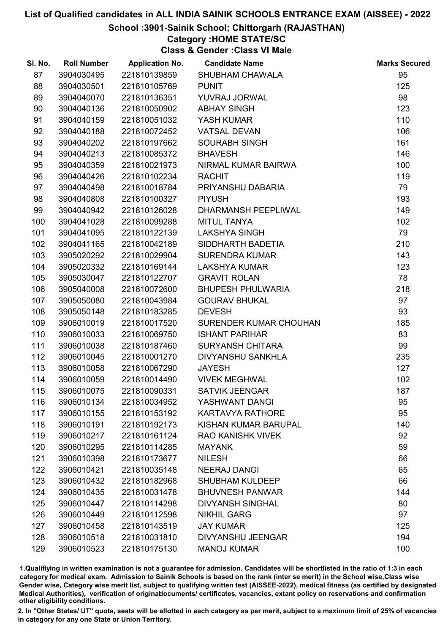#### School :3901-Sainik School; Chittorgarh (RAJASTHAN)

## Category :HOME STATE/SC

Class & Gender :Class VI Male

| SI. No. | <b>Roll Number</b> | <b>Application No.</b> | <b>Candidate Name</b>      | <b>Marks Secured</b> |
|---------|--------------------|------------------------|----------------------------|----------------------|
| 87      | 3904030495         | 221810139859           | SHUBHAM CHAWALA            | 95                   |
| 88      | 3904030501         | 221810105769           | <b>PUNIT</b>               | 125                  |
| 89      | 3904040070         | 221810136351           | YUVRAJ JORWAL              | 98                   |
| 90      | 3904040136         | 221810050902           | <b>ABHAY SINGH</b>         | 123                  |
| 91      | 3904040159         | 221810051032           | YASH KUMAR                 | 110                  |
| 92      | 3904040188         | 221810072452           | <b>VATSAL DEVAN</b>        | 106                  |
| 93      | 3904040202         | 221810197662           | <b>SOURABH SINGH</b>       | 161                  |
| 94      | 3904040213         | 221810085372           | <b>BHAVESH</b>             | 146                  |
| 95      | 3904040359         | 221810021973           | NIRMAL KUMAR BAIRWA        | 100                  |
| 96      | 3904040426         | 221810102234           | <b>RACHIT</b>              | 119                  |
| 97      | 3904040498         | 221810018784           | PRIYANSHU DABARIA          | 79                   |
| 98      | 3904040808         | 221810100327           | <b>PIYUSH</b>              | 193                  |
| 99      | 3904040942         | 221810126028           | <b>DHARMANSH PEEPLIWAL</b> | 149                  |
| 100     | 3904041028         | 221810099288           | <b>MITUL TANYA</b>         | 102                  |
| 101     | 3904041095         | 221810122139           | <b>LAKSHYA SINGH</b>       | 79                   |
| 102     | 3904041165         | 221810042189           | SIDDHARTH BADETIA          | 210                  |
| 103     | 3905020292         | 221810029904           | <b>SURENDRA KUMAR</b>      | 143                  |
| 104     | 3905020332         | 221810169144           | <b>LAKSHYA KUMAR</b>       | 123                  |
| 105     | 3905030047         | 221810122707           | <b>GRAVIT ROLAN</b>        | 78                   |
| 106     | 3905040008         | 221810072600           | <b>BHUPESH PHULWARIA</b>   | 218                  |
| 107     | 3905050080         | 221810043984           | <b>GOURAV BHUKAL</b>       | 97                   |
| 108     | 3905050148         | 221810183285           | <b>DEVESH</b>              | 93                   |
| 109     | 3906010019         | 221810017520           | SURENDER KUMAR CHOUHAN     | 185                  |
| 110     | 3906010033         | 221810069750           | <b>ISHANT PARIHAR</b>      | 83                   |
| 111     | 3906010038         | 221810187460           | <b>SURYANSH CHITARA</b>    | 99                   |
| 112     | 3906010045         | 221810001270           | <b>DIVYANSHU SANKHLA</b>   | 235                  |
| 113     | 3906010058         | 221810067290           | <b>JAYESH</b>              | 127                  |
| 114     | 3906010059         | 221810014490           | <b>VIVEK MEGHWAL</b>       | 102                  |
| 115     | 3906010075         | 221810090331           | <b>SATVIK JEENGAR</b>      | 187                  |
| 116     | 3906010134         | 221810034952           | YASHWANT DANGI             | 95                   |
| 117     | 3906010155         | 221810153192           | <b>KARTAVYA RATHORE</b>    | 95                   |
| 118     | 3906010191         | 221810192173           | KISHAN KUMAR BARUPAL       | 140                  |
| 119     | 3906010217         | 221810161124           | <b>RAO KANISHK VIVEK</b>   | 92                   |
| 120     | 3906010295         | 221810114285           | <b>MAYANK</b>              | 59                   |
| 121     | 3906010398         | 221810173677           | <b>NILESH</b>              | 66                   |
| 122     | 3906010421         | 221810035148           | <b>NEERAJ DANGI</b>        | 65                   |
| 123     | 3906010432         | 221810182968           | <b>SHUBHAM KULDEEP</b>     | 66                   |
| 124     | 3906010435         | 221810031478           | <b>BHUVNESH PANWAR</b>     | 144                  |
| 125     | 3906010447         | 221810114298           | <b>DIVYANSH SINGHAL</b>    | 80                   |
| 126     | 3906010449         | 221810112598           | <b>NIKHIL GARG</b>         | 97                   |
| 127     | 3906010458         | 221810143519           | <b>JAY KUMAR</b>           | 125                  |
| 128     | 3906010518         | 221810031810           | DIVYANSHU JEENGAR          | 194                  |
| 129     | 3906010523         | 221810175130           | <b>MANOJ KUMAR</b>         | 100                  |

1.Qualifiying in written examination is not a guarantee for admission. Candidates will be shortlisted in the ratio of 1:3 in each category for medical exam. Admission to Sainik Schools is based on the rank (inter se merit) in the School wise,Class wise Gender wise, Category wise merit list, subject to qualifying written test (AISSEE-2022), medical fitness (as certified by designated Medical Authorities), verification of originablocuments/ certificates, vacancies, extant policy on reservations and confirmation other eligibility conditions.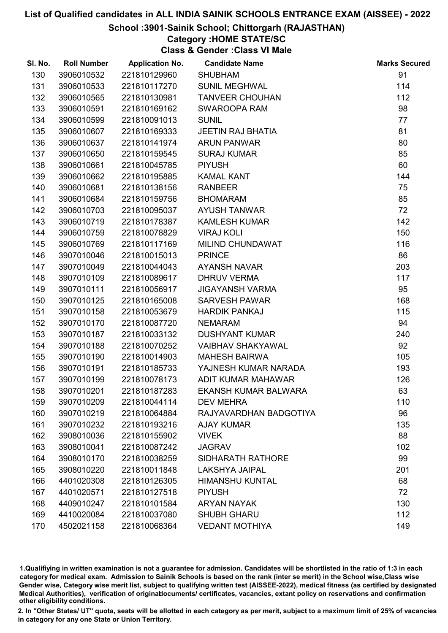## School :3901-Sainik School; Chittorgarh (RAJASTHAN)

## Category :HOME STATE/SC

Class & Gender :Class VI Male

| SI. No. | <b>Roll Number</b> | <b>Application No.</b> | <b>Candidate Name</b>       | <b>Marks Secured</b> |
|---------|--------------------|------------------------|-----------------------------|----------------------|
| 130     | 3906010532         | 221810129960           | <b>SHUBHAM</b>              | 91                   |
| 131     | 3906010533         | 221810117270           | <b>SUNIL MEGHWAL</b>        | 114                  |
| 132     | 3906010565         | 221810130981           | <b>TANVEER CHOUHAN</b>      | 112                  |
| 133     | 3906010591         | 221810169162           | SWAROOPA RAM                | 98                   |
| 134     | 3906010599         | 221810091013           | <b>SUNIL</b>                | 77                   |
| 135     | 3906010607         | 221810169333           | <b>JEETIN RAJ BHATIA</b>    | 81                   |
| 136     | 3906010637         | 221810141974           | <b>ARUN PANWAR</b>          | 80                   |
| 137     | 3906010650         | 221810159545           | <b>SURAJ KUMAR</b>          | 85                   |
| 138     | 3906010661         | 221810045785           | <b>PIYUSH</b>               | 60                   |
| 139     | 3906010662         | 221810195885           | <b>KAMAL KANT</b>           | 144                  |
| 140     | 3906010681         | 221810138156           | <b>RANBEER</b>              | 75                   |
| 141     | 3906010684         | 221810159756           | <b>BHOMARAM</b>             | 85                   |
| 142     | 3906010703         | 221810095037           | <b>AYUSH TANWAR</b>         | 72                   |
| 143     | 3906010719         | 221810178387           | <b>KAMLESH KUMAR</b>        | 142                  |
| 144     | 3906010759         | 221810078829           | <b>VIRAJ KOLI</b>           | 150                  |
| 145     | 3906010769         | 221810117169           | MILIND CHUNDAWAT            | 116                  |
| 146     | 3907010046         | 221810015013           | <b>PRINCE</b>               | 86                   |
| 147     | 3907010049         | 221810044043           | <b>AYANSH NAVAR</b>         | 203                  |
| 148     | 3907010109         | 221810089617           | <b>DHRUV VERMA</b>          | 117                  |
| 149     | 3907010111         | 221810056917           | <b>JIGAYANSH VARMA</b>      | 95                   |
| 150     | 3907010125         | 221810165008           | <b>SARVESH PAWAR</b>        | 168                  |
| 151     | 3907010158         | 221810053679           | <b>HARDIK PANKAJ</b>        | 115                  |
| 152     | 3907010170         | 221810087720           | <b>NEMARAM</b>              | 94                   |
| 153     | 3907010187         | 221810033132           | <b>DUSHYANT KUMAR</b>       | 240                  |
| 154     | 3907010188         | 221810070252           | <b>VAIBHAV SHAKYAWAL</b>    | 92                   |
| 155     | 3907010190         | 221810014903           | <b>MAHESH BAIRWA</b>        | 105                  |
| 156     | 3907010191         | 221810185733           | YAJNESH KUMAR NARADA        | 193                  |
| 157     | 3907010199         | 221810078173           | ADIT KUMAR MAHAWAR          | 126                  |
| 158     | 3907010201         | 221810187283           | <b>EKANSH KUMAR BALWARA</b> | 63                   |
| 159     | 3907010209         | 221810044114           | <b>DEV MEHRA</b>            | 110                  |
| 160     | 3907010219         | 221810064884           | RAJYAVARDHAN BADGOTIYA      | 96                   |
| 161     | 3907010232         | 221810193216           | <b>AJAY KUMAR</b>           | 135                  |
| 162     | 3908010036         | 221810155902           | <b>VIVEK</b>                | 88                   |
| 163     | 3908010041         | 221810087242           | <b>JAGRAV</b>               | 102                  |
| 164     | 3908010170         | 221810038259           | <b>SIDHARATH RATHORE</b>    | 99                   |
| 165     | 3908010220         | 221810011848           | <b>LAKSHYA JAIPAL</b>       | 201                  |
| 166     | 4401020308         | 221810126305           | <b>HIMANSHU KUNTAL</b>      | 68                   |
| 167     | 4401020571         | 221810127518           | <b>PIYUSH</b>               | 72                   |
| 168     | 4409010247         | 221810101584           | <b>ARYAN NAYAK</b>          | 130                  |
| 169     | 4410020084         | 221810037080           | <b>SHUBH GHARU</b>          | 112                  |
| 170     | 4502021158         | 221810068364           | <b>VEDANT MOTHIYA</b>       | 149                  |

1.Qualifiying in written examination is not a guarantee for admission. Candidates will be shortlisted in the ratio of 1:3 in each category for medical exam. Admission to Sainik Schools is based on the rank (inter se merit) in the School wise,Class wise Gender wise, Category wise merit list, subject to qualifying written test (AISSEE-2022), medical fitness (as certified by designated Medical Authorities), verification of originablocuments/ certificates, vacancies, extant policy on reservations and confirmation other eligibility conditions.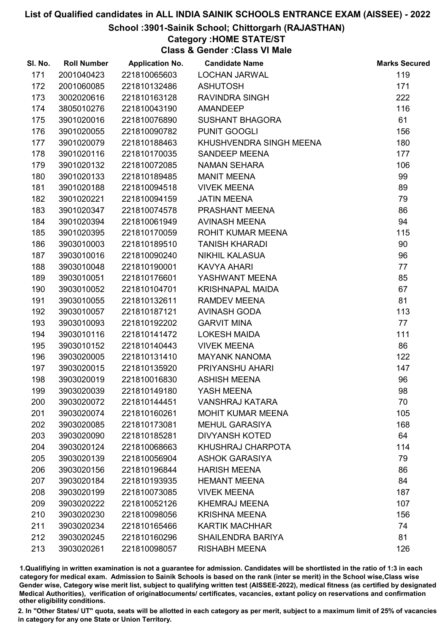School :3901-Sainik School; Chittorgarh (RAJASTHAN)

## Category :HOME STATE/ST

Class & Gender :Class VI Male

| SI. No. | <b>Roll Number</b> | <b>Application No.</b> | <b>Candidate Name</b>    | <b>Marks Secured</b> |
|---------|--------------------|------------------------|--------------------------|----------------------|
| 171     | 2001040423         | 221810065603           | <b>LOCHAN JARWAL</b>     | 119                  |
| 172     | 2001060085         | 221810132486           | <b>ASHUTOSH</b>          | 171                  |
| 173     | 3002020616         | 221810163128           | <b>RAVINDRA SINGH</b>    | 222                  |
| 174     | 3805010276         | 221810043190           | <b>AMANDEEP</b>          | 116                  |
| 175     | 3901020016         | 221810076890           | <b>SUSHANT BHAGORA</b>   | 61                   |
| 176     | 3901020055         | 221810090782           | PUNIT GOOGLI             | 156                  |
| 177     | 3901020079         | 221810188463           | KHUSHVENDRA SINGH MEENA  | 180                  |
| 178     | 3901020116         | 221810170035           | SANDEEP MEENA            | 177                  |
| 179     | 3901020132         | 221810072085           | <b>NAMAN SEHARA</b>      | 106                  |
| 180     | 3901020133         | 221810189485           | <b>MANIT MEENA</b>       | 99                   |
| 181     | 3901020188         | 221810094518           | <b>VIVEK MEENA</b>       | 89                   |
| 182     | 3901020221         | 221810094159           | <b>JATIN MEENA</b>       | 79                   |
| 183     | 3901020347         | 221810074578           | PRASHANT MEENA           | 86                   |
| 184     | 3901020394         | 221810061949           | <b>AVINASH MEENA</b>     | 94                   |
| 185     | 3901020395         | 221810170059           | ROHIT KUMAR MEENA        | 115                  |
| 186     | 3903010003         | 221810189510           | <b>TANISH KHARADI</b>    | 90                   |
| 187     | 3903010016         | 221810090240           | <b>NIKHIL KALASUA</b>    | 96                   |
| 188     | 3903010048         | 221810190001           | <b>KAVYA AHARI</b>       | 77                   |
| 189     | 3903010051         | 221810176601           | YASHWANT MEENA           | 85                   |
| 190     | 3903010052         | 221810104701           | <b>KRISHNAPAL MAIDA</b>  | 67                   |
| 191     | 3903010055         | 221810132611           | <b>RAMDEV MEENA</b>      | 81                   |
| 192     | 3903010057         | 221810187121           | <b>AVINASH GODA</b>      | 113                  |
| 193     | 3903010093         | 221810192202           | <b>GARVIT MINA</b>       | 77                   |
| 194     | 3903010116         | 221810141472           | <b>LOKESH MAIDA</b>      | 111                  |
| 195     | 3903010152         | 221810140443           | <b>VIVEK MEENA</b>       | 86                   |
| 196     | 3903020005         | 221810131410           | <b>MAYANK NANOMA</b>     | 122                  |
| 197     | 3903020015         | 221810135920           | PRIYANSHU AHARI          | 147                  |
| 198     | 3903020019         | 221810016830           | <b>ASHISH MEENA</b>      | 96                   |
| 199     | 3903020039         | 221810149180           | YASH MEENA               | 98                   |
| 200     | 3903020072         | 221810144451           | <b>VANSHRAJ KATARA</b>   | 70                   |
| 201     | 3903020074         | 221810160261           | <b>MOHIT KUMAR MEENA</b> | 105                  |
| 202     | 3903020085         | 221810173081           | <b>MEHUL GARASIYA</b>    | 168                  |
| 203     | 3903020090         | 221810185281           | <b>DIVYANSH KOTED</b>    | 64                   |
| 204     | 3903020124         | 221810068663           | KHUSHRAJ CHARPOTA        | 114                  |
| 205     | 3903020139         | 221810056904           | <b>ASHOK GARASIYA</b>    | 79                   |
| 206     | 3903020156         | 221810196844           | <b>HARISH MEENA</b>      | 86                   |
| 207     | 3903020184         | 221810193935           | <b>HEMANT MEENA</b>      | 84                   |
| 208     | 3903020199         | 221810073085           | <b>VIVEK MEENA</b>       | 187                  |
| 209     | 3903020222         | 221810052126           | <b>KHEMRAJ MEENA</b>     | 107                  |
| 210     | 3903020230         | 221810098056           | <b>KRISHNA MEENA</b>     | 156                  |
| 211     | 3903020234         | 221810165466           | <b>KARTIK MACHHAR</b>    | 74                   |
| 212     | 3903020245         | 221810160296           | SHAILENDRA BARIYA        | 81                   |
| 213     | 3903020261         | 221810098057           | <b>RISHABH MEENA</b>     | 126                  |

1.Qualifiying in written examination is not a guarantee for admission. Candidates will be shortlisted in the ratio of 1:3 in each category for medical exam. Admission to Sainik Schools is based on the rank (inter se merit) in the School wise,Class wise Gender wise, Category wise merit list, subject to qualifying written test (AISSEE-2022), medical fitness (as certified by designated Medical Authorities), verification of originablocuments/ certificates, vacancies, extant policy on reservations and confirmation other eligibility conditions.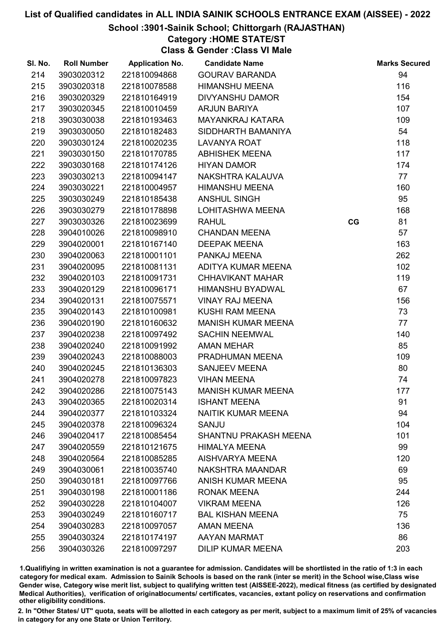## School :3901-Sainik School; Chittorgarh (RAJASTHAN)

## Category :HOME STATE/ST

Class & Gender :Class VI Male

| SI. No. | <b>Roll Number</b> | <b>Application No.</b> | <b>Candidate Name</b>        |    | <b>Marks Secured</b> |
|---------|--------------------|------------------------|------------------------------|----|----------------------|
| 214     | 3903020312         | 221810094868           | <b>GOURAV BARANDA</b>        |    | 94                   |
| 215     | 3903020318         | 221810078588           | <b>HIMANSHU MEENA</b>        |    | 116                  |
| 216     | 3903020329         | 221810164919           | <b>DIVYANSHU DAMOR</b>       |    | 154                  |
| 217     | 3903020345         | 221810010459           | <b>ARJUN BARIYA</b>          |    | 107                  |
| 218     | 3903030038         | 221810193463           | MAYANKRAJ KATARA             |    | 109                  |
| 219     | 3903030050         | 221810182483           | SIDDHARTH BAMANIYA           |    | 54                   |
| 220     | 3903030124         | 221810020235           | <b>LAVANYA ROAT</b>          |    | 118                  |
| 221     | 3903030150         | 221810170785           | <b>ABHISHEK MEENA</b>        |    | 117                  |
| 222     | 3903030168         | 221810174126           | <b>HIYAN DAMOR</b>           |    | 174                  |
| 223     | 3903030213         | 221810094147           | NAKSHTRA KALAUVA             |    | 77                   |
| 224     | 3903030221         | 221810004957           | <b>HIMANSHU MEENA</b>        |    | 160                  |
| 225     | 3903030249         | 221810185438           | <b>ANSHUL SINGH</b>          |    | 95                   |
| 226     | 3903030279         | 221810178898           | LOHITASHWA MEENA             |    | 168                  |
| 227     | 3903030326         | 221810023699           | <b>RAHUL</b>                 | CG | 81                   |
| 228     | 3904010026         | 221810098910           | <b>CHANDAN MEENA</b>         |    | 57                   |
| 229     | 3904020001         | 221810167140           | <b>DEEPAK MEENA</b>          |    | 163                  |
| 230     | 3904020063         | 221810001101           | PANKAJ MEENA                 |    | 262                  |
| 231     | 3904020095         | 221810081131           | ADITYA KUMAR MEENA           |    | 102                  |
| 232     | 3904020103         | 221810091731           | <b>CHHAVIKANT MAHAR</b>      |    | 119                  |
| 233     | 3904020129         | 221810096171           | HIMANSHU BYADWAL             |    | 67                   |
| 234     | 3904020131         | 221810075571           | <b>VINAY RAJ MEENA</b>       |    | 156                  |
| 235     | 3904020143         | 221810100981           | KUSHI RAM MEENA              |    | 73                   |
| 236     | 3904020190         | 221810160632           | <b>MANISH KUMAR MEENA</b>    |    | 77                   |
| 237     | 3904020238         | 221810097492           | <b>SACHIN NEEMWAL</b>        |    | 140                  |
| 238     | 3904020240         | 221810091992           | <b>AMAN MEHAR</b>            |    | 85                   |
| 239     | 3904020243         | 221810088003           | PRADHUMAN MEENA              |    | 109                  |
| 240     | 3904020245         | 221810136303           | <b>SANJEEV MEENA</b>         |    | 80                   |
| 241     | 3904020278         | 221810097823           | <b>VIHAN MEENA</b>           |    | 74                   |
| 242     | 3904020286         | 221810075143           | <b>MANISH KUMAR MEENA</b>    |    | 177                  |
| 243     | 3904020365         | 221810020314           | <b>ISHANT MEENA</b>          |    | 91                   |
| 244     | 3904020377         | 221810103324           | NAITIK KUMAR MEENA           |    | 94                   |
| 245     | 3904020378         | 221810096324           | SANJU                        |    | 104                  |
| 246     | 3904020417         | 221810085454           | <b>SHANTNU PRAKASH MEENA</b> |    | 101                  |
| 247     | 3904020559         | 221810121675           | <b>HIMALYA MEENA</b>         |    | 99                   |
| 248     | 3904020564         | 221810085285           | AISHVARYA MEENA              |    | 120                  |
| 249     | 3904030061         | 221810035740           | NAKSHTRA MAANDAR             |    | 69                   |
| 250     | 3904030181         | 221810097766           | ANISH KUMAR MEENA            |    | 95                   |
| 251     | 3904030198         | 221810001186           | <b>RONAK MEENA</b>           |    | 244                  |
| 252     | 3904030228         | 221810104007           | <b>VIKRAM MEENA</b>          |    | 126                  |
| 253     | 3904030249         | 221810160717           | <b>BAL KISHAN MEENA</b>      |    | 75                   |
| 254     | 3904030283         | 221810097057           | <b>AMAN MEENA</b>            |    | 136                  |
| 255     | 3904030324         | 221810174197           | AAYAN MARMAT                 |    | 86                   |
| 256     | 3904030326         | 221810097297           | <b>DILIP KUMAR MEENA</b>     |    | 203                  |

1.Qualifiying in written examination is not a guarantee for admission. Candidates will be shortlisted in the ratio of 1:3 in each category for medical exam. Admission to Sainik Schools is based on the rank (inter se merit) in the School wise,Class wise Gender wise, Category wise merit list, subject to qualifying written test (AISSEE-2022), medical fitness (as certified by designated Medical Authorities), verification of originablocuments/ certificates, vacancies, extant policy on reservations and confirmation other eligibility conditions.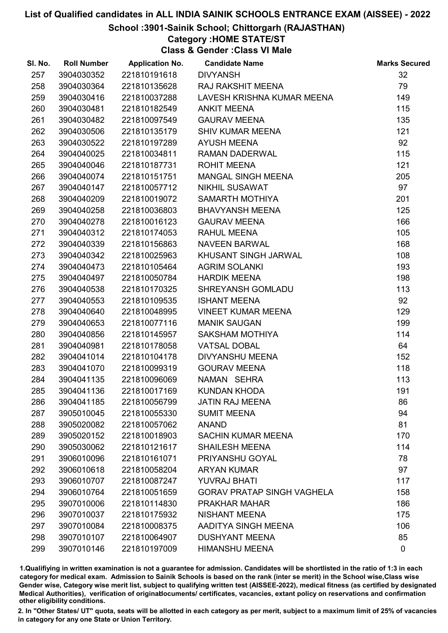## School :3901-Sainik School; Chittorgarh (RAJASTHAN)

## Category :HOME STATE/ST

Class & Gender :Class VI Male

| SI. No. | <b>Roll Number</b> | <b>Application No.</b> | <b>Candidate Name</b>             | <b>Marks Secured</b> |
|---------|--------------------|------------------------|-----------------------------------|----------------------|
| 257     | 3904030352         | 221810191618           | <b>DIVYANSH</b>                   | 32                   |
| 258     | 3904030364         | 221810135628           | <b>RAJ RAKSHIT MEENA</b>          | 79                   |
| 259     | 3904030416         | 221810037288           | LAVESH KRISHNA KUMAR MEENA        | 149                  |
| 260     | 3904030481         | 221810182549           | <b>ANKIT MEENA</b>                | 115                  |
| 261     | 3904030482         | 221810097549           | <b>GAURAV MEENA</b>               | 135                  |
| 262     | 3904030506         | 221810135179           | <b>SHIV KUMAR MEENA</b>           | 121                  |
| 263     | 3904030522         | 221810197289           | <b>AYUSH MEENA</b>                | 92                   |
| 264     | 3904040025         | 221810034811           | RAMAN DADERWAL                    | 115                  |
| 265     | 3904040046         | 221810187731           | <b>ROHIT MEENA</b>                | 121                  |
| 266     | 3904040074         | 221810151751           | <b>MANGAL SINGH MEENA</b>         | 205                  |
| 267     | 3904040147         | 221810057712           | <b>NIKHIL SUSAWAT</b>             | 97                   |
| 268     | 3904040209         | 221810019072           | SAMARTH MOTHIYA                   | 201                  |
| 269     | 3904040258         | 221810036803           | <b>BHAVYANSH MEENA</b>            | 125                  |
| 270     | 3904040278         | 221810016123           | <b>GAURAV MEENA</b>               | 166                  |
| 271     | 3904040312         | 221810174053           | <b>RAHUL MEENA</b>                | 105                  |
| 272     | 3904040339         | 221810156863           | <b>NAVEEN BARWAL</b>              | 168                  |
| 273     | 3904040342         | 221810025963           | KHUSANT SINGH JARWAL              | 108                  |
| 274     | 3904040473         | 221810105464           | <b>AGRIM SOLANKI</b>              | 193                  |
| 275     | 3904040497         | 221810050784           | <b>HARDIK MEENA</b>               | 198                  |
| 276     | 3904040538         | 221810170325           | SHREYANSH GOMLADU                 | 113                  |
| 277     | 3904040553         | 221810109535           | <b>ISHANT MEENA</b>               | 92                   |
| 278     | 3904040640         | 221810048995           | <b>VINEET KUMAR MEENA</b>         | 129                  |
| 279     | 3904040653         | 221810077116           | <b>MANIK SAUGAN</b>               | 199                  |
| 280     | 3904040856         | 221810145957           | SAKSHAM MOTHIYA                   | 114                  |
| 281     | 3904040981         | 221810178058           | <b>VATSAL DOBAL</b>               | 64                   |
| 282     | 3904041014         | 221810104178           | <b>DIVYANSHU MEENA</b>            | 152                  |
| 283     | 3904041070         | 221810099319           | <b>GOURAV MEENA</b>               | 118                  |
| 284     | 3904041135         | 221810096069           | NAMAN SEHRA                       | 113                  |
| 285     | 3904041136         | 221810017169           | <b>KUNDAN KHODA</b>               | 191                  |
| 286     | 3904041185         | 221810056799           | <b>JATIN RAJ MEENA</b>            | 86                   |
| 287     | 3905010045         | 221810055330           | <b>SUMIT MEENA</b>                | 94                   |
| 288     | 3905020082         | 221810057062           | <b>ANAND</b>                      | 81                   |
| 289     | 3905020152         | 221810018903           | <b>SACHIN KUMAR MEENA</b>         | 170                  |
| 290     | 3905030062         | 221810121617           | <b>SHAILESH MEENA</b>             | 114                  |
| 291     | 3906010096         | 221810161071           | PRIYANSHU GOYAL                   | 78                   |
| 292     | 3906010618         | 221810058204           | <b>ARYAN KUMAR</b>                | 97                   |
| 293     | 3906010707         | 221810087247           | <b>YUVRAJ BHATI</b>               | 117                  |
| 294     | 3906010764         | 221810051659           | <b>GORAV PRATAP SINGH VAGHELA</b> | 158                  |
| 295     | 3907010006         | 221810114830           | <b>PRAKHAR MAHAR</b>              | 186                  |
| 296     | 3907010037         | 221810175932           | <b>NISHANT MEENA</b>              | 175                  |
| 297     | 3907010084         | 221810008375           | AADITYA SINGH MEENA               | 106                  |
| 298     | 3907010107         | 221810064907           | <b>DUSHYANT MEENA</b>             | 85                   |
| 299     | 3907010146         | 221810197009           | <b>HIMANSHU MEENA</b>             | $\mathbf 0$          |

1.Qualifiying in written examination is not a guarantee for admission. Candidates will be shortlisted in the ratio of 1:3 in each category for medical exam. Admission to Sainik Schools is based on the rank (inter se merit) in the School wise,Class wise Gender wise, Category wise merit list, subject to qualifying written test (AISSEE-2022), medical fitness (as certified by designated Medical Authorities), verification of originablocuments/ certificates, vacancies, extant policy on reservations and confirmation other eligibility conditions.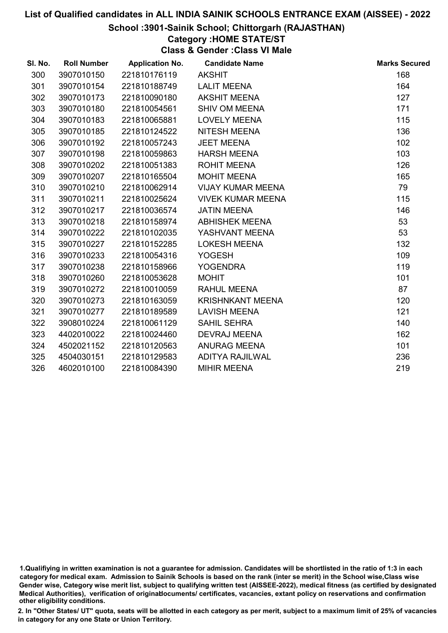#### School :3901-Sainik School; Chittorgarh (RAJASTHAN)

## Category :HOME STATE/ST

Class & Gender :Class VI Male

| SI. No. | <b>Roll Number</b> | <b>Application No.</b> | <b>Candidate Name</b>    | <b>Marks Secured</b> |
|---------|--------------------|------------------------|--------------------------|----------------------|
| 300     | 3907010150         | 221810176119           | <b>AKSHIT</b>            | 168                  |
| 301     | 3907010154         | 221810188749           | <b>LALIT MEENA</b>       | 164                  |
| 302     | 3907010173         | 221810090180           | <b>AKSHIT MEENA</b>      | 127                  |
| 303     | 3907010180         | 221810054561           | <b>SHIV OM MEENA</b>     | 171                  |
| 304     | 3907010183         | 221810065881           | <b>LOVELY MEENA</b>      | 115                  |
| 305     | 3907010185         | 221810124522           | NITESH MEENA             | 136                  |
| 306     | 3907010192         | 221810057243           | <b>JEET MEENA</b>        | 102                  |
| 307     | 3907010198         | 221810059863           | <b>HARSH MEENA</b>       | 103                  |
| 308     | 3907010202         | 221810051383           | <b>ROHIT MEENA</b>       | 126                  |
| 309     | 3907010207         | 221810165504           | <b>MOHIT MEENA</b>       | 165                  |
| 310     | 3907010210         | 221810062914           | <b>VIJAY KUMAR MEENA</b> | 79                   |
| 311     | 3907010211         | 221810025624           | <b>VIVEK KUMAR MEENA</b> | 115                  |
| 312     | 3907010217         | 221810036574           | <b>JATIN MEENA</b>       | 146                  |
| 313     | 3907010218         | 221810158974           | <b>ABHISHEK MEENA</b>    | 53                   |
| 314     | 3907010222         | 221810102035           | YASHVANT MEENA           | 53                   |
| 315     | 3907010227         | 221810152285           | <b>LOKESH MEENA</b>      | 132                  |
| 316     | 3907010233         | 221810054316           | <b>YOGESH</b>            | 109                  |
| 317     | 3907010238         | 221810158966           | <b>YOGENDRA</b>          | 119                  |
| 318     | 3907010260         | 221810053628           | <b>MOHIT</b>             | 101                  |
| 319     | 3907010272         | 221810010059           | <b>RAHUL MEENA</b>       | 87                   |
| 320     | 3907010273         | 221810163059           | <b>KRISHNKANT MEENA</b>  | 120                  |
| 321     | 3907010277         | 221810189589           | <b>LAVISH MEENA</b>      | 121                  |
| 322     | 3908010224         | 221810061129           | <b>SAHIL SEHRA</b>       | 140                  |
| 323     | 4402010022         | 221810024460           | <b>DEVRAJ MEENA</b>      | 162                  |
| 324     | 4502021152         | 221810120563           | ANURAG MEENA             | 101                  |
| 325     | 4504030151         | 221810129583           | <b>ADITYA RAJILWAL</b>   | 236                  |
| 326     | 4602010100         | 221810084390           | <b>MIHIR MEENA</b>       | 219                  |

<sup>1.</sup>Qualifiying in written examination is not a guarantee for admission. Candidates will be shortlisted in the ratio of 1:3 in each category for medical exam. Admission to Sainik Schools is based on the rank (inter se merit) in the School wise,Class wise Gender wise, Category wise merit list, subject to qualifying written test (AISSEE-2022), medical fitness (as certified by designated Medical Authorities), verification of originablocuments/ certificates, vacancies, extant policy on reservations and confirmation other eligibility conditions.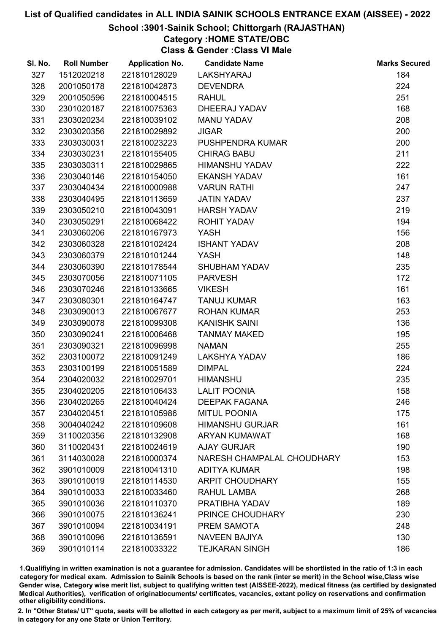## School :3901-Sainik School; Chittorgarh (RAJASTHAN)

# Category :HOME STATE/OBC

Class & Gender :Class VI Male

| SI. No. | <b>Roll Number</b> | <b>Application No.</b> | <b>Candidate Name</b>      | <b>Marks Secured</b> |
|---------|--------------------|------------------------|----------------------------|----------------------|
| 327     | 1512020218         | 221810128029           | LAKSHYARAJ                 | 184                  |
| 328     | 2001050178         | 221810042873           | <b>DEVENDRA</b>            | 224                  |
| 329     | 2001050596         | 221810004515           | <b>RAHUL</b>               | 251                  |
| 330     | 2301020187         | 221810075363           | DHEERAJ YADAV              | 168                  |
| 331     | 2303020234         | 221810039102           | <b>MANU YADAV</b>          | 208                  |
| 332     | 2303020356         | 221810029892           | <b>JIGAR</b>               | 200                  |
| 333     | 2303030031         | 221810023223           | PUSHPENDRA KUMAR           | 200                  |
| 334     | 2303030231         | 221810155405           | <b>CHIRAG BABU</b>         | 211                  |
| 335     | 2303030311         | 221810029865           | HIMANSHU YADAV             | 222                  |
| 336     | 2303040146         | 221810154050           | <b>EKANSH YADAV</b>        | 161                  |
| 337     | 2303040434         | 221810000988           | <b>VARUN RATHI</b>         | 247                  |
| 338     | 2303040495         | 221810113659           | <b>JATIN YADAV</b>         | 237                  |
| 339     | 2303050210         | 221810043091           | <b>HARSH YADAV</b>         | 219                  |
| 340     | 2303050291         | 221810068422           | <b>ROHIT YADAV</b>         | 194                  |
| 341     | 2303060206         | 221810167973           | <b>YASH</b>                | 156                  |
| 342     | 2303060328         | 221810102424           | <b>ISHANT YADAV</b>        | 208                  |
| 343     | 2303060379         | 221810101244           | <b>YASH</b>                | 148                  |
| 344     | 2303060390         | 221810178544           | <b>SHUBHAM YADAV</b>       | 235                  |
| 345     | 2303070056         | 221810071105           | <b>PARVESH</b>             | 172                  |
| 346     | 2303070246         | 221810133665           | <b>VIKESH</b>              | 161                  |
| 347     | 2303080301         | 221810164747           | <b>TANUJ KUMAR</b>         | 163                  |
| 348     | 2303090013         | 221810067677           | <b>ROHAN KUMAR</b>         | 253                  |
| 349     | 2303090078         | 221810099308           | <b>KANISHK SAINI</b>       | 136                  |
| 350     | 2303090241         | 221810006468           | <b>TANMAY MAKED</b>        | 195                  |
| 351     | 2303090321         | 221810096998           | <b>NAMAN</b>               | 255                  |
| 352     | 2303100072         | 221810091249           | <b>LAKSHYA YADAV</b>       | 186                  |
| 353     | 2303100199         | 221810051589           | <b>DIMPAL</b>              | 224                  |
| 354     | 2304020032         | 221810029701           | <b>HIMANSHU</b>            | 235                  |
| 355     | 2304020205         | 221810106433           | <b>LALIT POONIA</b>        | 158                  |
| 356     | 2304020265         | 221810040424           | <b>DEEPAK FAGANA</b>       | 246                  |
| 357     | 2304020451         | 221810105986           | <b>MITUL POONIA</b>        | 175                  |
| 358     | 3004040242         | 221810109608           | <b>HIMANSHU GURJAR</b>     | 161                  |
| 359     | 3110020356         | 221810132908           | <b>ARYAN KUMAWAT</b>       | 168                  |
| 360     | 3110020431         | 221810024619           | <b>AJAY GURJAR</b>         | 190                  |
| 361     | 3114030028         | 221810000374           | NARESH CHAMPALAL CHOUDHARY | 153                  |
| 362     | 3901010009         | 221810041310           | <b>ADITYA KUMAR</b>        | 198                  |
| 363     | 3901010019         | 221810114530           | <b>ARPIT CHOUDHARY</b>     | 155                  |
| 364     | 3901010033         | 221810033460           | RAHUL LAMBA                | 268                  |
| 365     | 3901010036         | 221810110370           | PRATIBHA YADAV             | 189                  |
| 366     | 3901010075         | 221810136241           | PRINCE CHOUDHARY           | 230                  |
| 367     | 3901010094         | 221810034191           | PREM SAMOTA                | 248                  |
| 368     | 3901010096         | 221810136591           | <b>NAVEEN BAJIYA</b>       | 130                  |
| 369     | 3901010114         | 221810033322           | <b>TEJKARAN SINGH</b>      | 186                  |

1.Qualifiying in written examination is not a guarantee for admission. Candidates will be shortlisted in the ratio of 1:3 in each category for medical exam. Admission to Sainik Schools is based on the rank (inter se merit) in the School wise,Class wise Gender wise, Category wise merit list, subject to qualifying written test (AISSEE-2022), medical fitness (as certified by designated Medical Authorities), verification of originablocuments/ certificates, vacancies, extant policy on reservations and confirmation other eligibility conditions.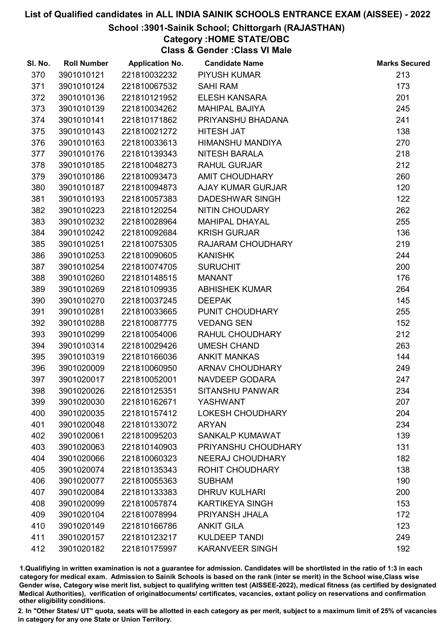## School :3901-Sainik School; Chittorgarh (RAJASTHAN)

## Category :HOME STATE/OBC

Class & Gender :Class VI Male

| SI. No. | <b>Roll Number</b> | <b>Application No.</b> | <b>Candidate Name</b>    | <b>Marks Secured</b> |
|---------|--------------------|------------------------|--------------------------|----------------------|
| 370     | 3901010121         | 221810032232           | <b>PIYUSH KUMAR</b>      | 213                  |
| 371     | 3901010124         | 221810067532           | <b>SAHI RAM</b>          | 173                  |
| 372     | 3901010136         | 221810121952           | <b>ELESH KANSARA</b>     | 201                  |
| 373     | 3901010139         | 221810034262           | <b>MAHIPAL BAJIYA</b>    | 245                  |
| 374     | 3901010141         | 221810171862           | PRIYANSHU BHADANA        | 241                  |
| 375     | 3901010143         | 221810021272           | <b>HITESH JAT</b>        | 138                  |
| 376     | 3901010163         | 221810033613           | <b>HIMANSHU MANDIYA</b>  | 270                  |
| 377     | 3901010176         | 221810139343           | <b>NITESH BARALA</b>     | 218                  |
| 378     | 3901010185         | 221810048273           | <b>RAHUL GURJAR</b>      | 212                  |
| 379     | 3901010186         | 221810093473           | <b>AMIT CHOUDHARY</b>    | 260                  |
| 380     | 3901010187         | 221810094873           | <b>AJAY KUMAR GURJAR</b> | 120                  |
| 381     | 3901010193         | 221810057383           | <b>DADESHWAR SINGH</b>   | 122                  |
| 382     | 3901010223         | 221810120254           | NITIN CHOUDARY           | 262                  |
| 383     | 3901010232         | 221810028964           | <b>MAHIPAL DHAYAL</b>    | 255                  |
| 384     | 3901010242         | 221810092684           | <b>KRISH GURJAR</b>      | 136                  |
| 385     | 3901010251         | 221810075305           | RAJARAM CHOUDHARY        | 219                  |
| 386     | 3901010253         | 221810090605           | <b>KANISHK</b>           | 244                  |
| 387     | 3901010254         | 221810074705           | <b>SURUCHIT</b>          | 200                  |
| 388     | 3901010260         | 221810148515           | <b>MANANT</b>            | 176                  |
| 389     | 3901010269         | 221810109935           | <b>ABHISHEK KUMAR</b>    | 264                  |
| 390     | 3901010270         | 221810037245           | <b>DEEPAK</b>            | 145                  |
| 391     | 3901010281         | 221810033665           | PUNIT CHOUDHARY          | 255                  |
| 392     | 3901010288         | 221810087775           | <b>VEDANG SEN</b>        | 152                  |
| 393     | 3901010299         | 221810054006           | RAHUL CHOUDHARY          | 212                  |
| 394     | 3901010314         | 221810029426           | <b>UMESH CHAND</b>       | 263                  |
| 395     | 3901010319         | 221810166036           | <b>ANKIT MANKAS</b>      | 144                  |
| 396     | 3901020009         | 221810060950           | <b>ARNAV CHOUDHARY</b>   | 249                  |
| 397     | 3901020017         | 221810052001           | NAVDEEP GODARA           | 247                  |
| 398     | 3901020026         | 221810125351           | <b>SITANSHU PANWAR</b>   | 234                  |
| 399     | 3901020030         | 221810162671           | <b>YASHWANT</b>          | 207                  |
| 400     | 3901020035         | 221810157412           | <b>LOKESH CHOUDHARY</b>  | 204                  |
| 401     | 3901020048         | 221810133072           | <b>ARYAN</b>             | 234                  |
| 402     | 3901020061         | 221810095203           | SANKALP KUMAWAT          | 139                  |
| 403     | 3901020063         | 221810140903           | PRIYANSHU CHOUDHARY      | 131                  |
| 404     | 3901020066         | 221810060323           | <b>NEERAJ CHOUDHARY</b>  | 182                  |
| 405     | 3901020074         | 221810135343           | <b>ROHIT CHOUDHARY</b>   | 138                  |
| 406     | 3901020077         | 221810055363           | <b>SUBHAM</b>            | 190                  |
| 407     | 3901020084         | 221810133383           | <b>DHRUV KULHARI</b>     | 200                  |
| 408     | 3901020099         | 221810057874           | <b>KARTIKEYA SINGH</b>   | 153                  |
| 409     | 3901020104         | 221810078994           | PRIYANSH JHALA           | 172                  |
| 410     | 3901020149         | 221810166786           | <b>ANKIT GILA</b>        | 123                  |
| 411     | 3901020157         | 221810123217           | <b>KULDEEP TANDI</b>     | 249                  |
| 412     | 3901020182         | 221810175997           | <b>KARANVEER SINGH</b>   | 192                  |

1.Qualifiying in written examination is not a guarantee for admission. Candidates will be shortlisted in the ratio of 1:3 in each category for medical exam. Admission to Sainik Schools is based on the rank (inter se merit) in the School wise,Class wise Gender wise, Category wise merit list, subject to qualifying written test (AISSEE-2022), medical fitness (as certified by designated Medical Authorities), verification of originablocuments/ certificates, vacancies, extant policy on reservations and confirmation other eligibility conditions.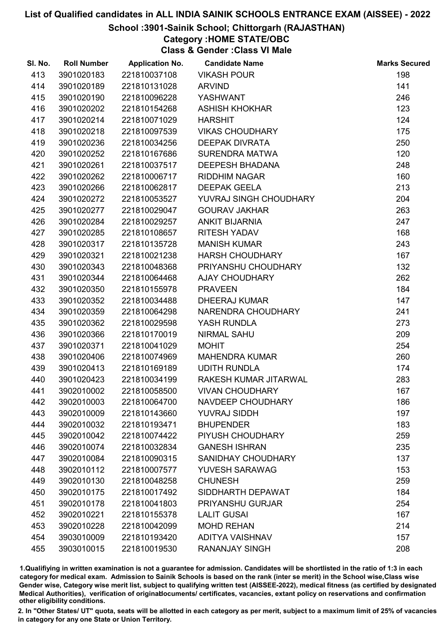### School :3901-Sainik School; Chittorgarh (RAJASTHAN)

Category :HOME STATE/OBC

Class & Gender :Class VI Male

| SI. No. | <b>Roll Number</b> | <b>Application No.</b> | <b>Candidate Name</b>     | <b>Marks Secured</b> |
|---------|--------------------|------------------------|---------------------------|----------------------|
| 413     | 3901020183         | 221810037108           | <b>VIKASH POUR</b>        | 198                  |
| 414     | 3901020189         | 221810131028           | <b>ARVIND</b>             | 141                  |
| 415     | 3901020190         | 221810096228           | YASHWANT                  | 246                  |
| 416     | 3901020202         | 221810154268           | <b>ASHISH KHOKHAR</b>     | 123                  |
| 417     | 3901020214         | 221810071029           | <b>HARSHIT</b>            | 124                  |
| 418     | 3901020218         | 221810097539           | <b>VIKAS CHOUDHARY</b>    | 175                  |
| 419     | 3901020236         | 221810034256           | <b>DEEPAK DIVRATA</b>     | 250                  |
| 420     | 3901020252         | 221810167686           | SURENDRA MATWA            | 120                  |
| 421     | 3901020261         | 221810037517           | <b>DEEPESH BHADANA</b>    | 248                  |
| 422     | 3901020262         | 221810006717           | <b>RIDDHIM NAGAR</b>      | 160                  |
| 423     | 3901020266         | 221810062817           | <b>DEEPAK GEELA</b>       | 213                  |
| 424     | 3901020272         | 221810053527           | YUVRAJ SINGH CHOUDHARY    | 204                  |
| 425     | 3901020277         | 221810029047           | <b>GOURAV JAKHAR</b>      | 263                  |
| 426     | 3901020284         | 221810029257           | <b>ANKIT BIJARNIA</b>     | 247                  |
| 427     | 3901020285         | 221810108657           | RITESH YADAV              | 168                  |
| 428     | 3901020317         | 221810135728           | <b>MANISH KUMAR</b>       | 243                  |
| 429     | 3901020321         | 221810021238           | <b>HARSH CHOUDHARY</b>    | 167                  |
| 430     | 3901020343         | 221810048368           | PRIYANSHU CHOUDHARY       | 132                  |
| 431     | 3901020344         | 221810064468           | <b>AJAY CHOUDHARY</b>     | 262                  |
| 432     | 3901020350         | 221810155978           | <b>PRAVEEN</b>            | 184                  |
| 433     | 3901020352         | 221810034488           | <b>DHEERAJ KUMAR</b>      | 147                  |
| 434     | 3901020359         | 221810064298           | NARENDRA CHOUDHARY        | 241                  |
| 435     | 3901020362         | 221810029598           | YASH RUNDLA               | 273                  |
| 436     | 3901020366         | 221810170019           | <b>NIRMAL SAHU</b>        | 209                  |
| 437     | 3901020371         | 221810041029           | <b>MOHIT</b>              | 254                  |
| 438     | 3901020406         | 221810074969           | <b>MAHENDRA KUMAR</b>     | 260                  |
| 439     | 3901020413         | 221810169189           | <b>UDITH RUNDLA</b>       | 174                  |
| 440     | 3901020423         | 221810034199           | RAKESH KUMAR JITARWAL     | 283                  |
| 441     | 3902010002         | 221810058500           | <b>VIVAN CHOUDHARY</b>    | 167                  |
| 442     | 3902010003         | 221810064700           | <b>NAVDEEP CHOUDHARY</b>  | 186                  |
| 443     | 3902010009         | 221810143660           | <b>YUVRAJ SIDDH</b>       | 197                  |
| 444     | 3902010032         | 221810193471           | <b>BHUPENDER</b>          | 183                  |
| 445     | 3902010042         | 221810074422           | PIYUSH CHOUDHARY          | 259                  |
| 446     | 3902010074         | 221810032834           | <b>GANESH ISHRAN</b>      | 235                  |
| 447     | 3902010084         | 221810090315           | <b>SANIDHAY CHOUDHARY</b> | 137                  |
| 448     | 3902010112         | 221810007577           | <b>YUVESH SARAWAG</b>     | 153                  |
| 449     | 3902010130         | 221810048258           | <b>CHUNESH</b>            | 259                  |
| 450     | 3902010175         | 221810017492           | SIDDHARTH DEPAWAT         | 184                  |
| 451     | 3902010178         | 221810041803           | PRIYANSHU GURJAR          | 254                  |
| 452     | 3902010221         | 221810155378           | <b>LALIT GUSAI</b>        | 167                  |
| 453     | 3902010228         | 221810042099           | <b>MOHD REHAN</b>         | 214                  |
| 454     | 3903010009         | 221810193420           | <b>ADITYA VAISHNAV</b>    | 157                  |
| 455     | 3903010015         | 221810019530           | <b>RANANJAY SINGH</b>     | 208                  |

1.Qualifiying in written examination is not a guarantee for admission. Candidates will be shortlisted in the ratio of 1:3 in each category for medical exam. Admission to Sainik Schools is based on the rank (inter se merit) in the School wise,Class wise Gender wise, Category wise merit list, subject to qualifying written test (AISSEE-2022), medical fitness (as certified by designated Medical Authorities), verification of originablocuments/ certificates, vacancies, extant policy on reservations and confirmation other eligibility conditions.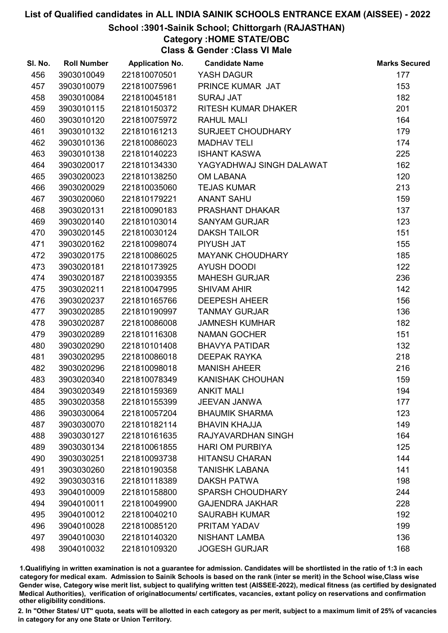## School :3901-Sainik School; Chittorgarh (RAJASTHAN)

## Category :HOME STATE/OBC

Class & Gender :Class VI Male

| SI. No. | <b>Roll Number</b> | <b>Application No.</b> | <b>Candidate Name</b>      | <b>Marks Secured</b> |
|---------|--------------------|------------------------|----------------------------|----------------------|
| 456     | 3903010049         | 221810070501           | YASH DAGUR                 | 177                  |
| 457     | 3903010079         | 221810075961           | PRINCE KUMAR JAT           | 153                  |
| 458     | 3903010084         | 221810045181           | <b>SURAJ JAT</b>           | 182                  |
| 459     | 3903010115         | 221810150372           | <b>RITESH KUMAR DHAKER</b> | 201                  |
| 460     | 3903010120         | 221810075972           | <b>RAHUL MALI</b>          | 164                  |
| 461     | 3903010132         | 221810161213           | <b>SURJEET CHOUDHARY</b>   | 179                  |
| 462     | 3903010136         | 221810086023           | <b>MADHAV TELI</b>         | 174                  |
| 463     | 3903010138         | 221810140223           | <b>ISHANT KASWA</b>        | 225                  |
| 464     | 3903020017         | 221810134330           | YAGYADHWAJ SINGH DALAWAT   | 162                  |
| 465     | 3903020023         | 221810138250           | <b>OM LABANA</b>           | 120                  |
| 466     | 3903020029         | 221810035060           | <b>TEJAS KUMAR</b>         | 213                  |
| 467     | 3903020060         | 221810179221           | <b>ANANT SAHU</b>          | 159                  |
| 468     | 3903020131         | 221810090183           | <b>PRASHANT DHAKAR</b>     | 137                  |
| 469     | 3903020140         | 221810103014           | <b>SANYAM GURJAR</b>       | 123                  |
| 470     | 3903020145         | 221810030124           | <b>DAKSH TAILOR</b>        | 151                  |
| 471     | 3903020162         | 221810098074           | PIYUSH JAT                 | 155                  |
| 472     | 3903020175         | 221810086025           | <b>MAYANK CHOUDHARY</b>    | 185                  |
| 473     | 3903020181         | 221810173925           | <b>AYUSH DOODI</b>         | 122                  |
| 474     | 3903020187         | 221810039355           | <b>MAHESH GURJAR</b>       | 236                  |
| 475     | 3903020211         | 221810047995           | <b>SHIVAM AHIR</b>         | 142                  |
| 476     | 3903020237         | 221810165766           | <b>DEEPESH AHEER</b>       | 156                  |
| 477     | 3903020285         | 221810190997           | <b>TANMAY GURJAR</b>       | 136                  |
| 478     | 3903020287         | 221810086008           | <b>JAMNESH KUMHAR</b>      | 182                  |
| 479     | 3903020289         | 221810116308           | <b>NAMAN GOCHER</b>        | 151                  |
| 480     | 3903020290         | 221810101408           | <b>BHAVYA PATIDAR</b>      | 132                  |
| 481     | 3903020295         | 221810086018           | <b>DEEPAK RAYKA</b>        | 218                  |
| 482     | 3903020296         | 221810098018           | <b>MANISH AHEER</b>        | 216                  |
| 483     | 3903020340         | 221810078349           | <b>KANISHAK CHOUHAN</b>    | 159                  |
| 484     | 3903020349         | 221810159369           | <b>ANKIT MALI</b>          | 194                  |
| 485     | 3903020358         | 221810155399           | <b>JEEVAN JANWA</b>        | 177                  |
| 486     | 3903030064         | 221810057204           | <b>BHAUMIK SHARMA</b>      | 123                  |
| 487     | 3903030070         | 221810182114           | <b>BHAVIN KHAJJA</b>       | 149                  |
| 488     | 3903030127         | 221810161635           | RAJYAVARDHAN SINGH         | 164                  |
| 489     | 3903030134         | 221810061855           | <b>HARI OM PURBIYA</b>     | 125                  |
| 490     | 3903030251         | 221810093738           | <b>HITANSU CHARAN</b>      | 144                  |
| 491     | 3903030260         | 221810190358           | <b>TANISHK LABANA</b>      | 141                  |
| 492     | 3903030316         | 221810118389           | <b>DAKSH PATWA</b>         | 198                  |
| 493     | 3904010009         | 221810158800           | <b>SPARSH CHOUDHARY</b>    | 244                  |
| 494     | 3904010011         | 221810049900           | <b>GAJENDRA JAKHAR</b>     | 228                  |
| 495     | 3904010012         | 221810040210           | <b>SAURABH KUMAR</b>       | 192                  |
| 496     | 3904010028         | 221810085120           | PRITAM YADAV               | 199                  |
| 497     | 3904010030         | 221810140320           | <b>NISHANT LAMBA</b>       | 136                  |
| 498     | 3904010032         | 221810109320           | <b>JOGESH GURJAR</b>       | 168                  |

1.Qualifiying in written examination is not a guarantee for admission. Candidates will be shortlisted in the ratio of 1:3 in each category for medical exam. Admission to Sainik Schools is based on the rank (inter se merit) in the School wise,Class wise Gender wise, Category wise merit list, subject to qualifying written test (AISSEE-2022), medical fitness (as certified by designated Medical Authorities), verification of originablocuments/ certificates, vacancies, extant policy on reservations and confirmation other eligibility conditions.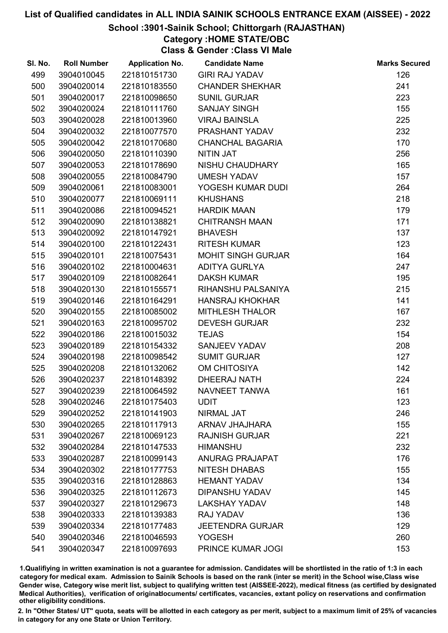## School :3901-Sainik School; Chittorgarh (RAJASTHAN)

## Category :HOME STATE/OBC

Class & Gender :Class VI Male

| SI. No. | <b>Roll Number</b> | <b>Application No.</b> | <b>Candidate Name</b>     | <b>Marks Secured</b> |
|---------|--------------------|------------------------|---------------------------|----------------------|
| 499     | 3904010045         | 221810151730           | <b>GIRI RAJ YADAV</b>     | 126                  |
| 500     | 3904020014         | 221810183550           | <b>CHANDER SHEKHAR</b>    | 241                  |
| 501     | 3904020017         | 221810098650           | <b>SUNIL GURJAR</b>       | 223                  |
| 502     | 3904020024         | 221810111760           | <b>SANJAY SINGH</b>       | 155                  |
| 503     | 3904020028         | 221810013960           | <b>VIRAJ BAINSLA</b>      | 225                  |
| 504     | 3904020032         | 221810077570           | PRASHANT YADAV            | 232                  |
| 505     | 3904020042         | 221810170680           | <b>CHANCHAL BAGARIA</b>   | 170                  |
| 506     | 3904020050         | 221810110390           | <b>NITIN JAT</b>          | 256                  |
| 507     | 3904020053         | 221810178690           | NISHU CHAUDHARY           | 165                  |
| 508     | 3904020055         | 221810084790           | <b>UMESH YADAV</b>        | 157                  |
| 509     | 3904020061         | 221810083001           | YOGESH KUMAR DUDI         | 264                  |
| 510     | 3904020077         | 221810069111           | <b>KHUSHANS</b>           | 218                  |
| 511     | 3904020086         | 221810094521           | <b>HARDIK MAAN</b>        | 179                  |
| 512     | 3904020090         | 221810138821           | <b>CHITRANSH MAAN</b>     | 171                  |
| 513     | 3904020092         | 221810147921           | <b>BHAVESH</b>            | 137                  |
| 514     | 3904020100         | 221810122431           | <b>RITESH KUMAR</b>       | 123                  |
| 515     | 3904020101         | 221810075431           | <b>MOHIT SINGH GURJAR</b> | 164                  |
| 516     | 3904020102         | 221810004631           | <b>ADITYA GURLYA</b>      | 247                  |
| 517     | 3904020109         | 221810082641           | <b>DAKSH KUMAR</b>        | 195                  |
| 518     | 3904020130         | 221810155571           | RIHANSHU PALSANIYA        | 215                  |
| 519     | 3904020146         | 221810164291           | <b>HANSRAJ KHOKHAR</b>    | 141                  |
| 520     | 3904020155         | 221810085002           | <b>MITHLESH THALOR</b>    | 167                  |
| 521     | 3904020163         | 221810095702           | <b>DEVESH GURJAR</b>      | 232                  |
| 522     | 3904020186         | 221810015032           | <b>TEJAS</b>              | 154                  |
| 523     | 3904020189         | 221810154332           | SANJEEV YADAV             | 208                  |
| 524     | 3904020198         | 221810098542           | <b>SUMIT GURJAR</b>       | 127                  |
| 525     | 3904020208         | 221810132062           | <b>OM CHITOSIYA</b>       | 142                  |
| 526     | 3904020237         | 221810148392           | <b>DHEERAJ NATH</b>       | 224                  |
| 527     | 3904020239         | 221810064592           | NAVNEET TANWA             | 161                  |
| 528     | 3904020246         | 221810175403           | <b>UDIT</b>               | 123                  |
| 529     | 3904020252         | 221810141903           | <b>NIRMAL JAT</b>         | 246                  |
| 530     | 3904020265         | 221810117913           | <b>ARNAV JHAJHARA</b>     | 155                  |
| 531     | 3904020267         | 221810069123           | <b>RAJNISH GURJAR</b>     | 221                  |
| 532     | 3904020284         | 221810147533           | <b>HIMANSHU</b>           | 232                  |
| 533     | 3904020287         | 221810099143           | <b>ANURAG PRAJAPAT</b>    | 176                  |
| 534     | 3904020302         | 221810177753           | <b>NITESH DHABAS</b>      | 155                  |
| 535     | 3904020316         | 221810128863           | <b>HEMANT YADAV</b>       | 134                  |
| 536     | 3904020325         | 221810112673           | <b>DIPANSHU YADAV</b>     | 145                  |
| 537     | 3904020327         | 221810129673           | <b>LAKSHAY YADAV</b>      | 148                  |
| 538     | 3904020333         | 221810139383           | RAJ YADAV                 | 136                  |
| 539     | 3904020334         | 221810177483           | <b>JEETENDRA GURJAR</b>   | 129                  |
| 540     | 3904020346         | 221810046593           | <b>YOGESH</b>             | 260                  |
| 541     | 3904020347         | 221810097693           | PRINCE KUMAR JOGI         | 153                  |

1.Qualifiying in written examination is not a guarantee for admission. Candidates will be shortlisted in the ratio of 1:3 in each category for medical exam. Admission to Sainik Schools is based on the rank (inter se merit) in the School wise,Class wise Gender wise, Category wise merit list, subject to qualifying written test (AISSEE-2022), medical fitness (as certified by designated Medical Authorities), verification of originablocuments/ certificates, vacancies, extant policy on reservations and confirmation other eligibility conditions.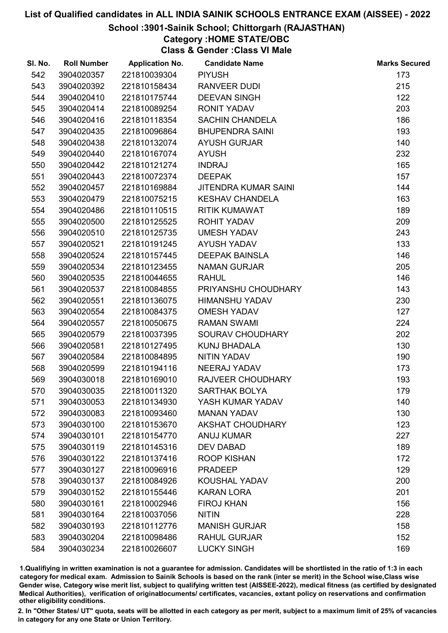## School :3901-Sainik School; Chittorgarh (RAJASTHAN)

## Category :HOME STATE/OBC

Class & Gender :Class VI Male

| SI. No. | <b>Roll Number</b> | <b>Application No.</b> | <b>Candidate Name</b>       | <b>Marks Secured</b> |
|---------|--------------------|------------------------|-----------------------------|----------------------|
| 542     | 3904020357         | 221810039304           | <b>PIYUSH</b>               | 173                  |
| 543     | 3904020392         | 221810158434           | <b>RANVEER DUDI</b>         | 215                  |
| 544     | 3904020410         | 221810175744           | <b>DEEVAN SINGH</b>         | 122                  |
| 545     | 3904020414         | 221810089254           | <b>RONIT YADAV</b>          | 203                  |
| 546     | 3904020416         | 221810118354           | <b>SACHIN CHANDELA</b>      | 186                  |
| 547     | 3904020435         | 221810096864           | <b>BHUPENDRA SAINI</b>      | 193                  |
| 548     | 3904020438         | 221810132074           | <b>AYUSH GURJAR</b>         | 140                  |
| 549     | 3904020440         | 221810167074           | <b>AYUSH</b>                | 232                  |
| 550     | 3904020442         | 221810121274           | <b>INDRAJ</b>               | 165                  |
| 551     | 3904020443         | 221810072374           | <b>DEEPAK</b>               | 157                  |
| 552     | 3904020457         | 221810169884           | <b>JITENDRA KUMAR SAINI</b> | 144                  |
| 553     | 3904020479         | 221810075215           | <b>KESHAV CHANDELA</b>      | 163                  |
| 554     | 3904020486         | 221810110515           | <b>RITIK KUMAWAT</b>        | 189                  |
| 555     | 3904020500         | 221810125525           | <b>ROHIT YADAV</b>          | 209                  |
| 556     | 3904020510         | 221810125735           | <b>UMESH YADAV</b>          | 243                  |
| 557     | 3904020521         | 221810191245           | <b>AYUSH YADAV</b>          | 133                  |
| 558     | 3904020524         | 221810157445           | <b>DEEPAK BAINSLA</b>       | 146                  |
| 559     | 3904020534         | 221810123455           | <b>NAMAN GURJAR</b>         | 205                  |
| 560     | 3904020535         | 221810044655           | <b>RAHUL</b>                | 146                  |
| 561     | 3904020537         | 221810084855           | PRIYANSHU CHOUDHARY         | 143                  |
| 562     | 3904020551         | 221810136075           | <b>HIMANSHU YADAV</b>       | 230                  |
| 563     | 3904020554         | 221810084375           | <b>OMESH YADAV</b>          | 127                  |
| 564     | 3904020557         | 221810050675           | <b>RAMAN SWAMI</b>          | 224                  |
| 565     | 3904020579         | 221810037395           | SOURAV CHOUDHARY            | 202                  |
| 566     | 3904020581         | 221810127495           | <b>KUNJ BHADALA</b>         | 130                  |
| 567     | 3904020584         | 221810084895           | <b>NITIN YADAV</b>          | 190                  |
| 568     | 3904020599         | 221810194116           | <b>NEERAJ YADAV</b>         | 173                  |
| 569     | 3904030018         | 221810169010           | RAJVEER CHOUDHARY           | 193                  |
| 570     | 3904030035         | 221810011320           | SARTHAK BOLYA               | 179                  |
| 571     | 3904030053         | 221810134930           | YASH KUMAR YADAV            | 140                  |
| 572     | 3904030083         | 221810093460           | <b>MANAN YADAV</b>          | 130                  |
| 573     | 3904030100         | 221810153670           | <b>AKSHAT CHOUDHARY</b>     | 123                  |
| 574     | 3904030101         | 221810154770           | <b>ANUJ KUMAR</b>           | 227                  |
| 575     | 3904030119         | 221810145316           | <b>DEV DABAD</b>            | 189                  |
| 576     | 3904030122         | 221810137416           | <b>ROOP KISHAN</b>          | 172                  |
| 577     | 3904030127         | 221810096916           | <b>PRADEEP</b>              | 129                  |
| 578     | 3904030137         | 221810084926           | <b>KOUSHAL YADAV</b>        | 200                  |
| 579     | 3904030152         | 221810155446           | <b>KARAN LORA</b>           | 201                  |
| 580     | 3904030161         | 221810002946           | <b>FIROJ KHAN</b>           | 156                  |
| 581     | 3904030164         | 221810037056           | <b>NITIN</b>                | 228                  |
| 582     | 3904030193         | 221810112776           | <b>MANISH GURJAR</b>        | 158                  |
| 583     | 3904030204         | 221810098486           | <b>RAHUL GURJAR</b>         | 152                  |
| 584     | 3904030234         | 221810026607           | <b>LUCKY SINGH</b>          | 169                  |

1.Qualifiying in written examination is not a guarantee for admission. Candidates will be shortlisted in the ratio of 1:3 in each category for medical exam. Admission to Sainik Schools is based on the rank (inter se merit) in the School wise,Class wise Gender wise, Category wise merit list, subject to qualifying written test (AISSEE-2022), medical fitness (as certified by designated Medical Authorities), verification of originablocuments/ certificates, vacancies, extant policy on reservations and confirmation other eligibility conditions.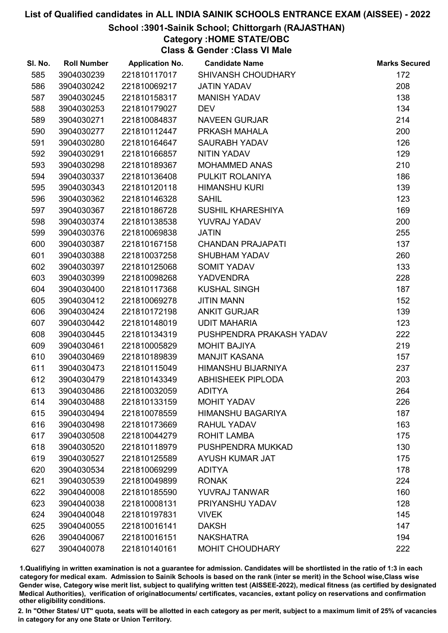## School :3901-Sainik School; Chittorgarh (RAJASTHAN)

## Category :HOME STATE/OBC

Class & Gender :Class VI Male

| SI. No. | <b>Roll Number</b> | <b>Application No.</b> | <b>Candidate Name</b>     | <b>Marks Secured</b> |
|---------|--------------------|------------------------|---------------------------|----------------------|
| 585     | 3904030239         | 221810117017           | SHIVANSH CHOUDHARY        | 172                  |
| 586     | 3904030242         | 221810069217           | <b>JATIN YADAV</b>        | 208                  |
| 587     | 3904030245         | 221810158317           | <b>MANISH YADAV</b>       | 138                  |
| 588     | 3904030253         | 221810179027           | <b>DEV</b>                | 134                  |
| 589     | 3904030271         | 221810084837           | <b>NAVEEN GURJAR</b>      | 214                  |
| 590     | 3904030277         | 221810112447           | PRKASH MAHALA             | 200                  |
| 591     | 3904030280         | 221810164647           | <b>SAURABH YADAV</b>      | 126                  |
| 592     | 3904030291         | 221810166857           | NITIN YADAV               | 129                  |
| 593     | 3904030298         | 221810189367           | <b>MOHAMMED ANAS</b>      | 210                  |
| 594     | 3904030337         | 221810136408           | PULKIT ROLANIYA           | 186                  |
| 595     | 3904030343         | 221810120118           | <b>HIMANSHU KURI</b>      | 139                  |
| 596     | 3904030362         | 221810146328           | <b>SAHIL</b>              | 123                  |
| 597     | 3904030367         | 221810186728           | <b>SUSHIL KHARESHIYA</b>  | 169                  |
| 598     | 3904030374         | 221810138538           | YUVRAJ YADAV              | 200                  |
| 599     | 3904030376         | 221810069838           | <b>JATIN</b>              | 255                  |
| 600     | 3904030387         | 221810167158           | <b>CHANDAN PRAJAPATI</b>  | 137                  |
| 601     | 3904030388         | 221810037258           | <b>SHUBHAM YADAV</b>      | 260                  |
| 602     | 3904030397         | 221810125068           | <b>SOMIT YADAV</b>        | 133                  |
| 603     | 3904030399         | 221810098268           | <b>YADVENDRA</b>          | 228                  |
| 604     | 3904030400         | 221810117368           | <b>KUSHAL SINGH</b>       | 187                  |
| 605     | 3904030412         | 221810069278           | <b>JITIN MANN</b>         | 152                  |
| 606     | 3904030424         | 221810172198           | <b>ANKIT GURJAR</b>       | 139                  |
| 607     | 3904030442         | 221810148019           | <b>UDIT MAHARIA</b>       | 123                  |
| 608     | 3904030445         | 221810134319           | PUSHPENDRA PRAKASH YADAV  | 222                  |
| 609     | 3904030461         | 221810005829           | <b>MOHIT BAJIYA</b>       | 219                  |
| 610     | 3904030469         | 221810189839           | <b>MANJIT KASANA</b>      | 157                  |
| 611     | 3904030473         | 221810115049           | <b>HIMANSHU BIJARNIYA</b> | 237                  |
| 612     | 3904030479         | 221810143349           | <b>ABHISHEEK PIPLODA</b>  | 203                  |
| 613     | 3904030486         | 221810032059           | <b>ADITYA</b>             | 264                  |
| 614     | 3904030488         | 221810133159           | <b>MOHIT YADAV</b>        | 226                  |
| 615     | 3904030494         | 221810078559           | <b>HIMANSHU BAGARIYA</b>  | 187                  |
| 616     | 3904030498         | 221810173669           | <b>RAHUL YADAV</b>        | 163                  |
| 617     | 3904030508         | 221810044279           | <b>ROHIT LAMBA</b>        | 175                  |
| 618     | 3904030520         | 221810118979           | PUSHPENDRA MUKKAD         | 130                  |
| 619     | 3904030527         | 221810125589           | <b>AYUSH KUMAR JAT</b>    | 175                  |
| 620     | 3904030534         | 221810069299           | <b>ADITYA</b>             | 178                  |
| 621     | 3904030539         | 221810049899           | <b>RONAK</b>              | 224                  |
| 622     | 3904040008         | 221810185590           | <b>YUVRAJ TANWAR</b>      | 160                  |
| 623     | 3904040038         | 221810008131           | PRIYANSHU YADAV           | 128                  |
| 624     | 3904040048         | 221810197831           | <b>VIVEK</b>              | 145                  |
| 625     | 3904040055         | 221810016141           | <b>DAKSH</b>              | 147                  |
| 626     | 3904040067         | 221810016151           | <b>NAKSHATRA</b>          | 194                  |
| 627     | 3904040078         | 221810140161           | <b>MOHIT CHOUDHARY</b>    | 222                  |

1.Qualifiying in written examination is not a guarantee for admission. Candidates will be shortlisted in the ratio of 1:3 in each category for medical exam. Admission to Sainik Schools is based on the rank (inter se merit) in the School wise,Class wise Gender wise, Category wise merit list, subject to qualifying written test (AISSEE-2022), medical fitness (as certified by designated Medical Authorities), verification of originablocuments/ certificates, vacancies, extant policy on reservations and confirmation other eligibility conditions.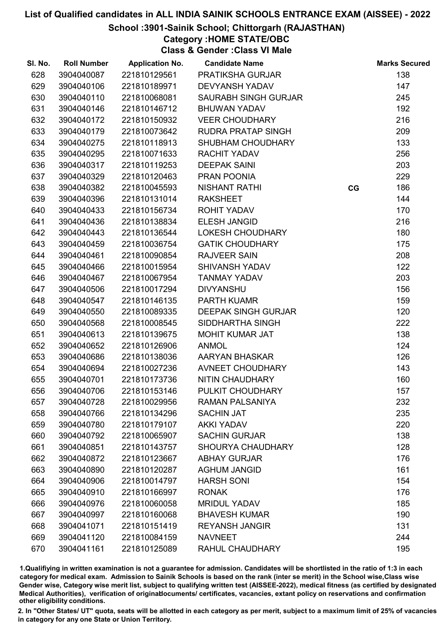## School :3901-Sainik School; Chittorgarh (RAJASTHAN)

Category :HOME STATE/OBC

Class & Gender :Class VI Male

| SI. No. | <b>Roll Number</b> | <b>Application No.</b> | <b>Candidate Name</b>       |    | <b>Marks Secured</b> |
|---------|--------------------|------------------------|-----------------------------|----|----------------------|
| 628     | 3904040087         | 221810129561           | PRATIKSHA GURJAR            |    | 138                  |
| 629     | 3904040106         | 221810189971           | <b>DEVYANSH YADAV</b>       |    | 147                  |
| 630     | 3904040110         | 221810068081           | <b>SAURABH SINGH GURJAR</b> |    | 245                  |
| 631     | 3904040146         | 221810146712           | <b>BHUWAN YADAV</b>         |    | 192                  |
| 632     | 3904040172         | 221810150932           | <b>VEER CHOUDHARY</b>       |    | 216                  |
| 633     | 3904040179         | 221810073642           | <b>RUDRA PRATAP SINGH</b>   |    | 209                  |
| 634     | 3904040275         | 221810118913           | SHUBHAM CHOUDHARY           |    | 133                  |
| 635     | 3904040295         | 221810071633           | <b>RACHIT YADAV</b>         |    | 256                  |
| 636     | 3904040317         | 221810119253           | <b>DEEPAK SAINI</b>         |    | 203                  |
| 637     | 3904040329         | 221810120463           | PRAN POONIA                 |    | 229                  |
| 638     | 3904040382         | 221810045593           | <b>NISHANT RATHI</b>        | CG | 186                  |
| 639     | 3904040396         | 221810131014           | <b>RAKSHEET</b>             |    | 144                  |
| 640     | 3904040433         | 221810156734           | <b>ROHIT YADAV</b>          |    | 170                  |
| 641     | 3904040436         | 221810138834           | <b>ELESH JANGID</b>         |    | 216                  |
| 642     | 3904040443         | 221810136544           | LOKESH CHOUDHARY            |    | 180                  |
| 643     | 3904040459         | 221810036754           | <b>GATIK CHOUDHARY</b>      |    | 175                  |
| 644     | 3904040461         | 221810090854           | <b>RAJVEER SAIN</b>         |    | 208                  |
| 645     | 3904040466         | 221810015954           | <b>SHIVANSH YADAV</b>       |    | 122                  |
| 646     | 3904040467         | 221810067954           | <b>TANMAY YADAV</b>         |    | 203                  |
| 647     | 3904040506         | 221810017294           | <b>DIVYANSHU</b>            |    | 156                  |
| 648     | 3904040547         | 221810146135           | <b>PARTH KUAMR</b>          |    | 159                  |
| 649     | 3904040550         | 221810089335           | <b>DEEPAK SINGH GURJAR</b>  |    | 120                  |
| 650     | 3904040568         | 221810008545           | SIDDHARTHA SINGH            |    | 222                  |
| 651     | 3904040613         | 221810139675           | <b>MOHIT KUMAR JAT</b>      |    | 138                  |
| 652     | 3904040652         | 221810126906           | <b>ANMOL</b>                |    | 124                  |
| 653     | 3904040686         | 221810138036           | AARYAN BHASKAR              |    | 126                  |
| 654     | 3904040694         | 221810027236           | AVNEET CHOUDHARY            |    | 143                  |
| 655     | 3904040701         | 221810173736           | NITIN CHAUDHARY             |    | 160                  |
| 656     | 3904040706         | 221810153146           | PULKIT CHOUDHARY            |    | 157                  |
| 657     | 3904040728         | 221810029956           | <b>RAMAN PALSANIYA</b>      |    | 232                  |
| 658     | 3904040766         | 221810134296           | <b>SACHIN JAT</b>           |    | 235                  |
| 659     | 3904040780         | 221810179107           | <b>AKKI YADAV</b>           |    | 220                  |
| 660     | 3904040792         | 221810065907           | <b>SACHIN GURJAR</b>        |    | 138                  |
| 661     | 3904040851         | 221810143757           | <b>SHOURYA CHAUDHARY</b>    |    | 128                  |
| 662     | 3904040872         | 221810123667           | <b>ABHAY GURJAR</b>         |    | 176                  |
| 663     | 3904040890         | 221810120287           | <b>AGHUM JANGID</b>         |    | 161                  |
| 664     | 3904040906         | 221810014797           | <b>HARSH SONI</b>           |    | 154                  |
| 665     | 3904040910         | 221810166997           | <b>RONAK</b>                |    | 176                  |
| 666     | 3904040976         | 221810060058           | <b>MRIDUL YADAV</b>         |    | 185                  |
| 667     | 3904040997         | 221810160068           | <b>BHAVESH KUMAR</b>        |    | 190                  |
| 668     | 3904041071         | 221810151419           | <b>REYANSH JANGIR</b>       |    | 131                  |
| 669     | 3904041120         | 221810084159           | <b>NAVNEET</b>              |    | 244                  |
| 670     | 3904041161         | 221810125089           | <b>RAHUL CHAUDHARY</b>      |    | 195                  |

1.Qualifiying in written examination is not a guarantee for admission. Candidates will be shortlisted in the ratio of 1:3 in each category for medical exam. Admission to Sainik Schools is based on the rank (inter se merit) in the School wise,Class wise Gender wise, Category wise merit list, subject to qualifying written test (AISSEE-2022), medical fitness (as certified by designated Medical Authorities), verification of originablocuments/ certificates, vacancies, extant policy on reservations and confirmation other eligibility conditions.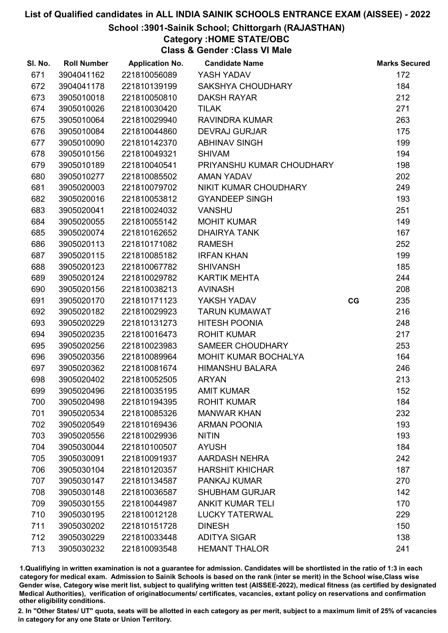## School :3901-Sainik School; Chittorgarh (RAJASTHAN)

## Category :HOME STATE/OBC

Class & Gender :Class VI Male

| SI. No. | <b>Roll Number</b> | <b>Application No.</b> | <b>Candidate Name</b>       |    | <b>Marks Secured</b> |
|---------|--------------------|------------------------|-----------------------------|----|----------------------|
| 671     | 3904041162         | 221810056089           | YASH YADAV                  |    | 172                  |
| 672     | 3904041178         | 221810139199           | SAKSHYA CHOUDHARY           |    | 184                  |
| 673     | 3905010018         | 221810050810           | <b>DAKSH RAYAR</b>          |    | 212                  |
| 674     | 3905010026         | 221810030420           | <b>TILAK</b>                |    | 271                  |
| 675     | 3905010064         | 221810029940           | RAVINDRA KUMAR              |    | 263                  |
| 676     | 3905010084         | 221810044860           | <b>DEVRAJ GURJAR</b>        |    | 175                  |
| 677     | 3905010090         | 221810142370           | <b>ABHINAV SINGH</b>        |    | 199                  |
| 678     | 3905010156         | 221810049321           | <b>SHIVAM</b>               |    | 194                  |
| 679     | 3905010189         | 221810040541           | PRIYANSHU KUMAR CHOUDHARY   |    | 198                  |
| 680     | 3905010277         | 221810085502           | <b>AMAN YADAV</b>           |    | 202                  |
| 681     | 3905020003         | 221810079702           | NIKIT KUMAR CHOUDHARY       |    | 249                  |
| 682     | 3905020016         | 221810053812           | <b>GYANDEEP SINGH</b>       |    | 193                  |
| 683     | 3905020041         | 221810024032           | <b>VANSHU</b>               |    | 251                  |
| 684     | 3905020055         | 221810055142           | <b>MOHIT KUMAR</b>          |    | 149                  |
| 685     | 3905020074         | 221810162652           | <b>DHAIRYA TANK</b>         |    | 167                  |
| 686     | 3905020113         | 221810171082           | <b>RAMESH</b>               |    | 252                  |
| 687     | 3905020115         | 221810085182           | <b>IRFAN KHAN</b>           |    | 199                  |
| 688     | 3905020123         | 221810067782           | <b>SHIVANSH</b>             |    | 185                  |
| 689     | 3905020124         | 221810029782           | <b>KARTIK MEHTA</b>         |    | 244                  |
| 690     | 3905020156         | 221810038213           | <b>AVINASH</b>              |    | 208                  |
| 691     | 3905020170         | 221810171123           | YAKSH YADAV                 | CG | 235                  |
| 692     | 3905020182         | 221810029923           | <b>TARUN KUMAWAT</b>        |    | 216                  |
| 693     | 3905020229         | 221810131273           | <b>HITESH POONIA</b>        |    | 248                  |
| 694     | 3905020235         | 221810016473           | <b>ROHIT KUMAR</b>          |    | 217                  |
| 695     | 3905020256         | 221810023983           | SAMEER CHOUDHARY            |    | 253                  |
| 696     | 3905020356         | 221810089964           | <b>MOHIT KUMAR BOCHALYA</b> |    | 164                  |
| 697     | 3905020362         | 221810081674           | <b>HIMANSHU BALARA</b>      |    | 246                  |
| 698     | 3905020402         | 221810052505           | <b>ARYAN</b>                |    | 213                  |
| 699     | 3905020496         | 221810035195           | <b>AMIT KUMAR</b>           |    | 152                  |
| 700     | 3905020498         | 221810194395           | <b>ROHIT KUMAR</b>          |    | 184                  |
| 701     | 3905020534         | 221810085326           | <b>MANWAR KHAN</b>          |    | 232                  |
| 702     | 3905020549         | 221810169436           | <b>ARMAN POONIA</b>         |    | 193                  |
| 703     | 3905020556         | 221810029936           | <b>NITIN</b>                |    | 193                  |
| 704     | 3905030044         | 221810100507           | <b>AYUSH</b>                |    | 184                  |
| 705     | 3905030091         | 221810091937           | <b>AARDASH NEHRA</b>        |    | 242                  |
| 706     | 3905030104         | 221810120357           | <b>HARSHIT KHICHAR</b>      |    | 187                  |
| 707     | 3905030147         | 221810134587           | PANKAJ KUMAR                |    | 270                  |
| 708     | 3905030148         | 221810036587           | <b>SHUBHAM GURJAR</b>       |    | 142                  |
| 709     | 3905030155         | 221810044987           | <b>ANKIT KUMAR TELI</b>     |    | 170                  |
| 710     | 3905030195         | 221810012128           | <b>LUCKY TATERWAL</b>       |    | 229                  |
| 711     | 3905030202         | 221810151728           | <b>DINESH</b>               |    | 150                  |
| 712     | 3905030229         | 221810033448           | <b>ADITYA SIGAR</b>         |    | 138                  |
| 713     | 3905030232         | 221810093548           | <b>HEMANT THALOR</b>        |    | 241                  |

1.Qualifiying in written examination is not a guarantee for admission. Candidates will be shortlisted in the ratio of 1:3 in each category for medical exam. Admission to Sainik Schools is based on the rank (inter se merit) in the School wise,Class wise Gender wise, Category wise merit list, subject to qualifying written test (AISSEE-2022), medical fitness (as certified by designated Medical Authorities), verification of originablocuments/ certificates, vacancies, extant policy on reservations and confirmation other eligibility conditions.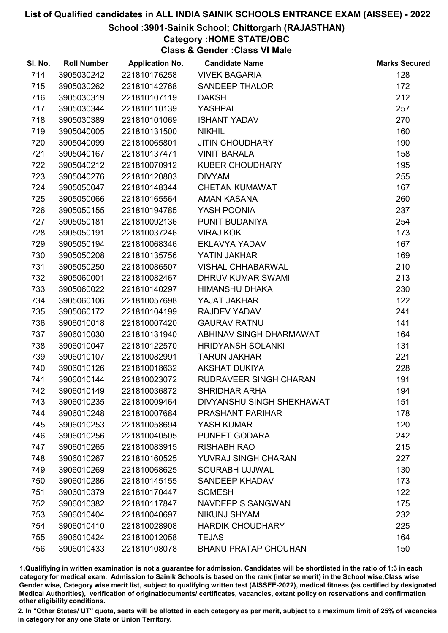## School :3901-Sainik School; Chittorgarh (RAJASTHAN)

## Category :HOME STATE/OBC

Class & Gender :Class VI Male

| SI. No. | <b>Roll Number</b> | <b>Application No.</b> | <b>Candidate Name</b>       | <b>Marks Secured</b> |
|---------|--------------------|------------------------|-----------------------------|----------------------|
| 714     | 3905030242         | 221810176258           | <b>VIVEK BAGARIA</b>        | 128                  |
| 715     | 3905030262         | 221810142768           | <b>SANDEEP THALOR</b>       | 172                  |
| 716     | 3905030319         | 221810107119           | <b>DAKSH</b>                | 212                  |
| 717     | 3905030344         | 221810110139           | YASHPAL                     | 257                  |
| 718     | 3905030389         | 221810101069           | <b>ISHANT YADAV</b>         | 270                  |
| 719     | 3905040005         | 221810131500           | <b>NIKHIL</b>               | 160                  |
| 720     | 3905040099         | 221810065801           | <b>JITIN CHOUDHARY</b>      | 190                  |
| 721     | 3905040167         | 221810137471           | <b>VINIT BARALA</b>         | 158                  |
| 722     | 3905040212         | 221810070912           | <b>KUBER CHOUDHARY</b>      | 195                  |
| 723     | 3905040276         | 221810120803           | <b>DIVYAM</b>               | 255                  |
| 724     | 3905050047         | 221810148344           | <b>CHETAN KUMAWAT</b>       | 167                  |
| 725     | 3905050066         | 221810165564           | <b>AMAN KASANA</b>          | 260                  |
| 726     | 3905050155         | 221810194785           | YASH POONIA                 | 237                  |
| 727     | 3905050181         | 221810092136           | PUNIT BUDANIYA              | 254                  |
| 728     | 3905050191         | 221810037246           | <b>VIRAJ KOK</b>            | 173                  |
| 729     | 3905050194         | 221810068346           | EKLAVYA YADAV               | 167                  |
| 730     | 3905050208         | 221810135756           | YATIN JAKHAR                | 169                  |
| 731     | 3905050250         | 221810086507           | <b>VISHAL CHHABARWAL</b>    | 210                  |
| 732     | 3905060001         | 221810082467           | <b>DHRUV KUMAR SWAMI</b>    | 213                  |
| 733     | 3905060022         | 221810140297           | <b>HIMANSHU DHAKA</b>       | 230                  |
| 734     | 3905060106         | 221810057698           | YAJAT JAKHAR                | 122                  |
| 735     | 3905060172         | 221810104199           | RAJDEV YADAV                | 241                  |
| 736     | 3906010018         | 221810007420           | <b>GAURAV RATNU</b>         | 141                  |
| 737     | 3906010030         | 221810131940           | ABHINAV SINGH DHARMAWAT     | 164                  |
| 738     | 3906010047         | 221810122570           | <b>HRIDYANSH SOLANKI</b>    | 131                  |
| 739     | 3906010107         | 221810082991           | <b>TARUN JAKHAR</b>         | 221                  |
| 740     | 3906010126         | 221810018632           | <b>AKSHAT DUKIYA</b>        | 228                  |
| 741     | 3906010144         | 221810023072           | RUDRAVEER SINGH CHARAN      | 191                  |
| 742     | 3906010149         | 221810036872           | <b>SHRIDHAR ARHA</b>        | 194                  |
| 743     | 3906010235         | 221810009464           | DIVYANSHU SINGH SHEKHAWAT   | 151                  |
| 744     | 3906010248         | 221810007684           | <b>PRASHANT PARIHAR</b>     | 178                  |
| 745     | 3906010253         | 221810058694           | YASH KUMAR                  | 120                  |
| 746     | 3906010256         | 221810040505           | PUNEET GODARA               | 242                  |
| 747     | 3906010265         | 221810083915           | <b>RISHABH RAO</b>          | 215                  |
| 748     | 3906010267         | 221810160525           | YUVRAJ SINGH CHARAN         | 227                  |
| 749     | 3906010269         | 221810068625           | SOURABH UJJWAL              | 130                  |
| 750     | 3906010286         | 221810145155           | SANDEEP KHADAV              | 173                  |
| 751     | 3906010379         | 221810170447           | <b>SOMESH</b>               | 122                  |
| 752     | 3906010382         | 221810117847           | <b>NAVDEEP S SANGWAN</b>    | 175                  |
| 753     | 3906010404         | 221810040697           | <b>NIKUNJ SHYAM</b>         | 232                  |
| 754     | 3906010410         | 221810028908           | <b>HARDIK CHOUDHARY</b>     | 225                  |
| 755     | 3906010424         | 221810012058           | <b>TEJAS</b>                | 164                  |
| 756     | 3906010433         | 221810108078           | <b>BHANU PRATAP CHOUHAN</b> | 150                  |

1.Qualifiying in written examination is not a guarantee for admission. Candidates will be shortlisted in the ratio of 1:3 in each category for medical exam. Admission to Sainik Schools is based on the rank (inter se merit) in the School wise,Class wise Gender wise, Category wise merit list, subject to qualifying written test (AISSEE-2022), medical fitness (as certified by designated Medical Authorities), verification of originablocuments/ certificates, vacancies, extant policy on reservations and confirmation other eligibility conditions.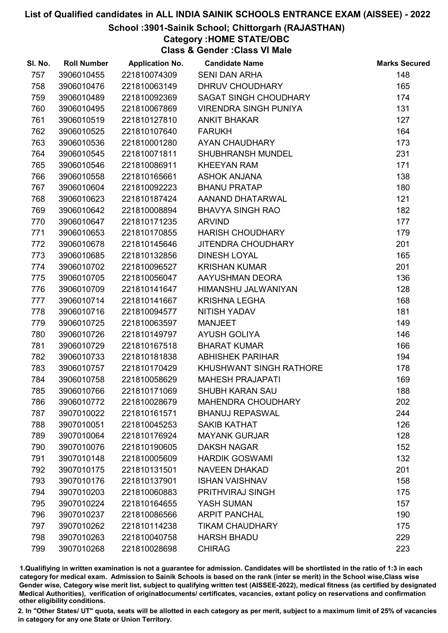## School :3901-Sainik School; Chittorgarh (RAJASTHAN)

## Category :HOME STATE/OBC

Class & Gender :Class VI Male

| SI. No. | <b>Roll Number</b> | <b>Application No.</b> | <b>Candidate Name</b>        | <b>Marks Secured</b> |
|---------|--------------------|------------------------|------------------------------|----------------------|
| 757     | 3906010455         | 221810074309           | <b>SENI DAN ARHA</b>         | 148                  |
| 758     | 3906010476         | 221810063149           | <b>DHRUV CHOUDHARY</b>       | 165                  |
| 759     | 3906010489         | 221810092369           | <b>SAGAT SINGH CHOUDHARY</b> | 174                  |
| 760     | 3906010495         | 221810067869           | <b>VIRENDRA SINGH PUNIYA</b> | 131                  |
| 761     | 3906010519         | 221810127810           | <b>ANKIT BHAKAR</b>          | 127                  |
| 762     | 3906010525         | 221810107640           | <b>FARUKH</b>                | 164                  |
| 763     | 3906010536         | 221810001280           | AYAN CHAUDHARY               | 173                  |
| 764     | 3906010545         | 221810071811           | SHUBHRANSH MUNDEL            | 231                  |
| 765     | 3906010546         | 221810086911           | <b>KHEEYAN RAM</b>           | 171                  |
| 766     | 3906010558         | 221810165661           | <b>ASHOK ANJANA</b>          | 138                  |
| 767     | 3906010604         | 221810092223           | <b>BHANU PRATAP</b>          | 180                  |
| 768     | 3906010623         | 221810187424           | AANAND DHATARWAL             | 121                  |
| 769     | 3906010642         | 221810008894           | <b>BHAVYA SINGH RAO</b>      | 182                  |
| 770     | 3906010647         | 221810171235           | <b>ARVIND</b>                | 177                  |
| 771     | 3906010653         | 221810170855           | <b>HARISH CHOUDHARY</b>      | 179                  |
| 772     | 3906010678         | 221810145646           | <b>JITENDRA CHOUDHARY</b>    | 201                  |
| 773     | 3906010685         | 221810132856           | <b>DINESH LOYAL</b>          | 165                  |
| 774     | 3906010702         | 221810096527           | <b>KRISHAN KUMAR</b>         | 201                  |
| 775     | 3906010705         | 221810056047           | AAYUSHMAN DEORA              | 136                  |
| 776     | 3906010709         | 221810141647           | HIMANSHU JALWANIYAN          | 128                  |
| 777     | 3906010714         | 221810141667           | <b>KRISHNA LEGHA</b>         | 168                  |
| 778     | 3906010716         | 221810094577           | NITISH YADAV                 | 181                  |
| 779     | 3906010725         | 221810063597           | <b>MANJEET</b>               | 149                  |
| 780     | 3906010726         | 221810149797           | <b>AYUSH GOLIYA</b>          | 146                  |
| 781     | 3906010729         | 221810167518           | <b>BHARAT KUMAR</b>          | 166                  |
| 782     | 3906010733         | 221810181838           | <b>ABHISHEK PARIHAR</b>      | 194                  |
| 783     | 3906010757         | 221810170429           | KHUSHWANT SINGH RATHORE      | 178                  |
| 784     | 3906010758         | 221810058629           | <b>MAHESH PRAJAPATI</b>      | 169                  |
| 785     | 3906010766         | 221810171069           | <b>SHUBH KARAN SAU</b>       | 188                  |
| 786     | 3906010772         | 221810028679           | <b>MAHENDRA CHOUDHARY</b>    | 202                  |
| 787     | 3907010022         | 221810161571           | <b>BHANUJ REPASWAL</b>       | 244                  |
| 788     | 3907010051         | 221810045253           | <b>SAKIB KATHAT</b>          | 126                  |
| 789     | 3907010064         | 221810176924           | <b>MAYANK GURJAR</b>         | 128                  |
| 790     | 3907010076         | 221810190605           | <b>DAKSH NAGAR</b>           | 152                  |
| 791     | 3907010148         | 221810005609           | <b>HARDIK GOSWAMI</b>        | 132                  |
| 792     | 3907010175         | 221810131501           | <b>NAVEEN DHAKAD</b>         | 201                  |
| 793     | 3907010176         | 221810137901           | <b>ISHAN VAISHNAV</b>        | 158                  |
| 794     | 3907010203         | 221810060883           | PRITHVIRAJ SINGH             | 175                  |
| 795     | 3907010224         | 221810164655           | YASH SUMAN                   | 157                  |
| 796     | 3907010237         | 221810086566           | <b>ARPIT PANCHAL</b>         | 190                  |
| 797     | 3907010262         | 221810114238           | <b>TIKAM CHAUDHARY</b>       | 175                  |
| 798     | 3907010263         | 221810040758           | <b>HARSH BHADU</b>           | 229                  |
| 799     | 3907010268         | 221810028698           | <b>CHIRAG</b>                | 223                  |

1.Qualifiying in written examination is not a guarantee for admission. Candidates will be shortlisted in the ratio of 1:3 in each category for medical exam. Admission to Sainik Schools is based on the rank (inter se merit) in the School wise,Class wise Gender wise, Category wise merit list, subject to qualifying written test (AISSEE-2022), medical fitness (as certified by designated Medical Authorities), verification of originablocuments/ certificates, vacancies, extant policy on reservations and confirmation other eligibility conditions.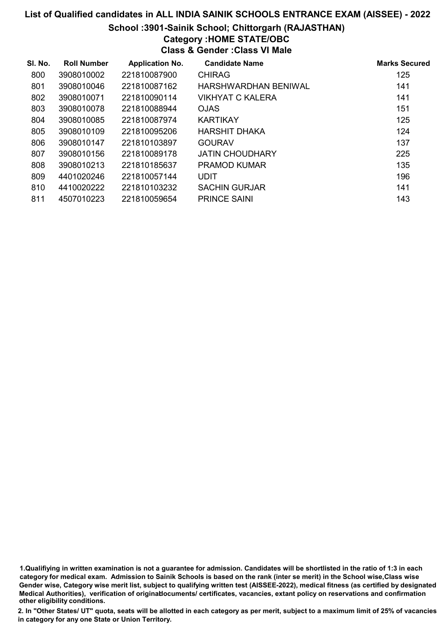# List of Qualified candidates in ALL INDIA SAINIK SCHOOLS ENTRANCE EXAM (AISSEE) - 2022 School :3901-Sainik School; Chittorgarh (RAJASTHAN) Category :HOME STATE/OBC Class & Gender :Class VI Male

| SI. No. | <b>Roll Number</b> | <b>Application No.</b> | <b>Candidate Name</b>       | <b>Marks Secured</b> |
|---------|--------------------|------------------------|-----------------------------|----------------------|
| 800     | 3908010002         | 221810087900           | <b>CHIRAG</b>               | 125                  |
| 801     | 3908010046         | 221810087162           | <b>HARSHWARDHAN BENIWAL</b> | 141                  |
| 802     | 3908010071         | 221810090114           | VIKHYAT C KALERA            | 141                  |
| 803     | 3908010078         | 221810088944           | <b>OJAS</b>                 | 151                  |
| 804     | 3908010085         | 221810087974           | <b>KARTIKAY</b>             | 125                  |
| 805     | 3908010109         | 221810095206           | <b>HARSHIT DHAKA</b>        | 124                  |
| 806     | 3908010147         | 221810103897           | <b>GOURAV</b>               | 137                  |
| 807     | 3908010156         | 221810089178           | <b>JATIN CHOUDHARY</b>      | 225                  |
| 808     | 3908010213         | 221810185637           | <b>PRAMOD KUMAR</b>         | 135                  |
| 809     | 4401020246         | 221810057144           | <b>UDIT</b>                 | 196                  |
| 810     | 4410020222         | 221810103232           | <b>SACHIN GURJAR</b>        | 141                  |
| 811     | 4507010223         | 221810059654           | <b>PRINCE SAINI</b>         | 143                  |

1.Qualifiying in written examination is not a guarantee for admission. Candidates will be shortlisted in the ratio of 1:3 in each category for medical exam. Admission to Sainik Schools is based on the rank (inter se merit) in the School wise,Class wise Gender wise, Category wise merit list, subject to qualifying written test (AISSEE-2022), medical fitness (as certified by designated Medical Authorities), verification of originablocuments/ certificates, vacancies, extant policy on reservations and confirmation other eligibility conditions.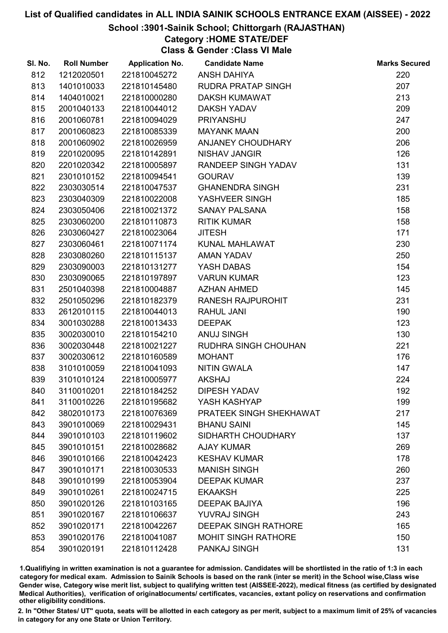## School :3901-Sainik School; Chittorgarh (RAJASTHAN)

# Category :HOME STATE/DEF

Class & Gender :Class VI Male

| SI. No. | <b>Roll Number</b> | <b>Application No.</b> | <b>Candidate Name</b>       | <b>Marks Secured</b> |
|---------|--------------------|------------------------|-----------------------------|----------------------|
| 812     | 1212020501         | 221810045272           | <b>ANSH DAHIYA</b>          | 220                  |
| 813     | 1401010033         | 221810145480           | <b>RUDRA PRATAP SINGH</b>   | 207                  |
| 814     | 1404010021         | 221810000280           | <b>DAKSH KUMAWAT</b>        | 213                  |
| 815     | 2001040133         | 221810044012           | <b>DAKSH YADAV</b>          | 209                  |
| 816     | 2001060781         | 221810094029           | <b>PRIYANSHU</b>            | 247                  |
| 817     | 2001060823         | 221810085339           | <b>MAYANK MAAN</b>          | 200                  |
| 818     | 2001060902         | 221810026959           | ANJANEY CHOUDHARY           | 206                  |
| 819     | 2201020095         | 221810142891           | <b>NISHAV JANGIR</b>        | 126                  |
| 820     | 2201020342         | 221810005897           | RANDEEP SINGH YADAV         | 131                  |
| 821     | 2301010152         | 221810094541           | <b>GOURAV</b>               | 139                  |
| 822     | 2303030514         | 221810047537           | <b>GHANENDRA SINGH</b>      | 231                  |
| 823     | 2303040309         | 221810022008           | YASHVEER SINGH              | 185                  |
| 824     | 2303050406         | 221810021372           | <b>SANAY PALSANA</b>        | 158                  |
| 825     | 2303060200         | 221810110873           | <b>RITIK KUMAR</b>          | 158                  |
| 826     | 2303060427         | 221810023064           | <b>JITESH</b>               | 171                  |
| 827     | 2303060461         | 221810071174           | KUNAL MAHLAWAT              | 230                  |
| 828     | 2303080260         | 221810115137           | <b>AMAN YADAV</b>           | 250                  |
| 829     | 2303090003         | 221810131277           | YASH DABAS                  | 154                  |
| 830     | 2303090065         | 221810197897           | <b>VARUN KUMAR</b>          | 123                  |
| 831     | 2501040398         | 221810004887           | <b>AZHAN AHMED</b>          | 145                  |
| 832     | 2501050296         | 221810182379           | <b>RANESH RAJPUROHIT</b>    | 231                  |
| 833     | 2612010115         | 221810044013           | <b>RAHUL JANI</b>           | 190                  |
| 834     | 3001030288         | 221810013433           | <b>DEEPAK</b>               | 123                  |
| 835     | 3002030010         | 221810154210           | <b>ANUJ SINGH</b>           | 130                  |
| 836     | 3002030448         | 221810021227           | RUDHRA SINGH CHOUHAN        | 221                  |
| 837     | 3002030612         | 221810160589           | <b>MOHANT</b>               | 176                  |
| 838     | 3101010059         | 221810041093           | <b>NITIN GWALA</b>          | 147                  |
| 839     | 3101010124         | 221810005977           | <b>AKSHAJ</b>               | 224                  |
| 840     | 3110010201         | 221810184252           | <b>DIPESH YADAV</b>         | 192                  |
| 841     | 3110010226         | 221810195682           | YASH KASHYAP                | 199                  |
| 842     | 3802010173         | 221810076369           | PRATEEK SINGH SHEKHAWAT     | 217                  |
| 843     | 3901010069         | 221810029431           | <b>BHANU SAINI</b>          | 145                  |
| 844     | 3901010103         | 221810119602           | SIDHARTH CHOUDHARY          | 137                  |
| 845     | 3901010151         | 221810028682           | <b>AJAY KUMAR</b>           | 269                  |
| 846     | 3901010166         | 221810042423           | <b>KESHAV KUMAR</b>         | 178                  |
| 847     | 3901010171         | 221810030533           | <b>MANISH SINGH</b>         | 260                  |
| 848     | 3901010199         | 221810053904           | <b>DEEPAK KUMAR</b>         | 237                  |
| 849     | 3901010261         | 221810024715           | <b>EKAAKSH</b>              | 225                  |
| 850     | 3901020126         | 221810103165           | <b>DEEPAK BAJIYA</b>        | 196                  |
| 851     | 3901020167         | 221810106637           | <b>YUVRAJ SINGH</b>         | 243                  |
| 852     | 3901020171         | 221810042267           | <b>DEEPAK SINGH RATHORE</b> | 165                  |
| 853     | 3901020176         | 221810041087           | <b>MOHIT SINGH RATHORE</b>  | 150                  |
| 854     | 3901020191         | 221810112428           | <b>PANKAJ SINGH</b>         | 131                  |

1.Qualifiying in written examination is not a guarantee for admission. Candidates will be shortlisted in the ratio of 1:3 in each category for medical exam. Admission to Sainik Schools is based on the rank (inter se merit) in the School wise,Class wise Gender wise, Category wise merit list, subject to qualifying written test (AISSEE-2022), medical fitness (as certified by designated Medical Authorities), verification of originablocuments/ certificates, vacancies, extant policy on reservations and confirmation other eligibility conditions.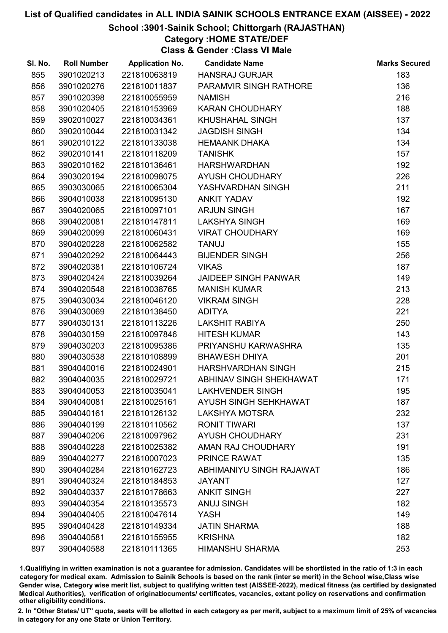## School :3901-Sainik School; Chittorgarh (RAJASTHAN)

# Category :HOME STATE/DEF

Class & Gender :Class VI Male

| SI. No. | <b>Roll Number</b> | <b>Application No.</b> | <b>Candidate Name</b>       | <b>Marks Secured</b> |
|---------|--------------------|------------------------|-----------------------------|----------------------|
| 855     | 3901020213         | 221810063819           | <b>HANSRAJ GURJAR</b>       | 183                  |
| 856     | 3901020276         | 221810011837           | PARAMVIR SINGH RATHORE      | 136                  |
| 857     | 3901020398         | 221810055959           | <b>NAMISH</b>               | 216                  |
| 858     | 3901020405         | 221810153969           | <b>KARAN CHOUDHARY</b>      | 188                  |
| 859     | 3902010027         | 221810034361           | <b>KHUSHAHAL SINGH</b>      | 137                  |
| 860     | 3902010044         | 221810031342           | <b>JAGDISH SINGH</b>        | 134                  |
| 861     | 3902010122         | 221810133038           | <b>HEMAANK DHAKA</b>        | 134                  |
| 862     | 3902010141         | 221810118209           | <b>TANISHK</b>              | 157                  |
| 863     | 3902010162         | 221810136461           | <b>HARSHWARDHAN</b>         | 192                  |
| 864     | 3903020194         | 221810098075           | AYUSH CHOUDHARY             | 226                  |
| 865     | 3903030065         | 221810065304           | YASHVARDHAN SINGH           | 211                  |
| 866     | 3904010038         | 221810095130           | <b>ANKIT YADAV</b>          | 192                  |
| 867     | 3904020065         | 221810097101           | <b>ARJUN SINGH</b>          | 167                  |
| 868     | 3904020081         | 221810147811           | <b>LAKSHYA SINGH</b>        | 169                  |
| 869     | 3904020099         | 221810060431           | <b>VIRAT CHOUDHARY</b>      | 169                  |
| 870     | 3904020228         | 221810062582           | <b>TANUJ</b>                | 155                  |
| 871     | 3904020292         | 221810064443           | <b>BIJENDER SINGH</b>       | 256                  |
| 872     | 3904020381         | 221810106724           | <b>VIKAS</b>                | 187                  |
| 873     | 3904020424         | 221810039264           | <b>JAIDEEP SINGH PANWAR</b> | 149                  |
| 874     | 3904020548         | 221810038765           | <b>MANISH KUMAR</b>         | 213                  |
| 875     | 3904030034         | 221810046120           | <b>VIKRAM SINGH</b>         | 228                  |
| 876     | 3904030069         | 221810138450           | <b>ADITYA</b>               | 221                  |
| 877     | 3904030131         | 221810113226           | <b>LAKSHIT RABIYA</b>       | 250                  |
| 878     | 3904030159         | 221810097846           | <b>HITESH KUMAR</b>         | 143                  |
| 879     | 3904030203         | 221810095386           | PRIYANSHU KARWASHRA         | 135                  |
| 880     | 3904030538         | 221810108899           | <b>BHAWESH DHIYA</b>        | 201                  |
| 881     | 3904040016         | 221810024901           | <b>HARSHVARDHAN SINGH</b>   | 215                  |
| 882     | 3904040035         | 221810029721           | ABHINAV SINGH SHEKHAWAT     | 171                  |
| 883     | 3904040053         | 221810035041           | <b>LAKHVENDER SINGH</b>     | 195                  |
| 884     | 3904040081         | 221810025161           | AYUSH SINGH SEHKHAWAT       | 187                  |
| 885     | 3904040161         | 221810126132           | <b>LAKSHYA MOTSRA</b>       | 232                  |
| 886     | 3904040199         | 221810110562           | <b>RONIT TIWARI</b>         | 137                  |
| 887     | 3904040206         | 221810097962           | <b>AYUSH CHOUDHARY</b>      | 231                  |
| 888     | 3904040228         | 221810025382           | AMAN RAJ CHOUDHARY          | 191                  |
| 889     | 3904040277         | 221810007023           | PRINCE RAWAT                | 135                  |
| 890     | 3904040284         | 221810162723           | ABHIMANIYU SINGH RAJAWAT    | 186                  |
| 891     | 3904040324         | 221810184853           | <b>JAYANT</b>               | 127                  |
| 892     | 3904040337         | 221810178663           | <b>ANKIT SINGH</b>          | 227                  |
| 893     | 3904040354         | 221810135573           | <b>ANUJ SINGH</b>           | 182                  |
| 894     | 3904040405         | 221810047614           | YASH                        | 149                  |
| 895     | 3904040428         | 221810149334           | <b>JATIN SHARMA</b>         | 188                  |
| 896     | 3904040581         | 221810155955           | <b>KRISHNA</b>              | 182                  |
| 897     | 3904040588         | 221810111365           | <b>HIMANSHU SHARMA</b>      | 253                  |

1.Qualifiying in written examination is not a guarantee for admission. Candidates will be shortlisted in the ratio of 1:3 in each category for medical exam. Admission to Sainik Schools is based on the rank (inter se merit) in the School wise,Class wise Gender wise, Category wise merit list, subject to qualifying written test (AISSEE-2022), medical fitness (as certified by designated Medical Authorities), verification of originablocuments/ certificates, vacancies, extant policy on reservations and confirmation other eligibility conditions.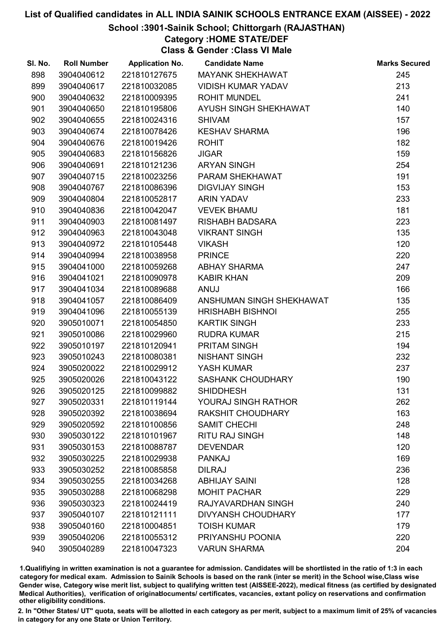## School :3901-Sainik School; Chittorgarh (RAJASTHAN)

# Category :HOME STATE/DEF

Class & Gender :Class VI Male

| SI. No. | <b>Roll Number</b> | <b>Application No.</b> | <b>Candidate Name</b>     | <b>Marks Secured</b> |
|---------|--------------------|------------------------|---------------------------|----------------------|
| 898     | 3904040612         | 221810127675           | <b>MAYANK SHEKHAWAT</b>   | 245                  |
| 899     | 3904040617         | 221810032085           | <b>VIDISH KUMAR YADAV</b> | 213                  |
| 900     | 3904040632         | 221810009395           | <b>ROHIT MUNDEL</b>       | 241                  |
| 901     | 3904040650         | 221810195806           | AYUSH SINGH SHEKHAWAT     | 140                  |
| 902     | 3904040655         | 221810024316           | <b>SHIVAM</b>             | 157                  |
| 903     | 3904040674         | 221810078426           | <b>KESHAV SHARMA</b>      | 196                  |
| 904     | 3904040676         | 221810019426           | <b>ROHIT</b>              | 182                  |
| 905     | 3904040683         | 221810156826           | <b>JIGAR</b>              | 159                  |
| 906     | 3904040691         | 221810121236           | <b>ARYAN SINGH</b>        | 254                  |
| 907     | 3904040715         | 221810023256           | PARAM SHEKHAWAT           | 191                  |
| 908     | 3904040767         | 221810086396           | <b>DIGVIJAY SINGH</b>     | 153                  |
| 909     | 3904040804         | 221810052817           | <b>ARIN YADAV</b>         | 233                  |
| 910     | 3904040836         | 221810042047           | <b>VEVEK BHAMU</b>        | 181                  |
| 911     | 3904040903         | 221810081497           | <b>RISHABH BADSARA</b>    | 223                  |
| 912     | 3904040963         | 221810043048           | <b>VIKRANT SINGH</b>      | 135                  |
| 913     | 3904040972         | 221810105448           | <b>VIKASH</b>             | 120                  |
| 914     | 3904040994         | 221810038958           | <b>PRINCE</b>             | 220                  |
| 915     | 3904041000         | 221810059268           | <b>ABHAY SHARMA</b>       | 247                  |
| 916     | 3904041021         | 221810090978           | <b>KABIR KHAN</b>         | 209                  |
| 917     | 3904041034         | 221810089688           | <b>ANUJ</b>               | 166                  |
| 918     | 3904041057         | 221810086409           | ANSHUMAN SINGH SHEKHAWAT  | 135                  |
| 919     | 3904041096         | 221810055139           | <b>HRISHABH BISHNOI</b>   | 255                  |
| 920     | 3905010071         | 221810054850           | <b>KARTIK SINGH</b>       | 233                  |
| 921     | 3905010086         | 221810029960           | <b>RUDRA KUMAR</b>        | 215                  |
| 922     | 3905010197         | 221810120941           | <b>PRITAM SINGH</b>       | 194                  |
| 923     | 3905010243         | 221810080381           | <b>NISHANT SINGH</b>      | 232                  |
| 924     | 3905020022         | 221810029912           | YASH KUMAR                | 237                  |
| 925     | 3905020026         | 221810043122           | <b>SASHANK CHOUDHARY</b>  | 190                  |
| 926     | 3905020125         | 221810099882           | <b>SHIDDHESH</b>          | 131                  |
| 927     | 3905020331         | 221810119144           | YOURAJ SINGH RATHOR       | 262                  |
| 928     | 3905020392         | 221810038694           | <b>RAKSHIT CHOUDHARY</b>  | 163                  |
| 929     | 3905020592         | 221810100856           | <b>SAMIT CHECHI</b>       | 248                  |
| 930     | 3905030122         | 221810101967           | <b>RITU RAJ SINGH</b>     | 148                  |
| 931     | 3905030153         | 221810088787           | <b>DEVENDAR</b>           | 120                  |
| 932     | 3905030225         | 221810029938           | <b>PANKAJ</b>             | 169                  |
| 933     | 3905030252         | 221810085858           | <b>DILRAJ</b>             | 236                  |
| 934     | 3905030255         | 221810034268           | <b>ABHIJAY SAINI</b>      | 128                  |
| 935     | 3905030288         | 221810068298           | <b>MOHIT PACHAR</b>       | 229                  |
| 936     | 3905030323         | 221810024419           | RAJYAVARDHAN SINGH        | 240                  |
| 937     | 3905040107         | 221810121111           | <b>DIVYANSH CHOUDHARY</b> | 177                  |
| 938     | 3905040160         | 221810004851           | <b>TOISH KUMAR</b>        | 179                  |
| 939     | 3905040206         | 221810055312           | PRIYANSHU POONIA          | 220                  |
| 940     | 3905040289         | 221810047323           | <b>VARUN SHARMA</b>       | 204                  |

1.Qualifiying in written examination is not a guarantee for admission. Candidates will be shortlisted in the ratio of 1:3 in each category for medical exam. Admission to Sainik Schools is based on the rank (inter se merit) in the School wise,Class wise Gender wise, Category wise merit list, subject to qualifying written test (AISSEE-2022), medical fitness (as certified by designated Medical Authorities), verification of originablocuments/ certificates, vacancies, extant policy on reservations and confirmation other eligibility conditions.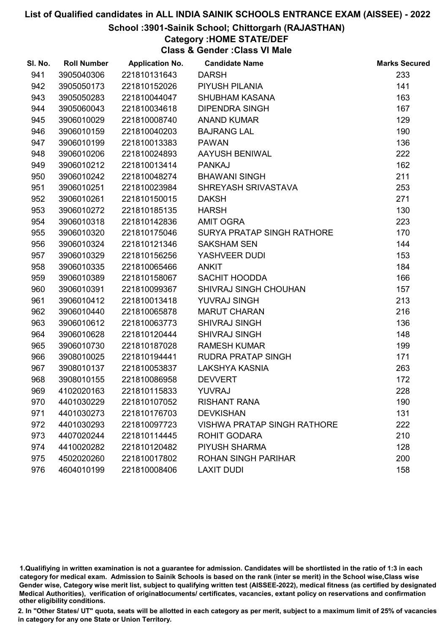#### School :3901-Sainik School; Chittorgarh (RAJASTHAN)

# Category :HOME STATE/DEF

Class & Gender :Class VI Male

| SI. No. | <b>Roll Number</b> | <b>Application No.</b> | <b>Candidate Name</b>              | <b>Marks Secured</b> |
|---------|--------------------|------------------------|------------------------------------|----------------------|
| 941     | 3905040306         | 221810131643           | <b>DARSH</b>                       | 233                  |
| 942     | 3905050173         | 221810152026           | PIYUSH PILANIA                     | 141                  |
| 943     | 3905050283         | 221810044047           | <b>SHUBHAM KASANA</b>              | 163                  |
| 944     | 3905060043         | 221810034618           | <b>DIPENDRA SINGH</b>              | 167                  |
| 945     | 3906010029         | 221810008740           | <b>ANAND KUMAR</b>                 | 129                  |
| 946     | 3906010159         | 221810040203           | <b>BAJRANG LAL</b>                 | 190                  |
| 947     | 3906010199         | 221810013383           | <b>PAWAN</b>                       | 136                  |
| 948     | 3906010206         | 221810024893           | AAYUSH BENIWAL                     | 222                  |
| 949     | 3906010212         | 221810013414           | <b>PANKAJ</b>                      | 162                  |
| 950     | 3906010242         | 221810048274           | <b>BHAWANI SINGH</b>               | 211                  |
| 951     | 3906010251         | 221810023984           | SHREYASH SRIVASTAVA                | 253                  |
| 952     | 3906010261         | 221810150015           | <b>DAKSH</b>                       | 271                  |
| 953     | 3906010272         | 221810185135           | <b>HARSH</b>                       | 130                  |
| 954     | 3906010318         | 221810142836           | <b>AMIT OGRA</b>                   | 223                  |
| 955     | 3906010320         | 221810175046           | SURYA PRATAP SINGH RATHORE         | 170                  |
| 956     | 3906010324         | 221810121346           | <b>SAKSHAM SEN</b>                 | 144                  |
| 957     | 3906010329         | 221810156256           | YASHVEER DUDI                      | 153                  |
| 958     | 3906010335         | 221810065466           | <b>ANKIT</b>                       | 184                  |
| 959     | 3906010389         | 221810158067           | <b>SACHIT HOODDA</b>               | 166                  |
| 960     | 3906010391         | 221810099367           | SHIVRAJ SINGH CHOUHAN              | 157                  |
| 961     | 3906010412         | 221810013418           | YUVRAJ SINGH                       | 213                  |
| 962     | 3906010440         | 221810065878           | <b>MARUT CHARAN</b>                | 216                  |
| 963     | 3906010612         | 221810063773           | <b>SHIVRAJ SINGH</b>               | 136                  |
| 964     | 3906010628         | 221810120444           | <b>SHIVRAJ SINGH</b>               | 148                  |
| 965     | 3906010730         | 221810187028           | <b>RAMESH KUMAR</b>                | 199                  |
| 966     | 3908010025         | 221810194441           | <b>RUDRA PRATAP SINGH</b>          | 171                  |
| 967     | 3908010137         | 221810053837           | LAKSHYA KASNIA                     | 263                  |
| 968     | 3908010155         | 221810086958           | <b>DEVVERT</b>                     | 172                  |
| 969     | 4102020163         | 221810115833           | <b>YUVRAJ</b>                      | 228                  |
| 970     | 4401030229         | 221810107052           | <b>RISHANT RANA</b>                | 190                  |
| 971     | 4401030273         | 221810176703           | <b>DEVKISHAN</b>                   | 131                  |
| 972     | 4401030293         | 221810097723           | <b>VISHWA PRATAP SINGH RATHORE</b> | 222                  |
| 973     | 4407020244         | 221810114445           | <b>ROHIT GODARA</b>                | 210                  |
| 974     | 4410020282         | 221810120482           | PIYUSH SHARMA                      | 128                  |
| 975     | 4502020260         | 221810017802           | <b>ROHAN SINGH PARIHAR</b>         | 200                  |
| 976     | 4604010199         | 221810008406           | <b>LAXIT DUDI</b>                  | 158                  |

1.Qualifiying in written examination is not a guarantee for admission. Candidates will be shortlisted in the ratio of 1:3 in each category for medical exam. Admission to Sainik Schools is based on the rank (inter se merit) in the School wise,Class wise Gender wise, Category wise merit list, subject to qualifying written test (AISSEE-2022), medical fitness (as certified by designated Medical Authorities), verification of originablocuments/ certificates, vacancies, extant policy on reservations and confirmation other eligibility conditions.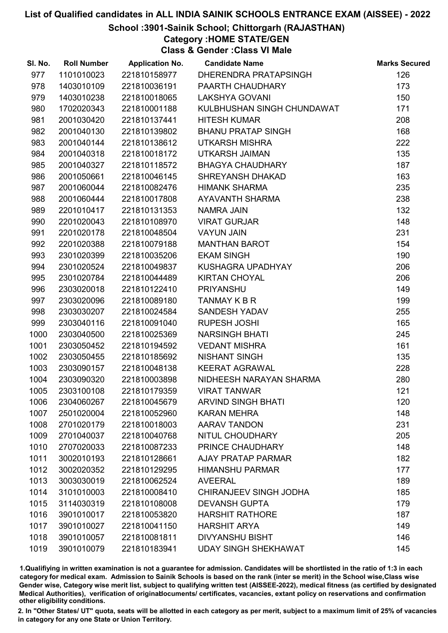School :3901-Sainik School; Chittorgarh (RAJASTHAN)

Category :HOME STATE/GEN

Class & Gender :Class VI Male

| SI. No. | <b>Roll Number</b> | <b>Application No.</b> | <b>Candidate Name</b>       | <b>Marks Secured</b> |
|---------|--------------------|------------------------|-----------------------------|----------------------|
| 977     | 1101010023         | 221810158977           | DHERENDRA PRATAPSINGH       | 126                  |
| 978     | 1403010109         | 221810036191           | PAARTH CHAUDHARY            | 173                  |
| 979     | 1403010238         | 221810018065           | <b>LAKSHYA GOVANI</b>       | 150                  |
| 980     | 1702020343         | 221810001188           | KULBHUSHAN SINGH CHUNDAWAT  | 171                  |
| 981     | 2001030420         | 221810137441           | <b>HITESH KUMAR</b>         | 208                  |
| 982     | 2001040130         | 221810139802           | <b>BHANU PRATAP SINGH</b>   | 168                  |
| 983     | 2001040144         | 221810138612           | <b>UTKARSH MISHRA</b>       | 222                  |
| 984     | 2001040318         | 221810018172           | <b>UTKARSH JAIMAN</b>       | 135                  |
| 985     | 2001040327         | 221810118572           | BHAGYA CHAUDHARY            | 187                  |
| 986     | 2001050661         | 221810046145           | SHREYANSH DHAKAD            | 163                  |
| 987     | 2001060044         | 221810082476           | <b>HIMANK SHARMA</b>        | 235                  |
| 988     | 2001060444         | 221810017808           | AYAVANTH SHARMA             | 238                  |
| 989     | 2201010417         | 221810131353           | <b>NAMRA JAIN</b>           | 132                  |
| 990     | 2201020043         | 221810108970           | <b>VIRAT GURJAR</b>         | 148                  |
| 991     | 2201020178         | 221810048504           | <b>VAYUN JAIN</b>           | 231                  |
| 992     | 2201020388         | 221810079188           | <b>MANTHAN BAROT</b>        | 154                  |
| 993     | 2301020399         | 221810035206           | <b>EKAM SINGH</b>           | 190                  |
| 994     | 2301020524         | 221810049837           | KUSHAGRA UPADHYAY           | 206                  |
| 995     | 2301020784         | 221810044489           | <b>KIRTAN CHOYAL</b>        | 206                  |
| 996     | 2303020018         | 221810122410           | <b>PRIYANSHU</b>            | 149                  |
| 997     | 2303020096         | 221810089180           | TANMAY K B R                | 199                  |
| 998     | 2303030207         | 221810024584           | <b>SANDESH YADAV</b>        | 255                  |
| 999     | 2303040116         | 221810091040           | <b>RUPESH JOSHI</b>         | 165                  |
| 1000    | 2303040500         | 221810025369           | <b>NARSINGH BHATI</b>       | 245                  |
| 1001    | 2303050452         | 221810194592           | <b>VEDANT MISHRA</b>        | 161                  |
| 1002    | 2303050455         | 221810185692           | <b>NISHANT SINGH</b>        | 135                  |
| 1003    | 2303090157         | 221810048138           | <b>KEERAT AGRAWAL</b>       | 228                  |
| 1004    | 2303090320         | 221810003898           | NIDHEESH NARAYAN SHARMA     | 280                  |
| 1005    | 2303100108         | 221810179359           | <b>VIRAT TANWAR</b>         | 121                  |
| 1006    | 2304060267         | 221810045679           | <b>ARVIND SINGH BHATI</b>   | 120                  |
| 1007    | 2501020004         | 221810052960           | <b>KARAN MEHRA</b>          | 148                  |
| 1008    | 2701020179         | 221810018003           | <b>AARAV TANDON</b>         | 231                  |
| 1009    | 2701040037         | 221810040768           | NITUL CHOUDHARY             | 205                  |
| 1010    | 2707020033         | 221810087233           | PRINCE CHAUDHARY            | 148                  |
| 1011    | 3002010193         | 221810128661           | <b>AJAY PRATAP PARMAR</b>   | 182                  |
| 1012    | 3002020352         | 221810129295           | <b>HIMANSHU PARMAR</b>      | 177                  |
| 1013    | 3003030019         | 221810062524           | <b>AVEERAL</b>              | 189                  |
| 1014    | 3101010003         | 221810008410           | CHIRANJEEV SINGH JODHA      | 185                  |
| 1015    | 3114030319         | 221810108008           | <b>DEVANSH GUPTA</b>        | 179                  |
| 1016    | 3901010017         | 221810053820           | <b>HARSHIT RATHORE</b>      | 187                  |
| 1017    | 3901010027         | 221810041150           | <b>HARSHIT ARYA</b>         | 149                  |
| 1018    | 3901010057         | 221810081811           | <b>DIVYANSHU BISHT</b>      | 146                  |
| 1019    | 3901010079         | 221810183941           | <b>UDAY SINGH SHEKHAWAT</b> | 145                  |

1.Qualifiying in written examination is not a guarantee for admission. Candidates will be shortlisted in the ratio of 1:3 in each category for medical exam. Admission to Sainik Schools is based on the rank (inter se merit) in the School wise,Class wise Gender wise, Category wise merit list, subject to qualifying written test (AISSEE-2022), medical fitness (as certified by designated Medical Authorities), verification of originablocuments/ certificates, vacancies, extant policy on reservations and confirmation other eligibility conditions.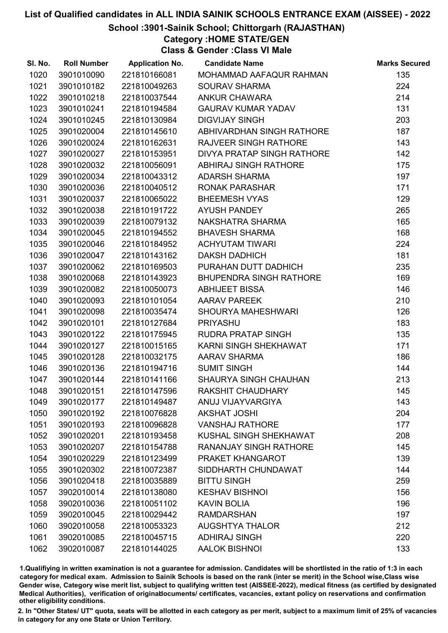## School :3901-Sainik School; Chittorgarh (RAJASTHAN)

Category :HOME STATE/GEN

Class & Gender :Class VI Male

| SI. No. | <b>Roll Number</b> | <b>Application No.</b> | <b>Candidate Name</b>         | <b>Marks Secured</b> |
|---------|--------------------|------------------------|-------------------------------|----------------------|
| 1020    | 3901010090         | 221810166081           | MOHAMMAD AAFAQUR RAHMAN       | 135                  |
| 1021    | 3901010182         | 221810049263           | <b>SOURAV SHARMA</b>          | 224                  |
| 1022    | 3901010218         | 221810037544           | <b>ANKUR CHAWARA</b>          | 214                  |
| 1023    | 3901010241         | 221810194584           | <b>GAURAV KUMAR YADAV</b>     | 131                  |
| 1024    | 3901010245         | 221810130984           | <b>DIGVIJAY SINGH</b>         | 203                  |
| 1025    | 3901020004         | 221810145610           | ABHIVARDHAN SINGH RATHORE     | 187                  |
| 1026    | 3901020024         | 221810162631           | <b>RAJVEER SINGH RATHORE</b>  | 143                  |
| 1027    | 3901020027         | 221810153951           | DIVYA PRATAP SINGH RATHORE    | 142                  |
| 1028    | 3901020032         | 221810056091           | ABHIRAJ SINGH RATHORE         | 175                  |
| 1029    | 3901020034         | 221810043312           | <b>ADARSH SHARMA</b>          | 197                  |
| 1030    | 3901020036         | 221810040512           | <b>RONAK PARASHAR</b>         | 171                  |
| 1031    | 3901020037         | 221810065022           | <b>BHEEMESH VYAS</b>          | 129                  |
| 1032    | 3901020038         | 221810191722           | <b>AYUSH PANDEY</b>           | 265                  |
| 1033    | 3901020039         | 221810079132           | NAKSHATRA SHARMA              | 165                  |
| 1034    | 3901020045         | 221810194552           | <b>BHAVESH SHARMA</b>         | 168                  |
| 1035    | 3901020046         | 221810184952           | <b>ACHYUTAM TIWARI</b>        | 224                  |
| 1036    | 3901020047         | 221810143162           | <b>DAKSH DADHICH</b>          | 181                  |
| 1037    | 3901020062         | 221810169503           | PURAHAN DUTT DADHICH          | 235                  |
| 1038    | 3901020068         | 221810143923           | BHUPENDRA SINGH RATHORE       | 169                  |
| 1039    | 3901020082         | 221810050073           | <b>ABHIJEET BISSA</b>         | 146                  |
| 1040    | 3901020093         | 221810101054           | <b>AARAV PAREEK</b>           | 210                  |
| 1041    | 3901020098         | 221810035474           | SHOURYA MAHESHWARI            | 126                  |
| 1042    | 3901020101         | 221810127684           | <b>PRIYASHU</b>               | 183                  |
| 1043    | 3901020122         | 221810175945           | RUDRA PRATAP SINGH            | 135                  |
| 1044    | 3901020127         | 221810015165           | KARNI SINGH SHEKHAWAT         | 171                  |
| 1045    | 3901020128         | 221810032175           | <b>AARAV SHARMA</b>           | 186                  |
| 1046    | 3901020136         | 221810194716           | <b>SUMIT SINGH</b>            | 144                  |
| 1047    | 3901020144         | 221810141166           | SHAURYA SINGH CHAUHAN         | 213                  |
| 1048    | 3901020151         | 221810147596           | RAKSHIT CHAUDHARY             | 145                  |
| 1049    | 3901020177         | 221810149487           | ANUJ VIJAYVARGIYA             | 143                  |
| 1050    | 3901020192         | 221810076828           | <b>AKSHAT JOSHI</b>           | 204                  |
| 1051    | 3901020193         | 221810096828           | <b>VANSHAJ RATHORE</b>        | 177                  |
| 1052    | 3901020201         | 221810193458           | KUSHAL SINGH SHEKHAWAT        | 208                  |
| 1053    | 3901020207         | 221810154788           | <b>RANANJAY SINGH RATHORE</b> | 145                  |
| 1054    | 3901020229         | 221810123499           | PRAKET KHANGAROT              | 139                  |
| 1055    | 3901020302         | 221810072387           | SIDDHARTH CHUNDAWAT           | 144                  |
| 1056    | 3901020418         | 221810035889           | <b>BITTU SINGH</b>            | 259                  |
| 1057    | 3902010014         | 221810138080           | <b>KESHAV BISHNOI</b>         | 156                  |
| 1058    | 3902010036         | 221810051102           | <b>KAVIN BOLIA</b>            | 196                  |
| 1059    | 3902010045         | 221810029442           | <b>RAMDARSHAN</b>             | 197                  |
| 1060    | 3902010058         | 221810053323           | <b>AUGSHTYA THALOR</b>        | 212                  |
| 1061    | 3902010085         | 221810045715           | <b>ADHIRAJ SINGH</b>          | 220                  |
| 1062    | 3902010087         | 221810144025           | <b>AALOK BISHNOI</b>          | 133                  |

1.Qualifiying in written examination is not a guarantee for admission. Candidates will be shortlisted in the ratio of 1:3 in each category for medical exam. Admission to Sainik Schools is based on the rank (inter se merit) in the School wise,Class wise Gender wise, Category wise merit list, subject to qualifying written test (AISSEE-2022), medical fitness (as certified by designated Medical Authorities), verification of originablocuments/ certificates, vacancies, extant policy on reservations and confirmation other eligibility conditions.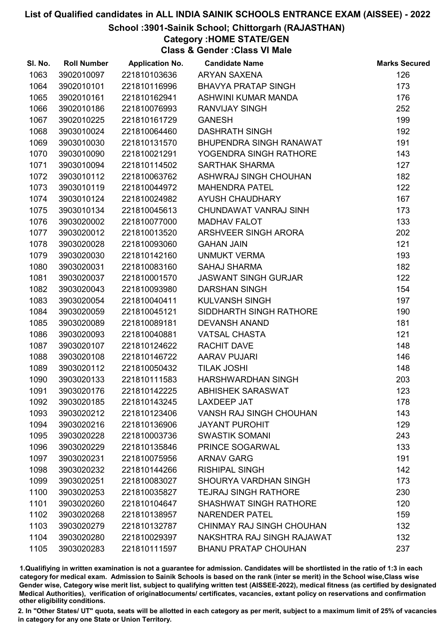## School :3901-Sainik School; Chittorgarh (RAJASTHAN)

Category :HOME STATE/GEN

Class & Gender :Class VI Male

| SI. No. | <b>Roll Number</b> | <b>Application No.</b> | <b>Candidate Name</b>         | <b>Marks Secured</b> |
|---------|--------------------|------------------------|-------------------------------|----------------------|
| 1063    | 3902010097         | 221810103636           | <b>ARYAN SAXENA</b>           | 126                  |
| 1064    | 3902010101         | 221810116996           | <b>BHAVYA PRATAP SINGH</b>    | 173                  |
| 1065    | 3902010161         | 221810162941           | ASHWINI KUMAR MANDA           | 176                  |
| 1066    | 3902010186         | 221810076993           | <b>RANVIJAY SINGH</b>         | 252                  |
| 1067    | 3902010225         | 221810161729           | <b>GANESH</b>                 | 199                  |
| 1068    | 3903010024         | 221810064460           | <b>DASHRATH SINGH</b>         | 192                  |
| 1069    | 3903010030         | 221810131570           | BHUPENDRA SINGH RANAWAT       | 191                  |
| 1070    | 3903010090         | 221810021291           | YOGENDRA SINGH RATHORE        | 143                  |
| 1071    | 3903010094         | 221810114502           | <b>SARTHAK SHARMA</b>         | 127                  |
| 1072    | 3903010112         | 221810063762           | ASHWRAJ SINGH CHOUHAN         | 182                  |
| 1073    | 3903010119         | 221810044972           | <b>MAHENDRA PATEL</b>         | 122                  |
| 1074    | 3903010124         | 221810024982           | AYUSH CHAUDHARY               | 167                  |
| 1075    | 3903010134         | 221810045613           | CHUNDAWAT VANRAJ SINH         | 173                  |
| 1076    | 3903020002         | 221810077000           | <b>MADHAV FALOT</b>           | 133                  |
| 1077    | 3903020012         | 221810013520           | ARSHVEER SINGH ARORA          | 202                  |
| 1078    | 3903020028         | 221810093060           | <b>GAHAN JAIN</b>             | 121                  |
| 1079    | 3903020030         | 221810142160           | UNMUKT VERMA                  | 193                  |
| 1080    | 3903020031         | 221810083160           | <b>SAHAJ SHARMA</b>           | 182                  |
| 1081    | 3903020037         | 221810001570           | <b>JASWANT SINGH GURJAR</b>   | 122                  |
| 1082    | 3903020043         | 221810093980           | <b>DARSHAN SINGH</b>          | 154                  |
| 1083    | 3903020054         | 221810040411           | <b>KULVANSH SINGH</b>         | 197                  |
| 1084    | 3903020059         | 221810045121           | SIDDHARTH SINGH RATHORE       | 190                  |
| 1085    | 3903020089         | 221810089181           | <b>DEVANSH ANAND</b>          | 181                  |
| 1086    | 3903020093         | 221810040881           | <b>VATSAL CHASTA</b>          | 121                  |
| 1087    | 3903020107         | 221810124622           | <b>RACHIT DAVE</b>            | 148                  |
| 1088    | 3903020108         | 221810146722           | <b>AARAV PUJARI</b>           | 146                  |
| 1089    | 3903020112         | 221810050432           | <b>TILAK JOSHI</b>            | 148                  |
| 1090    | 3903020133         | 221810111583           | HARSHWARDHAN SINGH            | 203                  |
| 1091    | 3903020176         | 221810142225           | <b>ABHISHEK SARASWAT</b>      | 123                  |
| 1092    | 3903020185         | 221810143245           | <b>LAXDEEP JAT</b>            | 178                  |
| 1093    | 3903020212         | 221810123406           | VANSH RAJ SINGH CHOUHAN       | 143                  |
| 1094    | 3903020216         | 221810136906           | <b>JAYANT PUROHIT</b>         | 129                  |
| 1095    | 3903020228         | 221810003736           | <b>SWASTIK SOMANI</b>         | 243                  |
| 1096    | 3903020229         | 221810135846           | PRINCE SOGARWAL               | 133                  |
| 1097    | 3903020231         | 221810075956           | <b>ARNAV GARG</b>             | 191                  |
| 1098    | 3903020232         | 221810144266           | <b>RISHIPAL SINGH</b>         | 142                  |
| 1099    | 3903020251         | 221810083027           | <b>SHOURYA VARDHAN SINGH</b>  | 173                  |
| 1100    | 3903020253         | 221810035827           | <b>TEJRAJ SINGH RATHORE</b>   | 230                  |
| 1101    | 3903020260         | 221810104647           | <b>SHASHWAT SINGH RATHORE</b> | 120                  |
| 1102    | 3903020268         | 221810138957           | <b>NARENDER PATEL</b>         | 159                  |
| 1103    | 3903020279         | 221810132787           | CHINMAY RAJ SINGH CHOUHAN     | 132                  |
| 1104    | 3903020280         | 221810029397           | NAKSHTRA RAJ SINGH RAJAWAT    | 132                  |
| 1105    | 3903020283         | 221810111597           | <b>BHANU PRATAP CHOUHAN</b>   | 237                  |

1.Qualifiying in written examination is not a guarantee for admission. Candidates will be shortlisted in the ratio of 1:3 in each category for medical exam. Admission to Sainik Schools is based on the rank (inter se merit) in the School wise,Class wise Gender wise, Category wise merit list, subject to qualifying written test (AISSEE-2022), medical fitness (as certified by designated Medical Authorities), verification of originablocuments/ certificates, vacancies, extant policy on reservations and confirmation other eligibility conditions.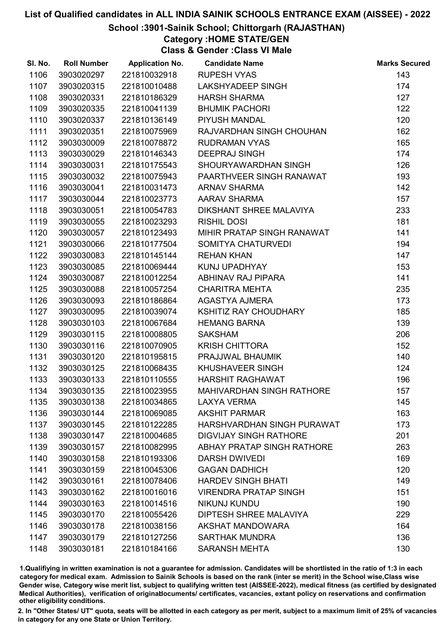## School :3901-Sainik School; Chittorgarh (RAJASTHAN)

Category :HOME STATE/GEN

Class & Gender :Class VI Male

| SI. No. | <b>Roll Number</b> | <b>Application No.</b> | <b>Candidate Name</b>             | <b>Marks Secured</b> |
|---------|--------------------|------------------------|-----------------------------------|----------------------|
| 1106    | 3903020297         | 221810032918           | <b>RUPESH VYAS</b>                | 143                  |
| 1107    | 3903020315         | 221810010488           | <b>LAKSHYADEEP SINGH</b>          | 174                  |
| 1108    | 3903020331         | 221810186329           | <b>HARSH SHARMA</b>               | 127                  |
| 1109    | 3903020335         | 221810041139           | <b>BHUMIK PACHORI</b>             | 122                  |
| 1110    | 3903020337         | 221810136149           | PIYUSH MANDAL                     | 120                  |
| 1111    | 3903020351         | 221810075969           | RAJVARDHAN SINGH CHOUHAN          | 162                  |
| 1112    | 3903030009         | 221810078872           | <b>RUDRAMAN VYAS</b>              | 165                  |
| 1113    | 3903030029         | 221810146343           | <b>DEEPRAJ SINGH</b>              | 174                  |
| 1114    | 3903030031         | 221810175543           | SHOURYAWARDHAN SINGH              | 126                  |
| 1115    | 3903030032         | 221810075943           | PAARTHVEER SINGH RANAWAT          | 193                  |
| 1116    | 3903030041         | 221810031473           | <b>ARNAV SHARMA</b>               | 142                  |
| 1117    | 3903030044         | 221810023773           | AARAV SHARMA                      | 157                  |
| 1118    | 3903030051         | 221810054783           | DIKSHANT SHREE MALAVIYA           | 233                  |
| 1119    | 3903030055         | 221810023293           | <b>RISHIL DOSI</b>                | 181                  |
| 1120    | 3903030057         | 221810123493           | MIHIR PRATAP SINGH RANAWAT        | 141                  |
| 1121    | 3903030066         | 221810177504           | SOMITYA CHATURVEDI                | 194                  |
| 1122    | 3903030083         | 221810145144           | <b>REHAN KHAN</b>                 | 147                  |
| 1123    | 3903030085         | 221810069444           | KUNJ UPADHYAY                     | 153                  |
| 1124    | 3903030087         | 221810012254           | ABHINAV RAJ PIPARA                | 141                  |
| 1125    | 3903030088         | 221810057254           | <b>CHARITRA MEHTA</b>             | 235                  |
| 1126    | 3903030093         | 221810186864           | AGASTYA AJMERA                    | 173                  |
| 1127    | 3903030095         | 221810039074           | <b>KSHITIZ RAY CHOUDHARY</b>      | 185                  |
| 1128    | 3903030103         | 221810067684           | <b>HEMANG BARNA</b>               | 139                  |
| 1129    | 3903030115         | 221810008805           | <b>SAKSHAM</b>                    | 206                  |
| 1130    | 3903030116         | 221810070905           | <b>KRISH CHITTORA</b>             | 152                  |
| 1131    | 3903030120         | 221810195815           | PRAJJWAL BHAUMIK                  | 140                  |
| 1132    | 3903030125         | 221810068435           | KHUSHAVEER SINGH                  | 124                  |
| 1133    | 3903030133         | 221810110555           | <b>HARSHIT RAGHAWAT</b>           | 196                  |
| 1134    | 3903030135         | 221810023955           | <b>MAHIVARDHAN SINGH RATHORE</b>  | 157                  |
| 1135    | 3903030138         | 221810034865           | <b>LAXYA VERMA</b>                | 145                  |
| 1136    | 3903030144         | 221810069085           | <b>AKSHIT PARMAR</b>              | 163                  |
| 1137    | 3903030145         | 221810122285           | HARSHVARDHAN SINGH PURAWAT        | 173                  |
| 1138    | 3903030147         | 221810004685           | <b>DIGVIJAY SINGH RATHORE</b>     | 201                  |
| 1139    | 3903030157         | 221810082995           | <b>ABHAY PRATAP SINGH RATHORE</b> | 263                  |
| 1140    | 3903030158         | 221810193306           | <b>DARSH DWIVEDI</b>              | 169                  |
| 1141    | 3903030159         | 221810045306           | <b>GAGAN DADHICH</b>              | 120                  |
| 1142    | 3903030161         | 221810078406           | <b>HARDEV SINGH BHATI</b>         | 149                  |
| 1143    | 3903030162         | 221810016016           | <b>VIRENDRA PRATAP SINGH</b>      | 151                  |
| 1144    | 3903030163         | 221810014516           | <b>NIKUNJ KUNDU</b>               | 190                  |
| 1145    | 3903030170         | 221810055426           | DIPTESH SHREE MALAVIYA            | 229                  |
| 1146    | 3903030178         | 221810038156           | AKSHAT MANDOWARA                  | 164                  |
| 1147    | 3903030179         | 221810127256           | <b>SARTHAK MUNDRA</b>             | 136                  |
| 1148    | 3903030181         | 221810184166           | <b>SARANSH MEHTA</b>              | 130                  |

1.Qualifiying in written examination is not a guarantee for admission. Candidates will be shortlisted in the ratio of 1:3 in each category for medical exam. Admission to Sainik Schools is based on the rank (inter se merit) in the School wise,Class wise Gender wise, Category wise merit list, subject to qualifying written test (AISSEE-2022), medical fitness (as certified by designated Medical Authorities), verification of originablocuments/ certificates, vacancies, extant policy on reservations and confirmation other eligibility conditions.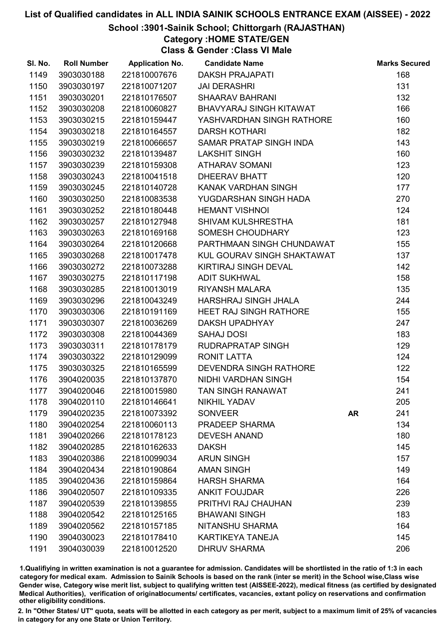## School :3901-Sainik School; Chittorgarh (RAJASTHAN)

Category :HOME STATE/GEN

Class & Gender :Class VI Male

| SI. No. | <b>Roll Number</b> | <b>Application No.</b> | <b>Candidate Name</b>         |           | <b>Marks Secured</b> |
|---------|--------------------|------------------------|-------------------------------|-----------|----------------------|
| 1149    | 3903030188         | 221810007676           | <b>DAKSH PRAJAPATI</b>        |           | 168                  |
| 1150    | 3903030197         | 221810071207           | <b>JAI DERASHRI</b>           |           | 131                  |
| 1151    | 3903030201         | 221810176507           | <b>SHAARAV BAHRANI</b>        |           | 132                  |
| 1152    | 3903030208         | 221810060827           | BHAVYARAJ SINGH KITAWAT       |           | 166                  |
| 1153    | 3903030215         | 221810159447           | YASHVARDHAN SINGH RATHORE     |           | 160                  |
| 1154    | 3903030218         | 221810164557           | <b>DARSH KOTHARI</b>          |           | 182                  |
| 1155    | 3903030219         | 221810066657           | SAMAR PRATAP SINGH INDA       |           | 143                  |
| 1156    | 3903030232         | 221810139487           | <b>LAKSHIT SINGH</b>          |           | 160                  |
| 1157    | 3903030239         | 221810159308           | <b>ATHARAV SOMANI</b>         |           | 123                  |
| 1158    | 3903030243         | 221810041518           | <b>DHEERAV BHATT</b>          |           | 120                  |
| 1159    | 3903030245         | 221810140728           | KANAK VARDHAN SINGH           |           | 177                  |
| 1160    | 3903030250         | 221810083538           | YUGDARSHAN SINGH HADA         |           | 270                  |
| 1161    | 3903030252         | 221810180448           | <b>HEMANT VISHNOI</b>         |           | 124                  |
| 1162    | 3903030257         | 221810127948           | SHIVAM KULSHRESTHA            |           | 181                  |
| 1163    | 3903030263         | 221810169168           | <b>SOMESH CHOUDHARY</b>       |           | 123                  |
| 1164    | 3903030264         | 221810120668           | PARTHMAAN SINGH CHUNDAWAT     |           | 155                  |
| 1165    | 3903030268         | 221810017478           | KUL GOURAV SINGH SHAKTAWAT    |           | 137                  |
| 1166    | 3903030272         | 221810073288           | KIRTIRAJ SINGH DEVAL          |           | 142                  |
| 1167    | 3903030275         | 221810117198           | <b>ADIT SUKHWAL</b>           |           | 158                  |
| 1168    | 3903030285         | 221810013019           | <b>RIYANSH MALARA</b>         |           | 135                  |
| 1169    | 3903030296         | 221810043249           | HARSHRAJ SINGH JHALA          |           | 244                  |
| 1170    | 3903030306         | 221810191169           | <b>HEET RAJ SINGH RATHORE</b> |           | 155                  |
| 1171    | 3903030307         | 221810036269           | <b>DAKSH UPADHYAY</b>         |           | 247                  |
| 1172    | 3903030308         | 221810044369           | <b>SAHAJ DOSI</b>             |           | 183                  |
| 1173    | 3903030311         | 221810178179           | RUDRAPRATAP SINGH             |           | 129                  |
| 1174    | 3903030322         | 221810129099           | <b>RONIT LATTA</b>            |           | 124                  |
| 1175    | 3903030325         | 221810165599           | <b>DEVENDRA SINGH RATHORE</b> |           | 122                  |
| 1176    | 3904020035         | 221810137870           | NIDHI VARDHAN SINGH           |           | 154                  |
| 1177    | 3904020046         | 221810015980           | <b>TAN SINGH RANAWAT</b>      |           | 241                  |
| 1178    | 3904020110         | 221810146641           | <b>NIKHIL YADAV</b>           |           | 205                  |
| 1179    | 3904020235         | 221810073392           | <b>SONVEER</b>                | <b>AR</b> | 241                  |
| 1180    | 3904020254         | 221810060113           | <b>PRADEEP SHARMA</b>         |           | 134                  |
| 1181    | 3904020266         | 221810178123           | <b>DEVESH ANAND</b>           |           | 180                  |
| 1182    | 3904020285         | 221810162633           | <b>DAKSH</b>                  |           | 145                  |
| 1183    | 3904020386         | 221810099034           | <b>ARUN SINGH</b>             |           | 157                  |
| 1184    | 3904020434         | 221810190864           | <b>AMAN SINGH</b>             |           | 149                  |
| 1185    | 3904020436         | 221810159864           | <b>HARSH SHARMA</b>           |           | 164                  |
| 1186    | 3904020507         | 221810109335           | <b>ANKIT FOUJDAR</b>          |           | 226                  |
| 1187    | 3904020539         | 221810139855           | PRITHVI RAJ CHAUHAN           |           | 239                  |
| 1188    | 3904020542         | 221810125165           | <b>BHAWANI SINGH</b>          |           | 183                  |
| 1189    | 3904020562         | 221810157185           | NITANSHU SHARMA               |           | 164                  |
| 1190    | 3904030023         | 221810178410           | <b>KARTIKEYA TANEJA</b>       |           | 145                  |
| 1191    | 3904030039         | 221810012520           | <b>DHRUV SHARMA</b>           |           | 206                  |

1.Qualifiying in written examination is not a guarantee for admission. Candidates will be shortlisted in the ratio of 1:3 in each category for medical exam. Admission to Sainik Schools is based on the rank (inter se merit) in the School wise,Class wise Gender wise, Category wise merit list, subject to qualifying written test (AISSEE-2022), medical fitness (as certified by designated Medical Authorities), verification of originablocuments/ certificates, vacancies, extant policy on reservations and confirmation other eligibility conditions.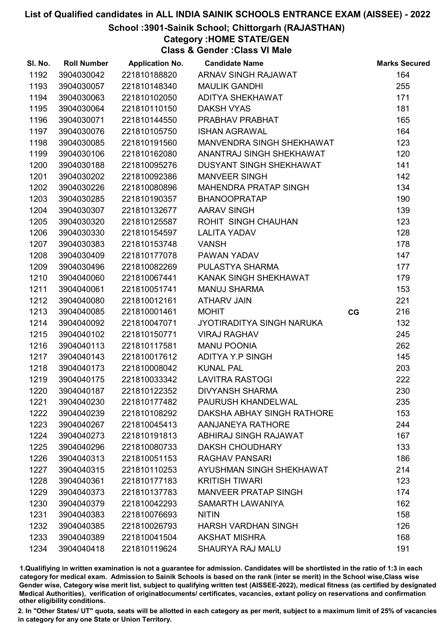## School :3901-Sainik School; Chittorgarh (RAJASTHAN)

Category :HOME STATE/GEN

Class & Gender :Class VI Male

| SI. No. | <b>Roll Number</b> | <b>Application No.</b> | <b>Candidate Name</b>       |    | <b>Marks Secured</b> |
|---------|--------------------|------------------------|-----------------------------|----|----------------------|
| 1192    | 3904030042         | 221810188820           | ARNAV SINGH RAJAWAT         |    | 164                  |
| 1193    | 3904030057         | 221810148340           | <b>MAULIK GANDHI</b>        |    | 255                  |
| 1194    | 3904030063         | 221810102050           | ADITYA SHEKHAWAT            |    | 171                  |
| 1195    | 3904030064         | 221810110150           | <b>DAKSH VYAS</b>           |    | 181                  |
| 1196    | 3904030071         | 221810144550           | PRABHAV PRABHAT             |    | 165                  |
| 1197    | 3904030076         | 221810105750           | <b>ISHAN AGRAWAL</b>        |    | 164                  |
| 1198    | 3904030085         | 221810191560           | MANVENDRA SINGH SHEKHAWAT   |    | 123                  |
| 1199    | 3904030106         | 221810162080           | ANANTRAJ SINGH SHEKHAWAT    |    | 120                  |
| 1200    | 3904030188         | 221810095276           | DUSYANT SINGH SHEKHAWAT     |    | 141                  |
| 1201    | 3904030202         | 221810092386           | <b>MANVEER SINGH</b>        |    | 142                  |
| 1202    | 3904030226         | 221810080896           | MAHENDRA PRATAP SINGH       |    | 134                  |
| 1203    | 3904030285         | 221810190357           | <b>BHANOOPRATAP</b>         |    | 190                  |
| 1204    | 3904030307         | 221810132677           | <b>AARAV SINGH</b>          |    | 139                  |
| 1205    | 3904030320         | 221810125587           | ROHIT SINGH CHAUHAN         |    | 123                  |
| 1206    | 3904030330         | 221810154597           | <b>LALITA YADAV</b>         |    | 128                  |
| 1207    | 3904030383         | 221810153748           | <b>VANSH</b>                |    | 178                  |
| 1208    | 3904030409         | 221810177078           | PAWAN YADAV                 |    | 147                  |
| 1209    | 3904030496         | 221810082269           | PULASTYA SHARMA             |    | 177                  |
| 1210    | 3904040060         | 221810067441           | KANAK SINGH SHEKHAWAT       |    | 179                  |
| 1211    | 3904040061         | 221810051741           | <b>MANUJ SHARMA</b>         |    | 153                  |
| 1212    | 3904040080         | 221810012161           | <b>ATHARV JAIN</b>          |    | 221                  |
| 1213    | 3904040085         | 221810001461           | <b>MOHIT</b>                | CG | 216                  |
| 1214    | 3904040092         | 221810047071           | JYOTIRADITYA SINGH NARUKA   |    | 132                  |
| 1215    | 3904040102         | 221810150771           | <b>VIRAJ RAGHAV</b>         |    | 245                  |
| 1216    | 3904040113         | 221810117581           | <b>MANU POONIA</b>          |    | 262                  |
| 1217    | 3904040143         | 221810017612           | ADITYA Y.P SINGH            |    | 145                  |
| 1218    | 3904040173         | 221810008042           | <b>KUNAL PAL</b>            |    | 203                  |
| 1219    | 3904040175         | 221810033342           | <b>LAVITRA RASTOGI</b>      |    | 222                  |
| 1220    | 3904040187         | 221810122352           | <b>DIVYANSH SHARMA</b>      |    | 230                  |
| 1221    | 3904040230         | 221810177482           | PAURUSH KHANDELWAL          |    | 235                  |
| 1222    | 3904040239         | 221810108292           | DAKSHA ABHAY SINGH RATHORE  |    | 153                  |
| 1223    | 3904040267         | 221810045413           | AANJANEYA RATHORE           |    | 244                  |
| 1224    | 3904040273         | 221810191813           | ABHIRAJ SINGH RAJAWAT       |    | 167                  |
| 1225    | 3904040296         | 221810080733           | <b>DAKSH CHOUDHARY</b>      |    | 133                  |
| 1226    | 3904040313         | 221810051153           | RAGHAV PANSARI              |    | 186                  |
| 1227    | 3904040315         | 221810110253           | AYUSHMAN SINGH SHEKHAWAT    |    | 214                  |
| 1228    | 3904040361         | 221810177183           | <b>KRITISH TIWARI</b>       |    | 123                  |
| 1229    | 3904040373         | 221810137783           | <b>MANVEER PRATAP SINGH</b> |    | 174                  |
| 1230    | 3904040379         | 221810042293           | SAMARTH LAWANIYA            |    | 162                  |
| 1231    | 3904040383         | 221810076693           | <b>NITIN</b>                |    | 158                  |
| 1232    | 3904040385         | 221810026793           | <b>HARSH VARDHAN SINGH</b>  |    | 126                  |
| 1233    | 3904040389         | 221810041504           | <b>AKSHAT MISHRA</b>        |    | 168                  |
| 1234    | 3904040418         | 221810119624           | <b>SHAURYA RAJ MALU</b>     |    | 191                  |

1.Qualifiying in written examination is not a guarantee for admission. Candidates will be shortlisted in the ratio of 1:3 in each category for medical exam. Admission to Sainik Schools is based on the rank (inter se merit) in the School wise,Class wise Gender wise, Category wise merit list, subject to qualifying written test (AISSEE-2022), medical fitness (as certified by designated Medical Authorities), verification of originablocuments/ certificates, vacancies, extant policy on reservations and confirmation other eligibility conditions.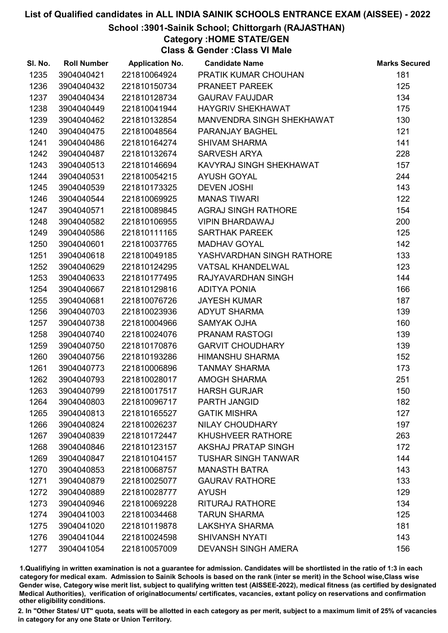### School :3901-Sainik School; Chittorgarh (RAJASTHAN)

Category :HOME STATE/GEN

Class & Gender :Class VI Male

| SI. No. | <b>Roll Number</b> | <b>Application No.</b> | <b>Candidate Name</b>      | <b>Marks Secured</b> |
|---------|--------------------|------------------------|----------------------------|----------------------|
| 1235    | 3904040421         | 221810064924           | PRATIK KUMAR CHOUHAN       | 181                  |
| 1236    | 3904040432         | 221810150734           | PRANEET PAREEK             | 125                  |
| 1237    | 3904040434         | 221810128734           | <b>GAURAV FAUJDAR</b>      | 134                  |
| 1238    | 3904040449         | 221810041944           | <b>HAYGRIV SHEKHAWAT</b>   | 175                  |
| 1239    | 3904040462         | 221810132854           | MANVENDRA SINGH SHEKHAWAT  | 130                  |
| 1240    | 3904040475         | 221810048564           | PARANJAY BAGHEL            | 121                  |
| 1241    | 3904040486         | 221810164274           | <b>SHIVAM SHARMA</b>       | 141                  |
| 1242    | 3904040487         | 221810132674           | <b>SARVESH ARYA</b>        | 228                  |
| 1243    | 3904040513         | 221810146694           | KAVYRAJ SINGH SHEKHAWAT    | 157                  |
| 1244    | 3904040531         | 221810054215           | <b>AYUSH GOYAL</b>         | 244                  |
| 1245    | 3904040539         | 221810173325           | <b>DEVEN JOSHI</b>         | 143                  |
| 1246    | 3904040544         | 221810069925           | <b>MANAS TIWARI</b>        | 122                  |
| 1247    | 3904040571         | 221810089845           | AGRAJ SINGH RATHORE        | 154                  |
| 1248    | 3904040582         | 221810106955           | <b>VIPIN BHARDAWAJ</b>     | 200                  |
| 1249    | 3904040586         | 221810111165           | <b>SARTHAK PAREEK</b>      | 125                  |
| 1250    | 3904040601         | 221810037765           | <b>MADHAV GOYAL</b>        | 142                  |
| 1251    | 3904040618         | 221810049185           | YASHVARDHAN SINGH RATHORE  | 133                  |
| 1252    | 3904040629         | 221810124295           | <b>VATSAL KHANDELWAL</b>   | 123                  |
| 1253    | 3904040633         | 221810177495           | RAJYAVARDHAN SINGH         | 144                  |
| 1254    | 3904040667         | 221810129816           | <b>ADITYA PONIA</b>        | 166                  |
| 1255    | 3904040681         | 221810076726           | <b>JAYESH KUMAR</b>        | 187                  |
| 1256    | 3904040703         | 221810023936           | <b>ADYUT SHARMA</b>        | 139                  |
| 1257    | 3904040738         | 221810004966           | <b>SAMYAK OJHA</b>         | 160                  |
| 1258    | 3904040740         | 221810024076           | PRANAM RASTOGI             | 139                  |
| 1259    | 3904040750         | 221810170876           | <b>GARVIT CHOUDHARY</b>    | 139                  |
| 1260    | 3904040756         | 221810193286           | <b>HIMANSHU SHARMA</b>     | 152                  |
| 1261    | 3904040773         | 221810006896           | <b>TANMAY SHARMA</b>       | 173                  |
| 1262    | 3904040793         | 221810028017           | AMOGH SHARMA               | 251                  |
| 1263    | 3904040799         | 221810017517           | <b>HARSH GURJAR</b>        | 150                  |
| 1264    | 3904040803         | 221810096717           | PARTH JANGID               | 182                  |
| 1265    | 3904040813         | 221810165527           | <b>GATIK MISHRA</b>        | 127                  |
| 1266    | 3904040824         | 221810026237           | NILAY CHOUDHARY            | 197                  |
| 1267    | 3904040839         | 221810172447           | <b>KHUSHVEER RATHORE</b>   | 263                  |
| 1268    | 3904040846         | 221810123157           | <b>AKSHAJ PRATAP SINGH</b> | 172                  |
| 1269    | 3904040847         | 221810104157           | <b>TUSHAR SINGH TANWAR</b> | 144                  |
| 1270    | 3904040853         | 221810068757           | <b>MANASTH BATRA</b>       | 143                  |
| 1271    | 3904040879         | 221810025077           | <b>GAURAV RATHORE</b>      | 133                  |
| 1272    | 3904040889         | 221810028777           | <b>AYUSH</b>               | 129                  |
| 1273    | 3904040946         | 221810069228           | <b>RITURAJ RATHORE</b>     | 134                  |
| 1274    | 3904041003         | 221810034468           | <b>TARUN SHARMA</b>        | 125                  |
| 1275    | 3904041020         | 221810119878           | <b>LAKSHYA SHARMA</b>      | 181                  |
| 1276    | 3904041044         | 221810024598           | <b>SHIVANSH NYATI</b>      | 143                  |
| 1277    | 3904041054         | 221810057009           | <b>DEVANSH SINGH AMERA</b> | 156                  |

1.Qualifiying in written examination is not a guarantee for admission. Candidates will be shortlisted in the ratio of 1:3 in each category for medical exam. Admission to Sainik Schools is based on the rank (inter se merit) in the School wise,Class wise Gender wise, Category wise merit list, subject to qualifying written test (AISSEE-2022), medical fitness (as certified by designated Medical Authorities), verification of originablocuments/ certificates, vacancies, extant policy on reservations and confirmation other eligibility conditions.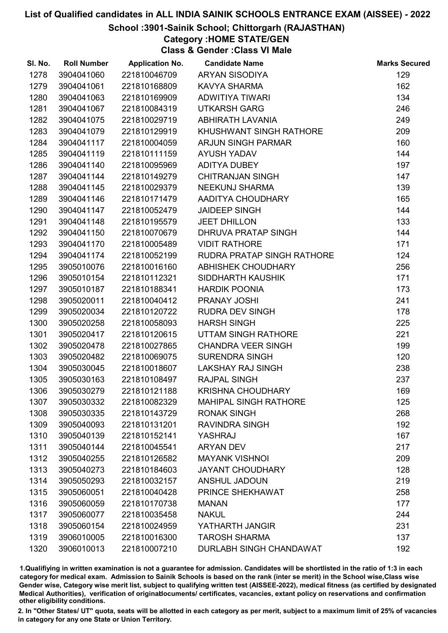## School :3901-Sainik School; Chittorgarh (RAJASTHAN)

Category :HOME STATE/GEN

Class & Gender :Class VI Male

| SI. No. | <b>Roll Number</b> | <b>Application No.</b> | <b>Candidate Name</b>             | <b>Marks Secured</b> |
|---------|--------------------|------------------------|-----------------------------------|----------------------|
| 1278    | 3904041060         | 221810046709           | <b>ARYAN SISODIYA</b>             | 129                  |
| 1279    | 3904041061         | 221810168809           | <b>KAVYA SHARMA</b>               | 162                  |
| 1280    | 3904041063         | 221810169909           | <b>ADWITIYA TIWARI</b>            | 134                  |
| 1281    | 3904041067         | 221810084319           | <b>UTKARSH GARG</b>               | 246                  |
| 1282    | 3904041075         | 221810029719           | <b>ABHIRATH LAVANIA</b>           | 249                  |
| 1283    | 3904041079         | 221810129919           | KHUSHWANT SINGH RATHORE           | 209                  |
| 1284    | 3904041117         | 221810004059           | <b>ARJUN SINGH PARMAR</b>         | 160                  |
| 1285    | 3904041119         | 221810111159           | <b>AYUSH YADAV</b>                | 144                  |
| 1286    | 3904041140         | 221810095969           | ADITYA DUBEY                      | 197                  |
| 1287    | 3904041144         | 221810149279           | <b>CHITRANJAN SINGH</b>           | 147                  |
| 1288    | 3904041145         | 221810029379           | NEEKUNJ SHARMA                    | 139                  |
| 1289    | 3904041146         | 221810171479           | AADITYA CHOUDHARY                 | 165                  |
| 1290    | 3904041147         | 221810052479           | <b>JAIDEEP SINGH</b>              | 144                  |
| 1291    | 3904041148         | 221810195579           | <b>JEET DHILLON</b>               | 133                  |
| 1292    | 3904041150         | 221810070679           | DHRUVA PRATAP SINGH               | 144                  |
| 1293    | 3904041170         | 221810005489           | <b>VIDIT RATHORE</b>              | 171                  |
| 1294    | 3904041174         | 221810052199           | <b>RUDRA PRATAP SINGH RATHORE</b> | 124                  |
| 1295    | 3905010076         | 221810016160           | <b>ABHISHEK CHOUDHARY</b>         | 256                  |
| 1296    | 3905010154         | 221810112321           | SIDDHARTH KAUSHIK                 | 171                  |
| 1297    | 3905010187         | 221810188341           | <b>HARDIK POONIA</b>              | 173                  |
| 1298    | 3905020011         | 221810040412           | PRANAY JOSHI                      | 241                  |
| 1299    | 3905020034         | 221810120722           | <b>RUDRA DEV SINGH</b>            | 178                  |
| 1300    | 3905020258         | 221810058093           | <b>HARSH SINGH</b>                | 225                  |
| 1301    | 3905020417         | 221810120615           | UTTAM SINGH RATHORE               | 221                  |
| 1302    | 3905020478         | 221810027865           | <b>CHANDRA VEER SINGH</b>         | 199                  |
| 1303    | 3905020482         | 221810069075           | SURENDRA SINGH                    | 120                  |
| 1304    | 3905030045         | 221810018607           | <b>LAKSHAY RAJ SINGH</b>          | 238                  |
| 1305    | 3905030163         | 221810108497           | <b>RAJPAL SINGH</b>               | 237                  |
| 1306    | 3905030279         | 221810121188           | <b>KRISHNA CHOUDHARY</b>          | 169                  |
| 1307    | 3905030332         | 221810082329           | <b>MAHIPAL SINGH RATHORE</b>      | 125                  |
| 1308    | 3905030335         | 221810143729           | <b>RONAK SINGH</b>                | 268                  |
| 1309    | 3905040093         | 221810131201           | <b>RAVINDRA SINGH</b>             | 192                  |
| 1310    | 3905040139         | 221810152141           | YASHRAJ                           | 167                  |
| 1311    | 3905040144         | 221810045541           | <b>ARYAN DEV</b>                  | 217                  |
| 1312    | 3905040255         | 221810126582           | <b>MAYANK VISHNOI</b>             | 209                  |
| 1313    | 3905040273         | 221810184603           | <b>JAYANT CHOUDHARY</b>           | 128                  |
| 1314    | 3905050293         | 221810032157           | <b>ANSHUL JADOUN</b>              | 219                  |
| 1315    | 3905060051         | 221810040428           | PRINCE SHEKHAWAT                  | 258                  |
| 1316    | 3905060059         | 221810170738           | <b>MANAN</b>                      | 177                  |
| 1317    | 3905060077         | 221810035458           | <b>NAKUL</b>                      | 244                  |
| 1318    | 3905060154         | 221810024959           | YATHARTH JANGIR                   | 231                  |
| 1319    | 3906010005         | 221810016300           | <b>TAROSH SHARMA</b>              | 137                  |
| 1320    | 3906010013         | 221810007210           | DURLABH SINGH CHANDAWAT           | 192                  |

1.Qualifiying in written examination is not a guarantee for admission. Candidates will be shortlisted in the ratio of 1:3 in each category for medical exam. Admission to Sainik Schools is based on the rank (inter se merit) in the School wise,Class wise Gender wise, Category wise merit list, subject to qualifying written test (AISSEE-2022), medical fitness (as certified by designated Medical Authorities), verification of originablocuments/ certificates, vacancies, extant policy on reservations and confirmation other eligibility conditions.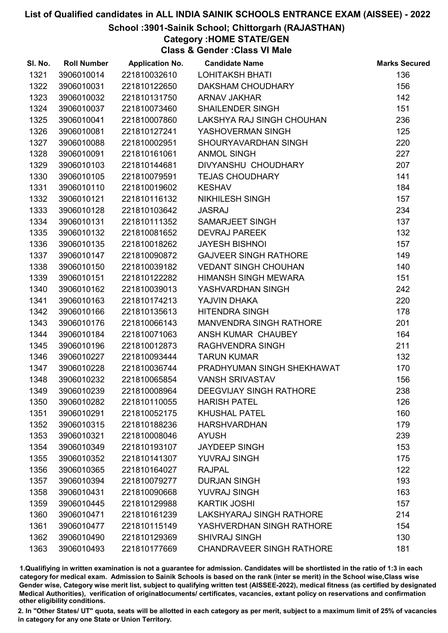## School :3901-Sainik School; Chittorgarh (RAJASTHAN)

Category :HOME STATE/GEN

Class & Gender :Class VI Male

| SI. No. | <b>Roll Number</b> | <b>Application No.</b> | <b>Candidate Name</b>            | <b>Marks Secured</b> |
|---------|--------------------|------------------------|----------------------------------|----------------------|
| 1321    | 3906010014         | 221810032610           | <b>LOHITAKSH BHATI</b>           | 136                  |
| 1322    | 3906010031         | 221810122650           | <b>DAKSHAM CHOUDHARY</b>         | 156                  |
| 1323    | 3906010032         | 221810131750           | <b>ARNAV JAKHAR</b>              | 142                  |
| 1324    | 3906010037         | 221810073460           | <b>SHAILENDER SINGH</b>          | 151                  |
| 1325    | 3906010041         | 221810007860           | LAKSHYA RAJ SINGH CHOUHAN        | 236                  |
| 1326    | 3906010081         | 221810127241           | YASHOVERMAN SINGH                | 125                  |
| 1327    | 3906010088         | 221810002951           | SHOURYAVARDHAN SINGH             | 220                  |
| 1328    | 3906010091         | 221810161061           | <b>ANMOL SINGH</b>               | 227                  |
| 1329    | 3906010103         | 221810144681           | DIVYANSHU CHOUDHARY              | 207                  |
| 1330    | 3906010105         | 221810079591           | <b>TEJAS CHOUDHARY</b>           | 141                  |
| 1331    | 3906010110         | 221810019602           | <b>KESHAV</b>                    | 184                  |
| 1332    | 3906010121         | 221810116132           | <b>NIKHILESH SINGH</b>           | 157                  |
| 1333    | 3906010128         | 221810103642           | <b>JASRAJ</b>                    | 234                  |
| 1334    | 3906010131         | 221810111352           | SAMARJEET SINGH                  | 137                  |
| 1335    | 3906010132         | 221810081652           | <b>DEVRAJ PAREEK</b>             | 132                  |
| 1336    | 3906010135         | 221810018262           | <b>JAYESH BISHNOI</b>            | 157                  |
| 1337    | 3906010147         | 221810090872           | <b>GAJVEER SINGH RATHORE</b>     | 149                  |
| 1338    | 3906010150         | 221810039182           | <b>VEDANT SINGH CHOUHAN</b>      | 140                  |
| 1339    | 3906010151         | 221810122282           | <b>HIMANSH SINGH MEWARA</b>      | 151                  |
| 1340    | 3906010162         | 221810039013           | YASHVARDHAN SINGH                | 242                  |
| 1341    | 3906010163         | 221810174213           | YAJVIN DHAKA                     | 220                  |
| 1342    | 3906010166         | 221810135613           | <b>HITENDRA SINGH</b>            | 178                  |
| 1343    | 3906010176         | 221810066143           | MANVENDRA SINGH RATHORE          | 201                  |
| 1344    | 3906010184         | 221810071063           | ANSH KUMAR CHAUBEY               | 164                  |
| 1345    | 3906010196         | 221810012873           | <b>RAGHVENDRA SINGH</b>          | 211                  |
| 1346    | 3906010227         | 221810093444           | <b>TARUN KUMAR</b>               | 132                  |
| 1347    | 3906010228         | 221810036744           | PRADHYUMAN SINGH SHEKHAWAT       | 170                  |
| 1348    | 3906010232         | 221810065854           | <b>VANSH SRIVASTAV</b>           | 156                  |
| 1349    | 3906010239         | 221810008964           | <b>DEEGVIJAY SINGH RATHORE</b>   | 238                  |
| 1350    | 3906010282         | 221810110055           | <b>HARISH PATEL</b>              | 126                  |
| 1351    | 3906010291         | 221810052175           | <b>KHUSHAL PATEL</b>             | 160                  |
| 1352    | 3906010315         | 221810188236           | <b>HARSHVARDHAN</b>              | 179                  |
| 1353    | 3906010321         | 221810008046           | <b>AYUSH</b>                     | 239                  |
| 1354    | 3906010349         | 221810193107           | <b>JAYDEEP SINGH</b>             | 153                  |
| 1355    | 3906010352         | 221810141307           | <b>YUVRAJ SINGH</b>              | 175                  |
| 1356    | 3906010365         | 221810164027           | <b>RAJPAL</b>                    | 122                  |
| 1357    | 3906010394         | 221810079277           | <b>DURJAN SINGH</b>              | 193                  |
| 1358    | 3906010431         | 221810090668           | <b>YUVRAJ SINGH</b>              | 163                  |
| 1359    | 3906010445         | 221810129988           | <b>KARTIK JOSHI</b>              | 157                  |
| 1360    | 3906010471         | 221810161239           | <b>LAKSHYARAJ SINGH RATHORE</b>  | 214                  |
| 1361    | 3906010477         | 221810115149           | YASHVERDHAN SINGH RATHORE        | 154                  |
| 1362    | 3906010490         | 221810129369           | <b>SHIVRAJ SINGH</b>             | 130                  |
| 1363    | 3906010493         | 221810177669           | <b>CHANDRAVEER SINGH RATHORE</b> | 181                  |

1.Qualifiying in written examination is not a guarantee for admission. Candidates will be shortlisted in the ratio of 1:3 in each category for medical exam. Admission to Sainik Schools is based on the rank (inter se merit) in the School wise,Class wise Gender wise, Category wise merit list, subject to qualifying written test (AISSEE-2022), medical fitness (as certified by designated Medical Authorities), verification of originablocuments/ certificates, vacancies, extant policy on reservations and confirmation other eligibility conditions.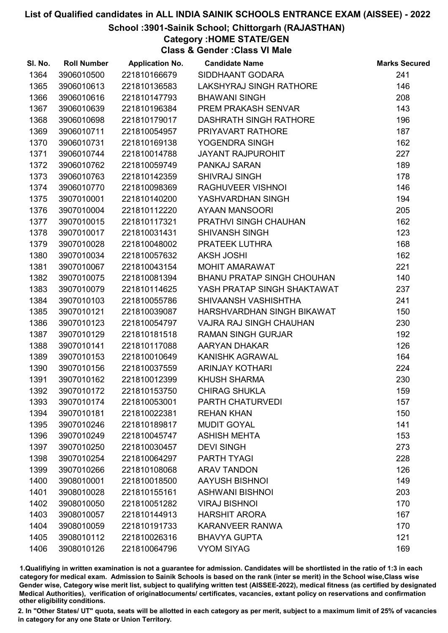## School :3901-Sainik School; Chittorgarh (RAJASTHAN)

Category :HOME STATE/GEN

Class & Gender :Class VI Male

| SI. No. | <b>Roll Number</b> | <b>Application No.</b> | <b>Candidate Name</b>             | <b>Marks Secured</b> |
|---------|--------------------|------------------------|-----------------------------------|----------------------|
| 1364    | 3906010500         | 221810166679           | SIDDHAANT GODARA                  | 241                  |
| 1365    | 3906010613         | 221810136583           | LAKSHYRAJ SINGH RATHORE           | 146                  |
| 1366    | 3906010616         | 221810147793           | <b>BHAWANI SINGH</b>              | 208                  |
| 1367    | 3906010639         | 221810196384           | PREM PRAKASH SENVAR               | 143                  |
| 1368    | 3906010698         | 221810179017           | <b>DASHRATH SINGH RATHORE</b>     | 196                  |
| 1369    | 3906010711         | 221810054957           | PRIYAVART RATHORE                 | 187                  |
| 1370    | 3906010731         | 221810169138           | YOGENDRA SINGH                    | 162                  |
| 1371    | 3906010744         | 221810014788           | <b>JAYANT RAJPUROHIT</b>          | 227                  |
| 1372    | 3906010762         | 221810059749           | PANKAJ SARAN                      | 189                  |
| 1373    | 3906010763         | 221810142359           | <b>SHIVRAJ SINGH</b>              | 178                  |
| 1374    | 3906010770         | 221810098369           | RAGHUVEER VISHNOI                 | 146                  |
| 1375    | 3907010001         | 221810140200           | YASHVARDHAN SINGH                 | 194                  |
| 1376    | 3907010004         | 221810112220           | <b>AYAAN MANSOORI</b>             | 205                  |
| 1377    | 3907010015         | 221810117321           | PRATHVI SINGH CHAUHAN             | 162                  |
| 1378    | 3907010017         | 221810031431           | <b>SHIVANSH SINGH</b>             | 123                  |
| 1379    | 3907010028         | 221810048002           | PRATEEK LUTHRA                    | 168                  |
| 1380    | 3907010034         | 221810057632           | <b>AKSH JOSHI</b>                 | 162                  |
| 1381    | 3907010067         | 221810043154           | <b>MOHIT AMARAWAT</b>             | 221                  |
| 1382    | 3907010075         | 221810081394           | <b>BHANU PRATAP SINGH CHOUHAN</b> | 140                  |
| 1383    | 3907010079         | 221810114625           | YASH PRATAP SINGH SHAKTAWAT       | 237                  |
| 1384    | 3907010103         | 221810055786           | SHIVAANSH VASHISHTHA              | 241                  |
| 1385    | 3907010121         | 221810039087           | HARSHVARDHAN SINGH BIKAWAT        | 150                  |
| 1386    | 3907010123         | 221810054797           | <b>VAJRA RAJ SINGH CHAUHAN</b>    | 230                  |
| 1387    | 3907010129         | 221810181518           | <b>RAMAN SINGH GURJAR</b>         | 192                  |
| 1388    | 3907010141         | 221810117088           | AARYAN DHAKAR                     | 126                  |
| 1389    | 3907010153         | 221810010649           | KANISHK AGRAWAL                   | 164                  |
| 1390    | 3907010156         | 221810037559           | <b>ARINJAY KOTHARI</b>            | 224                  |
| 1391    | 3907010162         | 221810012399           | <b>KHUSH SHARMA</b>               | 230                  |
| 1392    | 3907010172         | 221810153750           | <b>CHIRAG SHUKLA</b>              | 159                  |
| 1393    | 3907010174         | 221810053001           | PARTH CHATURVEDI                  | 157                  |
| 1394    | 3907010181         | 221810022381           | <b>REHAN KHAN</b>                 | 150                  |
| 1395    | 3907010246         | 221810189817           | <b>MUDIT GOYAL</b>                | 141                  |
| 1396    | 3907010249         | 221810045747           | <b>ASHISH MEHTA</b>               | 153                  |
| 1397    | 3907010250         | 221810030457           | <b>DEVI SINGH</b>                 | 273                  |
| 1398    | 3907010254         | 221810064297           | PARTH TYAGI                       | 228                  |
| 1399    | 3907010266         | 221810108068           | <b>ARAV TANDON</b>                | 126                  |
| 1400    | 3908010001         | 221810018500           | <b>AAYUSH BISHNOI</b>             | 149                  |
| 1401    | 3908010028         | 221810155161           | <b>ASHWANI BISHNOI</b>            | 203                  |
| 1402    | 3908010050         | 221810051282           | <b>VIRAJ BISHNOI</b>              | 170                  |
| 1403    | 3908010057         | 221810144913           | <b>HARSHIT ARORA</b>              | 167                  |
| 1404    | 3908010059         | 221810191733           | <b>KARANVEER RANWA</b>            | 170                  |
| 1405    | 3908010112         | 221810026316           | <b>BHAVYA GUPTA</b>               | 121                  |
| 1406    | 3908010126         | 221810064796           | <b>VYOM SIYAG</b>                 | 169                  |

1.Qualifiying in written examination is not a guarantee for admission. Candidates will be shortlisted in the ratio of 1:3 in each category for medical exam. Admission to Sainik Schools is based on the rank (inter se merit) in the School wise,Class wise Gender wise, Category wise merit list, subject to qualifying written test (AISSEE-2022), medical fitness (as certified by designated Medical Authorities), verification of originablocuments/ certificates, vacancies, extant policy on reservations and confirmation other eligibility conditions.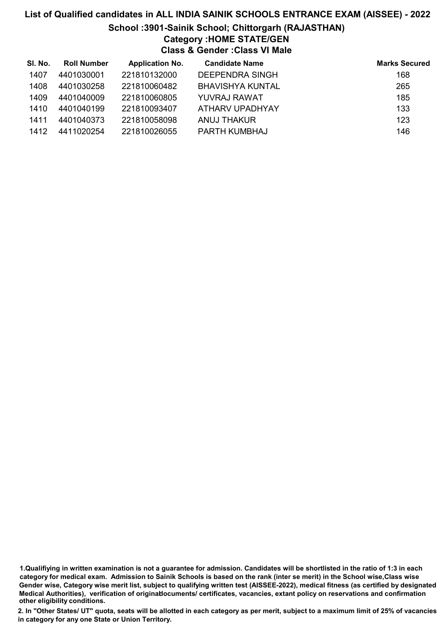# List of Qualified candidates in ALL INDIA SAINIK SCHOOLS ENTRANCE EXAM (AISSEE) - 2022 School :3901-Sainik School; Chittorgarh (RAJASTHAN) Category :HOME STATE/GEN Class & Gender :Class VI Male

| SI. No. | <b>Roll Number</b> | <b>Application No.</b> | <b>Candidate Name</b>  | <b>Marks Secured</b> |
|---------|--------------------|------------------------|------------------------|----------------------|
| 1407    | 4401030001         | 221810132000           | <b>DEEPENDRA SINGH</b> | 168                  |
| 1408    | 4401030258         | 221810060482           | BHAVISHYA KUNTAL       | 265                  |
| 1409    | 4401040009         | 221810060805           | YUVRAJ RAWAT           | 185                  |
| 1410    | 4401040199         | 221810093407           | ATHARV UPADHYAY        | 133                  |
| 1411    | 4401040373         | 221810058098           | ANUJ THAKUR            | 123                  |
| 1412    | 4411020254         | 221810026055           | PARTH KUMBHAJ          | 146                  |

1.Qualifiying in written examination is not a guarantee for admission. Candidates will be shortlisted in the ratio of 1:3 in each category for medical exam. Admission to Sainik Schools is based on the rank (inter se merit) in the School wise,Class wise Gender wise, Category wise merit list, subject to qualifying written test (AISSEE-2022), medical fitness (as certified by designated Medical Authorities), verification of originablocuments/ certificates, vacancies, extant policy on reservations and confirmation other eligibility conditions.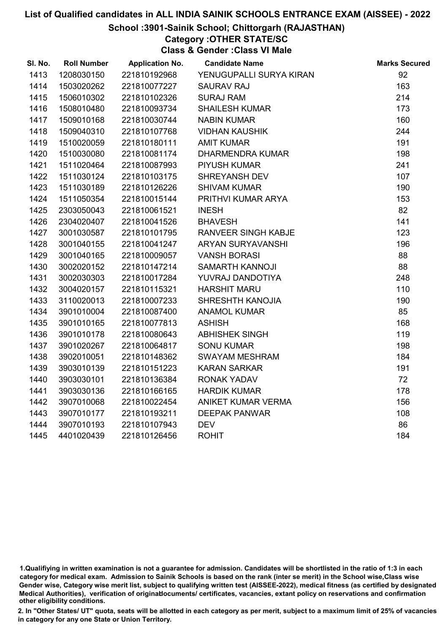#### School :3901-Sainik School; Chittorgarh (RAJASTHAN)

Category :OTHER STATE/SC

Class & Gender :Class VI Male

| SI. No. | <b>Roll Number</b> | <b>Application No.</b> | <b>Candidate Name</b>      | <b>Marks Secured</b> |
|---------|--------------------|------------------------|----------------------------|----------------------|
| 1413    | 1208030150         | 221810192968           | YENUGUPALLI SURYA KIRAN    | 92                   |
| 1414    | 1503020262         | 221810077227           | <b>SAURAV RAJ</b>          | 163                  |
| 1415    | 1506010302         | 221810102326           | <b>SURAJ RAM</b>           | 214                  |
| 1416    | 1508010480         | 221810093734           | SHAILESH KUMAR             | 173                  |
| 1417    | 1509010168         | 221810030744           | <b>NABIN KUMAR</b>         | 160                  |
| 1418    | 1509040310         | 221810107768           | <b>VIDHAN KAUSHIK</b>      | 244                  |
| 1419    | 1510020059         | 221810180111           | <b>AMIT KUMAR</b>          | 191                  |
| 1420    | 1510030080         | 221810081174           | <b>DHARMENDRA KUMAR</b>    | 198                  |
| 1421    | 1511020464         | 221810087993           | <b>PIYUSH KUMAR</b>        | 241                  |
| 1422    | 1511030124         | 221810103175           | SHREYANSH DEV              | 107                  |
| 1423    | 1511030189         | 221810126226           | <b>SHIVAM KUMAR</b>        | 190                  |
| 1424    | 1511050354         | 221810015144           | PRITHVI KUMAR ARYA         | 153                  |
| 1425    | 2303050043         | 221810061521           | <b>INESH</b>               | 82                   |
| 1426    | 2304020407         | 221810041526           | <b>BHAVESH</b>             | 141                  |
| 1427    | 3001030587         | 221810101795           | <b>RANVEER SINGH KABJE</b> | 123                  |
| 1428    | 3001040155         | 221810041247           | ARYAN SURYAVANSHI          | 196                  |
| 1429    | 3001040165         | 221810009057           | <b>VANSH BORASI</b>        | 88                   |
| 1430    | 3002020152         | 221810147214           | SAMARTH KANNOJI            | 88                   |
| 1431    | 3002030303         | 221810017284           | YUVRAJ DANDOTIYA           | 248                  |
| 1432    | 3004020157         | 221810115321           | <b>HARSHIT MARU</b>        | 110                  |
| 1433    | 3110020013         | 221810007233           | SHRESHTH KANOJIA           | 190                  |
| 1434    | 3901010004         | 221810087400           | <b>ANAMOL KUMAR</b>        | 85                   |
| 1435    | 3901010165         | 221810077813           | <b>ASHISH</b>              | 168                  |
| 1436    | 3901010178         | 221810080643           | <b>ABHISHEK SINGH</b>      | 119                  |
| 1437    | 3901020267         | 221810064817           | <b>SONU KUMAR</b>          | 198                  |
| 1438    | 3902010051         | 221810148362           | <b>SWAYAM MESHRAM</b>      | 184                  |
| 1439    | 3903010139         | 221810151223           | <b>KARAN SARKAR</b>        | 191                  |
| 1440    | 3903030101         | 221810136384           | <b>RONAK YADAV</b>         | 72                   |
| 1441    | 3903030136         | 221810166165           | <b>HARDIK KUMAR</b>        | 178                  |
| 1442    | 3907010068         | 221810022454           | ANIKET KUMAR VERMA         | 156                  |
| 1443    | 3907010177         | 221810193211           | <b>DEEPAK PANWAR</b>       | 108                  |
| 1444    | 3907010193         | 221810107943           | <b>DEV</b>                 | 86                   |
| 1445    | 4401020439         | 221810126456           | <b>ROHIT</b>               | 184                  |

<sup>1.</sup>Qualifiying in written examination is not a guarantee for admission. Candidates will be shortlisted in the ratio of 1:3 in each category for medical exam. Admission to Sainik Schools is based on the rank (inter se merit) in the School wise,Class wise Gender wise, Category wise merit list, subject to qualifying written test (AISSEE-2022), medical fitness (as certified by designated Medical Authorities), verification of originablocuments/ certificates, vacancies, extant policy on reservations and confirmation other eligibility conditions.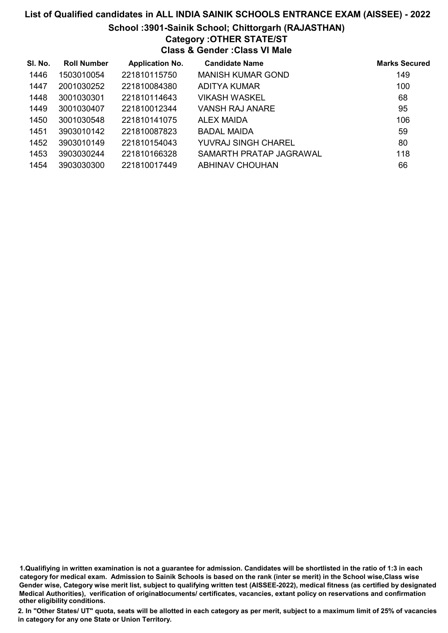# List of Qualified candidates in ALL INDIA SAINIK SCHOOLS ENTRANCE EXAM (AISSEE) - 2022 School :3901-Sainik School; Chittorgarh (RAJASTHAN) Category :OTHER STATE/ST Class & Gender :Class VI Male

| SI. No. | <b>Roll Number</b> | <b>Application No.</b> | <b>Candidate Name</b>    | <b>Marks Secured</b> |
|---------|--------------------|------------------------|--------------------------|----------------------|
| 1446    | 1503010054         | 221810115750           | <b>MANISH KUMAR GOND</b> | 149                  |
| 1447    | 2001030252         | 221810084380           | ADITYA KUMAR             | 100                  |
| 1448    | 3001030301         | 221810114643           | VIKASH WASKEL            | 68                   |
| 1449    | 3001030407         | 221810012344           | VANSH RAJ ANARE          | 95                   |
| 1450    | 3001030548         | 221810141075           | <b>ALEX MAIDA</b>        | 106                  |
| 1451    | 3903010142         | 221810087823           | <b>BADAL MAIDA</b>       | 59                   |
| 1452    | 3903010149         | 221810154043           | YUVRAJ SINGH CHAREL      | 80                   |
| 1453    | 3903030244         | 221810166328           | SAMARTH PRATAP JAGRAWAL  | 118                  |
| 1454    | 3903030300         | 221810017449           | ABHINAV CHOUHAN          | 66                   |

1.Qualifiying in written examination is not a guarantee for admission. Candidates will be shortlisted in the ratio of 1:3 in each category for medical exam. Admission to Sainik Schools is based on the rank (inter se merit) in the School wise,Class wise Gender wise, Category wise merit list, subject to qualifying written test (AISSEE-2022), medical fitness (as certified by designated Medical Authorities), verification of originablocuments/ certificates, vacancies, extant policy on reservations and confirmation other eligibility conditions.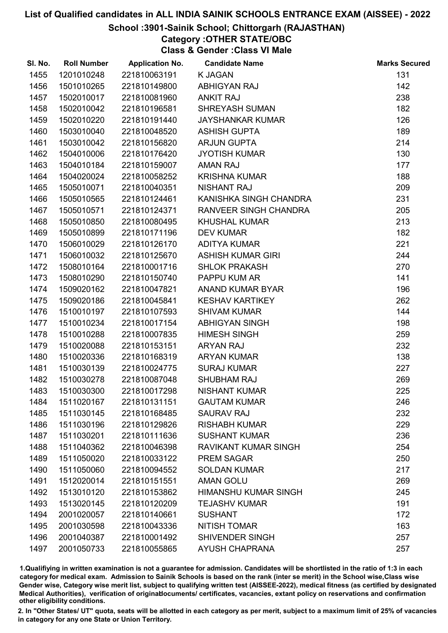#### School :3901-Sainik School; Chittorgarh (RAJASTHAN)

# Category :OTHER STATE/OBC

Class & Gender :Class VI Male

| SI. No. | <b>Roll Number</b> | <b>Application No.</b> | <b>Candidate Name</b>       | <b>Marks Secured</b> |
|---------|--------------------|------------------------|-----------------------------|----------------------|
| 1455    | 1201010248         | 221810063191           | <b>K JAGAN</b>              | 131                  |
| 1456    | 1501010265         | 221810149800           | <b>ABHIGYAN RAJ</b>         | 142                  |
| 1457    | 1502010017         | 221810081960           | <b>ANKIT RAJ</b>            | 238                  |
| 1458    | 1502010042         | 221810196581           | <b>SHREYASH SUMAN</b>       | 182                  |
| 1459    | 1502010220         | 221810191440           | <b>JAYSHANKAR KUMAR</b>     | 126                  |
| 1460    | 1503010040         | 221810048520           | <b>ASHISH GUPTA</b>         | 189                  |
| 1461    | 1503010042         | 221810156820           | <b>ARJUN GUPTA</b>          | 214                  |
| 1462    | 1504010006         | 221810176420           | <b>JYOTISH KUMAR</b>        | 130                  |
| 1463    | 1504010184         | 221810159007           | <b>AMAN RAJ</b>             | 177                  |
| 1464    | 1504020024         | 221810058252           | <b>KRISHNA KUMAR</b>        | 188                  |
| 1465    | 1505010071         | 221810040351           | <b>NISHANT RAJ</b>          | 209                  |
| 1466    | 1505010565         | 221810124461           | KANISHKA SINGH CHANDRA      | 231                  |
| 1467    | 1505010571         | 221810124371           | RANVEER SINGH CHANDRA       | 205                  |
| 1468    | 1505010850         | 221810080495           | <b>KHUSHAL KUMAR</b>        | 213                  |
| 1469    | 1505010899         | 221810171196           | <b>DEV KUMAR</b>            | 182                  |
| 1470    | 1506010029         | 221810126170           | <b>ADITYA KUMAR</b>         | 221                  |
| 1471    | 1506010032         | 221810125670           | <b>ASHISH KUMAR GIRI</b>    | 244                  |
| 1472    | 1508010164         | 221810001716           | <b>SHLOK PRAKASH</b>        | 270                  |
| 1473    | 1508010290         | 221810150740           | PAPPU KUM AR                | 141                  |
| 1474    | 1509020162         | 221810047821           | ANAND KUMAR BYAR            | 196                  |
| 1475    | 1509020186         | 221810045841           | <b>KESHAV KARTIKEY</b>      | 262                  |
| 1476    | 1510010197         | 221810107593           | <b>SHIVAM KUMAR</b>         | 144                  |
| 1477    | 1510010234         | 221810017154           | <b>ABHIGYAN SINGH</b>       | 198                  |
| 1478    | 1510010288         | 221810007835           | <b>HIMESH SINGH</b>         | 259                  |
| 1479    | 1510020088         | 221810153151           | <b>ARYAN RAJ</b>            | 232                  |
| 1480    | 1510020336         | 221810168319           | <b>ARYAN KUMAR</b>          | 138                  |
| 1481    | 1510030139         | 221810024775           | <b>SURAJ KUMAR</b>          | 227                  |
| 1482    | 1510030278         | 221810087048           | <b>SHUBHAM RAJ</b>          | 269                  |
| 1483    | 1510030300         | 221810017298           | <b>NISHANT KUMAR</b>        | 225                  |
| 1484    | 1511020167         | 221810131151           | <b>GAUTAM KUMAR</b>         | 246                  |
| 1485    | 1511030145         | 221810168485           | <b>SAURAV RAJ</b>           | 232                  |
| 1486    | 1511030196         | 221810129826           | <b>RISHABH KUMAR</b>        | 229                  |
| 1487    | 1511030201         | 221810111636           | <b>SUSHANT KUMAR</b>        | 236                  |
| 1488    | 1511040362         | 221810046398           | <b>RAVIKANT KUMAR SINGH</b> | 254                  |
| 1489    | 1511050020         | 221810033122           | <b>PREM SAGAR</b>           | 250                  |
| 1490    | 1511050060         | 221810094552           | <b>SOLDAN KUMAR</b>         | 217                  |
| 1491    | 1512020014         | 221810151551           | <b>AMAN GOLU</b>            | 269                  |
| 1492    | 1513010120         | 221810153862           | <b>HIMANSHU KUMAR SINGH</b> | 245                  |
| 1493    | 1513020145         | 221810120209           | <b>TEJASHV KUMAR</b>        | 191                  |
| 1494    | 2001020057         | 221810140661           | <b>SUSHANT</b>              | 172                  |
| 1495    | 2001030598         | 221810043336           | <b>NITISH TOMAR</b>         | 163                  |
| 1496    | 2001040387         | 221810001492           | <b>SHIVENDER SINGH</b>      | 257                  |
| 1497    | 2001050733         | 221810055865           | <b>AYUSH CHAPRANA</b>       | 257                  |

1.Qualifiying in written examination is not a guarantee for admission. Candidates will be shortlisted in the ratio of 1:3 in each category for medical exam. Admission to Sainik Schools is based on the rank (inter se merit) in the School wise,Class wise Gender wise, Category wise merit list, subject to qualifying written test (AISSEE-2022), medical fitness (as certified by designated Medical Authorities), verification of originablocuments/ certificates, vacancies, extant policy on reservations and confirmation other eligibility conditions.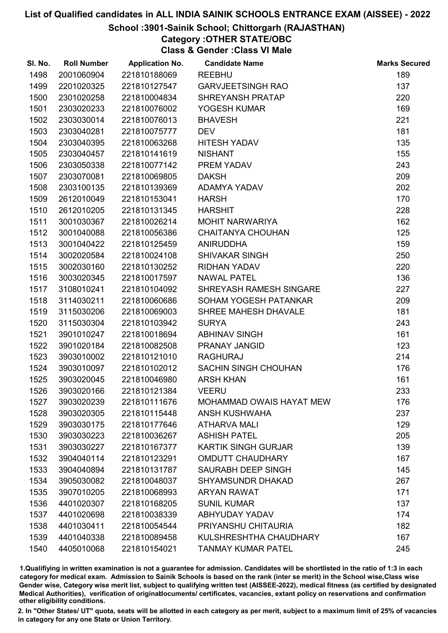#### School :3901-Sainik School; Chittorgarh (RAJASTHAN)

Category :OTHER STATE/OBC

Class & Gender :Class VI Male

| SI. No. | <b>Roll Number</b> | <b>Application No.</b> | <b>Candidate Name</b>           | <b>Marks Secured</b> |
|---------|--------------------|------------------------|---------------------------------|----------------------|
| 1498    | 2001060904         | 221810188069           | <b>REEBHU</b>                   | 189                  |
| 1499    | 2201020325         | 221810127547           | <b>GARVJEETSINGH RAO</b>        | 137                  |
| 1500    | 2301020258         | 221810004834           | SHREYANSH PRATAP                | 220                  |
| 1501    | 2303020233         | 221810076002           | YOGESH KUMAR                    | 169                  |
| 1502    | 2303030014         | 221810076013           | <b>BHAVESH</b>                  | 221                  |
| 1503    | 2303040281         | 221810075777           | <b>DEV</b>                      | 181                  |
| 1504    | 2303040395         | 221810063268           | <b>HITESH YADAV</b>             | 135                  |
| 1505    | 2303040457         | 221810141619           | <b>NISHANT</b>                  | 155                  |
| 1506    | 2303050338         | 221810077142           | PREM YADAV                      | 243                  |
| 1507    | 2303070081         | 221810069805           | <b>DAKSH</b>                    | 209                  |
| 1508    | 2303100135         | 221810139369           | ADAMYA YADAV                    | 202                  |
| 1509    | 2612010049         | 221810153041           | <b>HARSH</b>                    | 170                  |
| 1510    | 2612010205         | 221810131345           | <b>HARSHIT</b>                  | 228                  |
| 1511    | 3001030367         | 221810026214           | <b>MOHIT NARWARIYA</b>          | 162                  |
| 1512    | 3001040088         | 221810056386           | <b>CHAITANYA CHOUHAN</b>        | 125                  |
| 1513    | 3001040422         | 221810125459           | <b>ANIRUDDHA</b>                | 159                  |
| 1514    | 3002020584         | 221810024108           | <b>SHIVAKAR SINGH</b>           | 250                  |
| 1515    | 3002030160         | 221810130252           | <b>RIDHAN YADAV</b>             | 220                  |
| 1516    | 3003020345         | 221810017597           | <b>NAWAL PATEL</b>              | 136                  |
| 1517    | 3108010241         | 221810104092           | SHREYASH RAMESH SINGARE         | 227                  |
| 1518    | 3114030211         | 221810060686           | SOHAM YOGESH PATANKAR           | 209                  |
| 1519    | 3115030206         | 221810069003           | SHREE MAHESH DHAVALE            | 181                  |
| 1520    | 3115030304         | 221810103942           | <b>SURYA</b>                    | 243                  |
| 1521    | 3901010247         | 221810018694           | <b>ABHINAV SINGH</b>            | 161                  |
| 1522    | 3901020184         | 221810082508           | PRANAY JANGID                   | 123                  |
| 1523    | 3903010002         | 221810121010           | <b>RAGHURAJ</b>                 | 214                  |
| 1524    | 3903010097         | 221810102012           | <b>SACHIN SINGH CHOUHAN</b>     | 176                  |
| 1525    | 3903020045         | 221810046980           | <b>ARSH KHAN</b>                | 161                  |
| 1526    | 3903020166         | 221810121384           | <b>VEERU</b>                    | 233                  |
| 1527    | 3903020239         | 221810111676           | <b>MOHAMMAD OWAIS HAYAT MEW</b> | 176                  |
| 1528    | 3903020305         | 221810115448           | <b>ANSH KUSHWAHA</b>            | 237                  |
| 1529    | 3903030175         | 221810177646           | <b>ATHARVA MALI</b>             | 129                  |
| 1530    | 3903030223         | 221810036267           | <b>ASHISH PATEL</b>             | 205                  |
| 1531    | 3903030227         | 221810167377           | <b>KARTIK SINGH GURJAR</b>      | 139                  |
| 1532    | 3904040114         | 221810123291           | <b>OMDUTT CHAUDHARY</b>         | 167                  |
| 1533    | 3904040894         | 221810131787           | SAURABH DEEP SINGH              | 145                  |
| 1534    | 3905030082         | 221810048037           | <b>SHYAMSUNDR DHAKAD</b>        | 267                  |
| 1535    | 3907010205         | 221810068993           | <b>ARYAN RAWAT</b>              | 171                  |
| 1536    | 4401020307         | 221810168205           | <b>SUNIL KUMAR</b>              | 137                  |
| 1537    | 4401020698         | 221810038339           | ABHYUDAY YADAV                  | 174                  |
| 1538    | 4401030411         | 221810054544           | PRIYANSHU CHITAURIA             | 182                  |
| 1539    | 4401040338         | 221810089458           | KULSHRESHTHA CHAUDHARY          | 167                  |
| 1540    | 4405010068         | 221810154021           | <b>TANMAY KUMAR PATEL</b>       | 245                  |

1.Qualifiying in written examination is not a guarantee for admission. Candidates will be shortlisted in the ratio of 1:3 in each category for medical exam. Admission to Sainik Schools is based on the rank (inter se merit) in the School wise,Class wise Gender wise, Category wise merit list, subject to qualifying written test (AISSEE-2022), medical fitness (as certified by designated Medical Authorities), verification of originablocuments/ certificates, vacancies, extant policy on reservations and confirmation other eligibility conditions.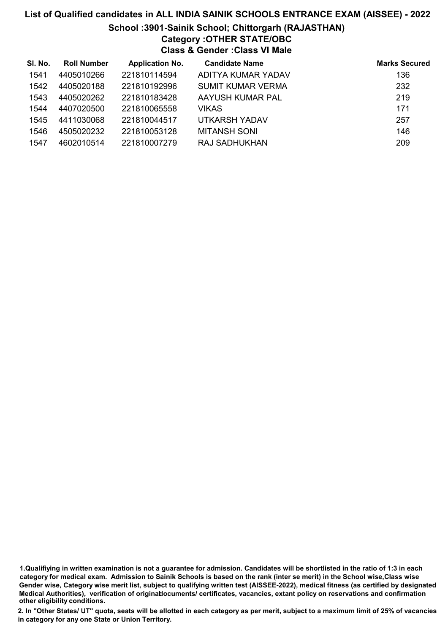# List of Qualified candidates in ALL INDIA SAINIK SCHOOLS ENTRANCE EXAM (AISSEE) - 2022 School :3901-Sainik School; Chittorgarh (RAJASTHAN) Category :OTHER STATE/OBC

Class & Gender :Class VI Male

| SI. No. | <b>Roll Number</b> | <b>Application No.</b> | <b>Candidate Name</b> | <b>Marks Secured</b> |
|---------|--------------------|------------------------|-----------------------|----------------------|
| 1541    | 4405010266         | 221810114594           | ADITYA KUMAR YADAV    | 136                  |
| 1542    | 4405020188         | 221810192996           | SUMIT KUMAR VERMA     | 232                  |
| 1543    | 4405020262         | 221810183428           | AAYUSH KUMAR PAL      | 219                  |
| 1544    | 4407020500         | 221810065558           | <b>VIKAS</b>          | 171                  |
| 1545    | 4411030068         | 221810044517           | UTKARSH YADAV         | 257                  |
| 1546    | 4505020232         | 221810053128           | <b>MITANSH SONI</b>   | 146                  |
| 1547    | 4602010514         | 221810007279           | <b>RAJ SADHUKHAN</b>  | 209                  |

<sup>1.</sup>Qualifiying in written examination is not a guarantee for admission. Candidates will be shortlisted in the ratio of 1:3 in each category for medical exam. Admission to Sainik Schools is based on the rank (inter se merit) in the School wise,Class wise Gender wise, Category wise merit list, subject to qualifying written test (AISSEE-2022), medical fitness (as certified by designated Medical Authorities), verification of originablocuments/ certificates, vacancies, extant policy on reservations and confirmation other eligibility conditions.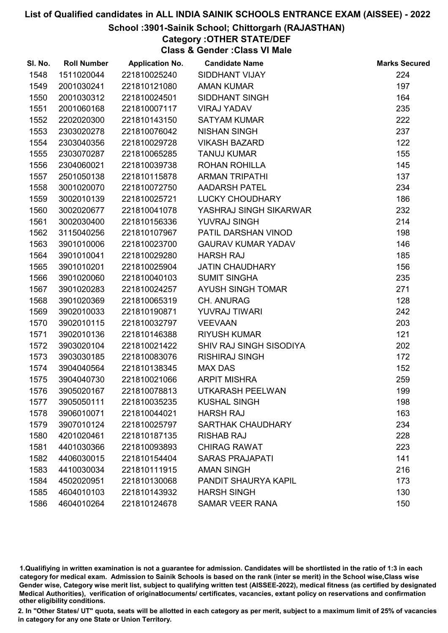## School :3901-Sainik School; Chittorgarh (RAJASTHAN)

# Category :OTHER STATE/DEF

Class & Gender :Class VI Male

| SI. No. | <b>Roll Number</b> | <b>Application No.</b> | <b>Candidate Name</b>     | <b>Marks Secured</b> |
|---------|--------------------|------------------------|---------------------------|----------------------|
| 1548    | 1511020044         | 221810025240           | <b>SIDDHANT VIJAY</b>     | 224                  |
| 1549    | 2001030241         | 221810121080           | <b>AMAN KUMAR</b>         | 197                  |
| 1550    | 2001030312         | 221810024501           | <b>SIDDHANT SINGH</b>     | 164                  |
| 1551    | 2001060168         | 221810007117           | <b>VIRAJ YADAV</b>        | 235                  |
| 1552    | 2202020300         | 221810143150           | <b>SATYAM KUMAR</b>       | 222                  |
| 1553    | 2303020278         | 221810076042           | <b>NISHAN SINGH</b>       | 237                  |
| 1554    | 2303040356         | 221810029728           | <b>VIKASH BAZARD</b>      | 122                  |
| 1555    | 2303070287         | 221810065285           | <b>TANUJ KUMAR</b>        | 155                  |
| 1556    | 2304060021         | 221810039738           | ROHAN ROHILLA             | 145                  |
| 1557    | 2501050138         | 221810115878           | <b>ARMAN TRIPATHI</b>     | 137                  |
| 1558    | 3001020070         | 221810072750           | <b>AADARSH PATEL</b>      | 234                  |
| 1559    | 3002010139         | 221810025721           | LUCKY CHOUDHARY           | 186                  |
| 1560    | 3002020677         | 221810041078           | YASHRAJ SINGH SIKARWAR    | 232                  |
| 1561    | 3002030400         | 221810156336           | <b>YUVRAJ SINGH</b>       | 214                  |
| 1562    | 3115040256         | 221810107967           | PATIL DARSHAN VINOD       | 198                  |
| 1563    | 3901010006         | 221810023700           | <b>GAURAV KUMAR YADAV</b> | 146                  |
| 1564    | 3901010041         | 221810029280           | <b>HARSH RAJ</b>          | 185                  |
| 1565    | 3901010201         | 221810025904           | <b>JATIN CHAUDHARY</b>    | 156                  |
| 1566    | 3901020060         | 221810040103           | <b>SUMIT SINGHA</b>       | 235                  |
| 1567    | 3901020283         | 221810024257           | AYUSH SINGH TOMAR         | 271                  |
| 1568    | 3901020369         | 221810065319           | <b>CH. ANURAG</b>         | 128                  |
| 1569    | 3902010033         | 221810190871           | YUVRAJ TIWARI             | 242                  |
| 1570    | 3902010115         | 221810032797           | <b>VEEVAAN</b>            | 203                  |
| 1571    | 3902010136         | 221810146388           | <b>RIYUSH KUMAR</b>       | 121                  |
| 1572    | 3903020104         | 221810021422           | SHIV RAJ SINGH SISODIYA   | 202                  |
| 1573    | 3903030185         | 221810083076           | <b>RISHIRAJ SINGH</b>     | 172                  |
| 1574    | 3904040564         | 221810138345           | <b>MAX DAS</b>            | 152                  |
| 1575    | 3904040730         | 221810021066           | <b>ARPIT MISHRA</b>       | 259                  |
| 1576    | 3905020167         | 221810078813           | UTKARASH PEELWAN          | 199                  |
| 1577    | 3905050111         | 221810035235           | <b>KUSHAL SINGH</b>       | 198                  |
| 1578    | 3906010071         | 221810044021           | <b>HARSH RAJ</b>          | 163                  |
| 1579    | 3907010124         | 221810025797           | <b>SARTHAK CHAUDHARY</b>  | 234                  |
| 1580    | 4201020461         | 221810187135           | <b>RISHAB RAJ</b>         | 228                  |
| 1581    | 4401030366         | 221810093893           | <b>CHIRAG RAWAT</b>       | 223                  |
| 1582    | 4406030015         | 221810154404           | <b>SARAS PRAJAPATI</b>    | 141                  |
| 1583    | 4410030034         | 221810111915           | <b>AMAN SINGH</b>         | 216                  |
| 1584    | 4502020951         | 221810130068           | PANDIT SHAURYA KAPIL      | 173                  |
| 1585    | 4604010103         | 221810143932           | <b>HARSH SINGH</b>        | 130                  |
| 1586    | 4604010264         | 221810124678           | <b>SAMAR VEER RANA</b>    | 150                  |

1.Qualifiying in written examination is not a guarantee for admission. Candidates will be shortlisted in the ratio of 1:3 in each category for medical exam. Admission to Sainik Schools is based on the rank (inter se merit) in the School wise,Class wise Gender wise, Category wise merit list, subject to qualifying written test (AISSEE-2022), medical fitness (as certified by designated Medical Authorities), verification of originablocuments/ certificates, vacancies, extant policy on reservations and confirmation other eligibility conditions.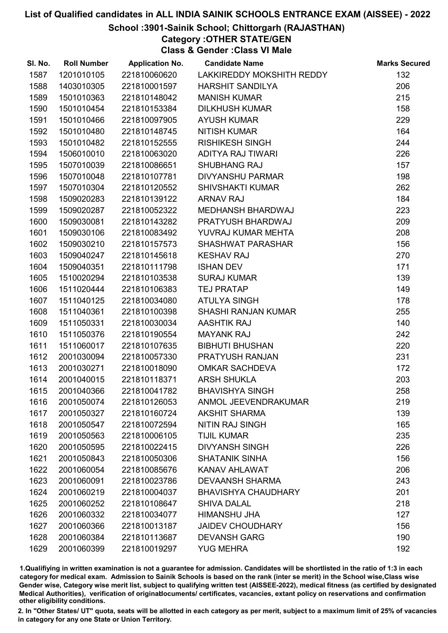## School :3901-Sainik School; Chittorgarh (RAJASTHAN)

Category :OTHER STATE/GEN

Class & Gender :Class VI Male

| SI. No. | <b>Roll Number</b> | <b>Application No.</b> | <b>Candidate Name</b>      | <b>Marks Secured</b> |
|---------|--------------------|------------------------|----------------------------|----------------------|
| 1587    | 1201010105         | 221810060620           | LAKKIREDDY MOKSHITH REDDY  | 132                  |
| 1588    | 1403010305         | 221810001597           | <b>HARSHIT SANDILYA</b>    | 206                  |
| 1589    | 1501010363         | 221810148042           | <b>MANISH KUMAR</b>        | 215                  |
| 1590    | 1501010454         | 221810153384           | <b>DILKHUSH KUMAR</b>      | 158                  |
| 1591    | 1501010466         | 221810097905           | <b>AYUSH KUMAR</b>         | 229                  |
| 1592    | 1501010480         | 221810148745           | <b>NITISH KUMAR</b>        | 164                  |
| 1593    | 1501010482         | 221810152555           | <b>RISHIKESH SINGH</b>     | 244                  |
| 1594    | 1506010010         | 221810063020           | ADITYA RAJ TIWARI          | 226                  |
| 1595    | 1507010039         | 221810086651           | <b>SHUBHANG RAJ</b>        | 157                  |
| 1596    | 1507010048         | 221810107781           | <b>DIVYANSHU PARMAR</b>    | 198                  |
| 1597    | 1507010304         | 221810120552           | <b>SHIVSHAKTI KUMAR</b>    | 262                  |
| 1598    | 1509020283         | 221810139122           | <b>ARNAV RAJ</b>           | 184                  |
| 1599    | 1509020287         | 221810052322           | <b>MEDHANSH BHARDWAJ</b>   | 223                  |
| 1600    | 1509030081         | 221810143282           | PRATYUSH BHARDWAJ          | 209                  |
| 1601    | 1509030106         | 221810083492           | YUVRAJ KUMAR MEHTA         | 208                  |
| 1602    | 1509030210         | 221810157573           | <b>SHASHWAT PARASHAR</b>   | 156                  |
| 1603    | 1509040247         | 221810145618           | <b>KESHAV RAJ</b>          | 270                  |
| 1604    | 1509040351         | 221810111798           | <b>ISHAN DEV</b>           | 171                  |
| 1605    | 1510020294         | 221810103538           | <b>SURAJ KUMAR</b>         | 139                  |
| 1606    | 1511020444         | 221810106383           | <b>TEJ PRATAP</b>          | 149                  |
| 1607    | 1511040125         | 221810034080           | <b>ATULYA SINGH</b>        | 178                  |
| 1608    | 1511040361         | 221810100398           | <b>SHASHI RANJAN KUMAR</b> | 255                  |
| 1609    | 1511050331         | 221810030034           | <b>AASHTIK RAJ</b>         | 140                  |
| 1610    | 1511050376         | 221810190554           | <b>MAYANK RAJ</b>          | 242                  |
| 1611    | 1511060017         | 221810107635           | <b>BIBHUTI BHUSHAN</b>     | 220                  |
| 1612    | 2001030094         | 221810057330           | PRATYUSH RANJAN            | 231                  |
| 1613    | 2001030271         | 221810018090           | <b>OMKAR SACHDEVA</b>      | 172                  |
| 1614    | 2001040015         | 221810118371           | <b>ARSH SHUKLA</b>         | 203                  |
| 1615    | 2001040366         | 221810041782           | <b>BHAVISHYA SINGH</b>     | 258                  |
| 1616    | 2001050074         | 221810126053           | ANMOL JEEVENDRAKUMAR       | 219                  |
| 1617    | 2001050327         | 221810160724           | <b>AKSHIT SHARMA</b>       | 139                  |
| 1618    | 2001050547         | 221810072594           | <b>NITIN RAJ SINGH</b>     | 165                  |
| 1619    | 2001050563         | 221810006105           | <b>TIJIL KUMAR</b>         | 235                  |
| 1620    | 2001050595         | 221810022415           | <b>DIVYANSH SINGH</b>      | 226                  |
| 1621    | 2001050843         | 221810050306           | <b>SHATANIK SINHA</b>      | 156                  |
| 1622    | 2001060054         | 221810085676           | <b>KANAV AHLAWAT</b>       | 206                  |
| 1623    | 2001060091         | 221810023786           | <b>DEVAANSH SHARMA</b>     | 243                  |
| 1624    | 2001060219         | 221810004037           | <b>BHAVISHYA CHAUDHARY</b> | 201                  |
| 1625    | 2001060252         | 221810108647           | <b>SHIVA DALAL</b>         | 218                  |
| 1626    | 2001060332         | 221810034077           | HIMANSHU JHA               | 127                  |
| 1627    | 2001060366         | 221810013187           | <b>JAIDEV CHOUDHARY</b>    | 156                  |
| 1628    | 2001060384         | 221810113687           | <b>DEVANSH GARG</b>        | 190                  |
| 1629    | 2001060399         | 221810019297           | <b>YUG MEHRA</b>           | 192                  |

1.Qualifiying in written examination is not a guarantee for admission. Candidates will be shortlisted in the ratio of 1:3 in each category for medical exam. Admission to Sainik Schools is based on the rank (inter se merit) in the School wise,Class wise Gender wise, Category wise merit list, subject to qualifying written test (AISSEE-2022), medical fitness (as certified by designated Medical Authorities), verification of originablocuments/ certificates, vacancies, extant policy on reservations and confirmation other eligibility conditions.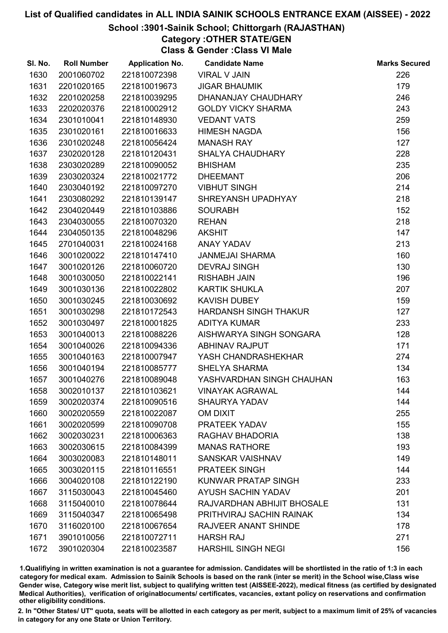## School :3901-Sainik School; Chittorgarh (RAJASTHAN)

# Category :OTHER STATE/GEN

Class & Gender :Class VI Male

| SI. No. | <b>Roll Number</b> | <b>Application No.</b> | <b>Candidate Name</b>        | <b>Marks Secured</b> |
|---------|--------------------|------------------------|------------------------------|----------------------|
| 1630    | 2001060702         | 221810072398           | <b>VIRAL V JAIN</b>          | 226                  |
| 1631    | 2201020165         | 221810019673           | <b>JIGAR BHAUMIK</b>         | 179                  |
| 1632    | 2201020258         | 221810039295           | DHANANJAY CHAUDHARY          | 246                  |
| 1633    | 2202020376         | 221810002912           | <b>GOLDY VICKY SHARMA</b>    | 243                  |
| 1634    | 2301010041         | 221810148930           | <b>VEDANT VATS</b>           | 259                  |
| 1635    | 2301020161         | 221810016633           | <b>HIMESH NAGDA</b>          | 156                  |
| 1636    | 2301020248         | 221810056424           | <b>MANASH RAY</b>            | 127                  |
| 1637    | 2302020128         | 221810120431           | <b>SHALYA CHAUDHARY</b>      | 228                  |
| 1638    | 2303020289         | 221810090052           | <b>BHISHAM</b>               | 235                  |
| 1639    | 2303020324         | 221810021772           | <b>DHEEMANT</b>              | 206                  |
| 1640    | 2303040192         | 221810097270           | <b>VIBHUT SINGH</b>          | 214                  |
| 1641    | 2303080292         | 221810139147           | SHREYANSH UPADHYAY           | 218                  |
| 1642    | 2304020449         | 221810103886           | <b>SOURABH</b>               | 152                  |
| 1643    | 2304030055         | 221810070320           | <b>REHAN</b>                 | 218                  |
| 1644    | 2304050135         | 221810048296           | <b>AKSHIT</b>                | 147                  |
| 1645    | 2701040031         | 221810024168           | ANAY YADAV                   | 213                  |
| 1646    | 3001020022         | 221810147410           | <b>JANMEJAI SHARMA</b>       | 160                  |
| 1647    | 3001020126         | 221810060720           | <b>DEVRAJ SINGH</b>          | 130                  |
| 1648    | 3001030050         | 221810022141           | <b>RISHABH JAIN</b>          | 196                  |
| 1649    | 3001030136         | 221810022802           | <b>KARTIK SHUKLA</b>         | 207                  |
| 1650    | 3001030245         | 221810030692           | KAVISH DUBEY                 | 159                  |
| 1651    | 3001030298         | 221810172543           | <b>HARDANSH SINGH THAKUR</b> | 127                  |
| 1652    | 3001030497         | 221810001825           | <b>ADITYA KUMAR</b>          | 233                  |
| 1653    | 3001040013         | 221810088226           | AISHWARYA SINGH SONGARA      | 128                  |
| 1654    | 3001040026         | 221810094336           | <b>ABHINAV RAJPUT</b>        | 171                  |
| 1655    | 3001040163         | 221810007947           | YASH CHANDRASHEKHAR          | 274                  |
| 1656    | 3001040194         | 221810085777           | <b>SHELYA SHARMA</b>         | 134                  |
| 1657    | 3001040276         | 221810089048           | YASHVARDHAN SINGH CHAUHAN    | 163                  |
| 1658    | 3002010137         | 221810103621           | <b>VINAYAK AGRAWAL</b>       | 144                  |
| 1659    | 3002020374         | 221810090516           | <b>SHAURYA YADAV</b>         | 144                  |
| 1660    | 3002020559         | 221810022087           | <b>OM DIXIT</b>              | 255                  |
| 1661    | 3002020599         | 221810090708           | PRATEEK YADAV                | 155                  |
| 1662    | 3002030231         | 221810006363           | RAGHAV BHADORIA              | 138                  |
| 1663    | 3002030615         | 221810084399           | <b>MANAS RATHORE</b>         | 193                  |
| 1664    | 3003020083         | 221810148011           | <b>SANSKAR VAISHNAV</b>      | 149                  |
| 1665    | 3003020115         | 221810116551           | <b>PRATEEK SINGH</b>         | 144                  |
| 1666    | 3004020108         | 221810122190           | KUNWAR PRATAP SINGH          | 233                  |
| 1667    | 3115030043         | 221810045460           | <b>AYUSH SACHIN YADAV</b>    | 201                  |
| 1668    | 3115040010         | 221810078644           | RAJVARDHAN ABHIJIT BHOSALE   | 131                  |
| 1669    | 3115040347         | 221810065498           | PRITHVIRAJ SACHIN RAINAK     | 134                  |
| 1670    | 3116020100         | 221810067654           | RAJVEER ANANT SHINDE         | 178                  |
| 1671    | 3901010056         | 221810072711           | <b>HARSH RAJ</b>             | 271                  |
| 1672    | 3901020304         | 221810023587           | <b>HARSHIL SINGH NEGI</b>    | 156                  |

1.Qualifiying in written examination is not a guarantee for admission. Candidates will be shortlisted in the ratio of 1:3 in each category for medical exam. Admission to Sainik Schools is based on the rank (inter se merit) in the School wise,Class wise Gender wise, Category wise merit list, subject to qualifying written test (AISSEE-2022), medical fitness (as certified by designated Medical Authorities), verification of originablocuments/ certificates, vacancies, extant policy on reservations and confirmation other eligibility conditions.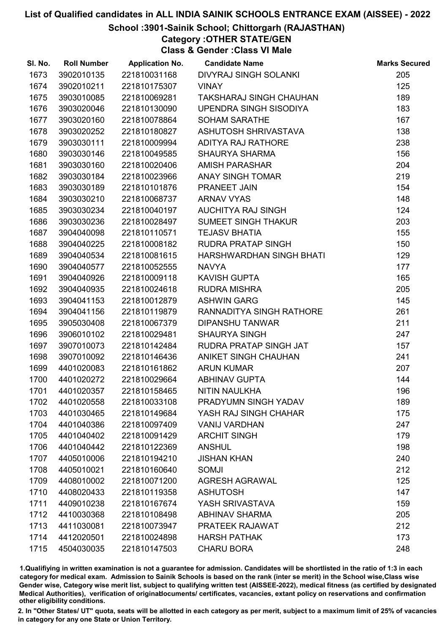### School :3901-Sainik School; Chittorgarh (RAJASTHAN)

## Category :OTHER STATE/GEN

Class & Gender :Class VI Male

| SI. No. | <b>Roll Number</b> | <b>Application No.</b> | <b>Candidate Name</b>          | <b>Marks Secured</b> |
|---------|--------------------|------------------------|--------------------------------|----------------------|
| 1673    | 3902010135         | 221810031168           | <b>DIVYRAJ SINGH SOLANKI</b>   | 205                  |
| 1674    | 3902010211         | 221810175307           | <b>VINAY</b>                   | 125                  |
| 1675    | 3903010085         | 221810069281           | <b>TAKSHARAJ SINGH CHAUHAN</b> | 189                  |
| 1676    | 3903020046         | 221810130090           | UPENDRA SINGH SISODIYA         | 183                  |
| 1677    | 3903020160         | 221810078864           | <b>SOHAM SARATHE</b>           | 167                  |
| 1678    | 3903020252         | 221810180827           | ASHUTOSH SHRIVASTAVA           | 138                  |
| 1679    | 3903030111         | 221810009994           | <b>ADITYA RAJ RATHORE</b>      | 238                  |
| 1680    | 3903030146         | 221810049585           | <b>SHAURYA SHARMA</b>          | 156                  |
| 1681    | 3903030160         | 221810020406           | <b>AMISH PARASHAR</b>          | 204                  |
| 1682    | 3903030184         | 221810023966           | <b>ANAY SINGH TOMAR</b>        | 219                  |
| 1683    | 3903030189         | 221810101876           | PRANEET JAIN                   | 154                  |
| 1684    | 3903030210         | 221810068737           | <b>ARNAV VYAS</b>              | 148                  |
| 1685    | 3903030234         | 221810040197           | AUCHITYA RAJ SINGH             | 124                  |
| 1686    | 3903030236         | 221810028497           | <b>SUMEET SINGH THAKUR</b>     | 203                  |
| 1687    | 3904040098         | 221810110571           | <b>TEJASV BHATIA</b>           | 155                  |
| 1688    | 3904040225         | 221810008182           | <b>RUDRA PRATAP SINGH</b>      | 150                  |
| 1689    | 3904040534         | 221810081615           | HARSHWARDHAN SINGH BHATI       | 129                  |
| 1690    | 3904040577         | 221810052555           | <b>NAVYA</b>                   | 177                  |
| 1691    | 3904040926         | 221810009118           | <b>KAVISH GUPTA</b>            | 165                  |
| 1692    | 3904040935         | 221810024618           | <b>RUDRA MISHRA</b>            | 205                  |
| 1693    | 3904041153         | 221810012879           | <b>ASHWIN GARG</b>             | 145                  |
| 1694    | 3904041156         | 221810119879           | RANNADITYA SINGH RATHORE       | 261                  |
| 1695    | 3905030408         | 221810067379           | <b>DIPANSHU TANWAR</b>         | 211                  |
| 1696    | 3906010102         | 221810029481           | <b>SHAURYA SINGH</b>           | 247                  |
| 1697    | 3907010073         | 221810142484           | RUDRA PRATAP SINGH JAT         | 157                  |
| 1698    | 3907010092         | 221810146436           | <b>ANIKET SINGH CHAUHAN</b>    | 241                  |
| 1699    | 4401020083         | 221810161862           | <b>ARUN KUMAR</b>              | 207                  |
| 1700    | 4401020272         | 221810029664           | <b>ABHINAV GUPTA</b>           | 144                  |
| 1701    | 4401020357         | 221810158465           | NITIN NAULKHA                  | 196                  |
| 1702    | 4401020558         | 221810033108           | PRADYUMN SINGH YADAV           | 189                  |
| 1703    | 4401030465         | 221810149684           | YASH RAJ SINGH CHAHAR          | 175                  |
| 1704    | 4401040386         | 221810097409           | <b>VANIJ VARDHAN</b>           | 247                  |
| 1705    | 4401040402         | 221810091429           | <b>ARCHIT SINGH</b>            | 179                  |
| 1706    | 4401040442         | 221810122369           | <b>ANSHUL</b>                  | 198                  |
| 1707    | 4405010006         | 221810194210           | <b>JISHAN KHAN</b>             | 240                  |
| 1708    | 4405010021         | 221810160640           | <b>SOMJI</b>                   | 212                  |
| 1709    | 4408010002         | 221810071200           | <b>AGRESH AGRAWAL</b>          | 125                  |
| 1710    | 4408020433         | 221810119358           | <b>ASHUTOSH</b>                | 147                  |
| 1711    | 4409010238         | 221810167674           | YASH SRIVASTAVA                | 159                  |
| 1712    | 4410030368         | 221810108498           | <b>ABHINAV SHARMA</b>          | 205                  |
| 1713    | 4411030081         | 221810073947           | PRATEEK RAJAWAT                | 212                  |
| 1714    | 4412020501         | 221810024898           | <b>HARSH PATHAK</b>            | 173                  |
| 1715    | 4504030035         | 221810147503           | <b>CHARU BORA</b>              | 248                  |

1.Qualifiying in written examination is not a guarantee for admission. Candidates will be shortlisted in the ratio of 1:3 in each category for medical exam. Admission to Sainik Schools is based on the rank (inter se merit) in the School wise,Class wise Gender wise, Category wise merit list, subject to qualifying written test (AISSEE-2022), medical fitness (as certified by designated Medical Authorities), verification of originablocuments/ certificates, vacancies, extant policy on reservations and confirmation other eligibility conditions.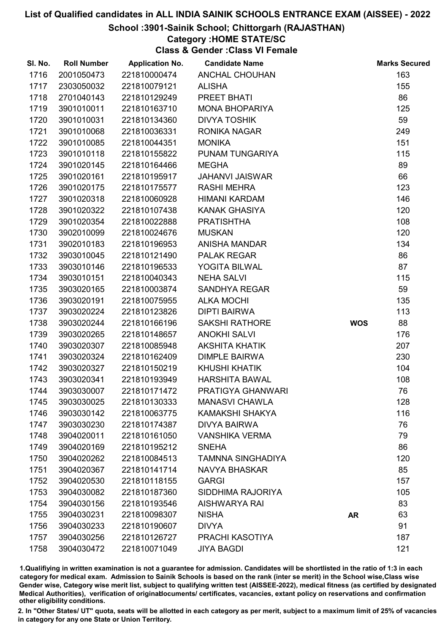#### School :3901-Sainik School; Chittorgarh (RAJASTHAN)

## Category :HOME STATE/SC

Class & Gender :Class VI Female

| SI. No. | <b>Roll Number</b> | <b>Application No.</b> | <b>Candidate Name</b>    |            | <b>Marks Secured</b> |
|---------|--------------------|------------------------|--------------------------|------------|----------------------|
| 1716    | 2001050473         | 221810000474           | <b>ANCHAL CHOUHAN</b>    |            | 163                  |
| 1717    | 2303050032         | 221810079121           | <b>ALISHA</b>            |            | 155                  |
| 1718    | 2701040143         | 221810129249           | PREET BHATI              |            | 86                   |
| 1719    | 3901010011         | 221810163710           | <b>MONA BHOPARIYA</b>    |            | 125                  |
| 1720    | 3901010031         | 221810134360           | <b>DIVYA TOSHIK</b>      |            | 59                   |
| 1721    | 3901010068         | 221810036331           | <b>RONIKA NAGAR</b>      |            | 249                  |
| 1722    | 3901010085         | 221810044351           | <b>MONIKA</b>            |            | 151                  |
| 1723    | 3901010118         | 221810155822           | PUNAM TUNGARIYA          |            | 115                  |
| 1724    | 3901020145         | 221810164466           | <b>MEGHA</b>             |            | 89                   |
| 1725    | 3901020161         | 221810195917           | <b>JAHANVI JAISWAR</b>   |            | 66                   |
| 1726    | 3901020175         | 221810175577           | <b>RASHI MEHRA</b>       |            | 123                  |
| 1727    | 3901020318         | 221810060928           | HIMANI KARDAM            |            | 146                  |
| 1728    | 3901020322         | 221810107438           | <b>KANAK GHASIYA</b>     |            | 120                  |
| 1729    | 3901020354         | 221810022888           | <b>PRATISHTHA</b>        |            | 108                  |
| 1730    | 3902010099         | 221810024676           | <b>MUSKAN</b>            |            | 120                  |
| 1731    | 3902010183         | 221810196953           | <b>ANISHA MANDAR</b>     |            | 134                  |
| 1732    | 3903010045         | 221810121490           | <b>PALAK REGAR</b>       |            | 86                   |
| 1733    | 3903010146         | 221810196533           | YOGITA BILWAL            |            | 87                   |
| 1734    | 3903010151         | 221810040343           | <b>NEHA SALVI</b>        |            | 115                  |
| 1735    | 3903020165         | 221810003874           | <b>SANDHYA REGAR</b>     |            | 59                   |
| 1736    | 3903020191         | 221810075955           | <b>ALKA MOCHI</b>        |            | 135                  |
| 1737    | 3903020224         | 221810123826           | <b>DIPTI BAIRWA</b>      |            | 113                  |
| 1738    | 3903020244         | 221810166196           | <b>SAKSHI RATHORE</b>    | <b>WOS</b> | 88                   |
| 1739    | 3903020265         | 221810148657           | <b>ANOKHI SALVI</b>      |            | 176                  |
| 1740    | 3903020307         | 221810085948           | <b>AKSHITA KHATIK</b>    |            | 207                  |
| 1741    | 3903020324         | 221810162409           | <b>DIMPLE BAIRWA</b>     |            | 230                  |
| 1742    | 3903020327         | 221810150219           | <b>KHUSHI KHATIK</b>     |            | 104                  |
| 1743    | 3903020341         | 221810193949           | <b>HARSHITA BAWAL</b>    |            | 108                  |
| 1744    | 3903030007         | 221810171472           | PRATIGYA GHANWARI        |            | 76                   |
| 1745    | 3903030025         | 221810130333           | <b>MANASVI CHAWLA</b>    |            | 128                  |
| 1746    | 3903030142         | 221810063775           | KAMAKSHI SHAKYA          |            | 116                  |
| 1747    | 3903030230         | 221810174387           | <b>DIVYA BAIRWA</b>      |            | 76                   |
| 1748    | 3904020011         | 221810161050           | <b>VANSHIKA VERMA</b>    |            | 79                   |
| 1749    | 3904020169         | 221810195212           | <b>SNEHA</b>             |            | 86                   |
| 1750    | 3904020262         | 221810084513           | <b>TAMNNA SINGHADIYA</b> |            | 120                  |
| 1751    | 3904020367         | 221810141714           | <b>NAVYA BHASKAR</b>     |            | 85                   |
| 1752    | 3904020530         | 221810118155           | <b>GARGI</b>             |            | 157                  |
| 1753    | 3904030082         | 221810187360           | SIDDHIMA RAJORIYA        |            | 105                  |
| 1754    | 3904030156         | 221810193546           | <b>AISHWARYA RAI</b>     |            | 83                   |
| 1755    | 3904030231         | 221810098307           | <b>NISHA</b>             | <b>AR</b>  | 63                   |
| 1756    | 3904030233         | 221810190607           | <b>DIVYA</b>             |            | 91                   |
| 1757    | 3904030256         | 221810126727           | PRACHI KASOTIYA          |            | 187                  |
| 1758    | 3904030472         | 221810071049           | <b>JIYA BAGDI</b>        |            | 121                  |

1.Qualifiying in written examination is not a guarantee for admission. Candidates will be shortlisted in the ratio of 1:3 in each category for medical exam. Admission to Sainik Schools is based on the rank (inter se merit) in the School wise,Class wise Gender wise, Category wise merit list, subject to qualifying written test (AISSEE-2022), medical fitness (as certified by designated Medical Authorities), verification of originablocuments/ certificates, vacancies, extant policy on reservations and confirmation other eligibility conditions.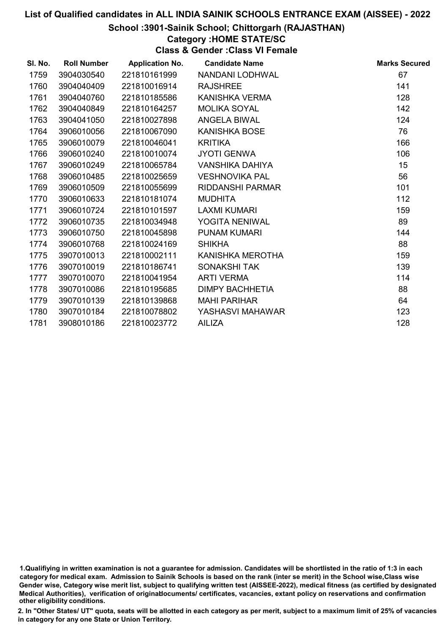## School :3901-Sainik School; Chittorgarh (RAJASTHAN)

### Category :HOME STATE/SC

Class & Gender :Class VI Female

| SI. No. | <b>Roll Number</b> | <b>Application No.</b> | <b>Candidate Name</b>   | <b>Marks Secured</b> |
|---------|--------------------|------------------------|-------------------------|----------------------|
| 1759    | 3904030540         | 221810161999           | NANDANI LODHWAL         | 67                   |
| 1760    | 3904040409         | 221810016914           | <b>RAJSHREE</b>         | 141                  |
| 1761    | 3904040760         | 221810185586           | KANISHKA VERMA          | 128                  |
| 1762    | 3904040849         | 221810164257           | <b>MOLIKA SOYAL</b>     | 142                  |
| 1763    | 3904041050         | 221810027898           | ANGELA BIWAL            | 124                  |
| 1764    | 3906010056         | 221810067090           | <b>KANISHKA BOSE</b>    | 76                   |
| 1765    | 3906010079         | 221810046041           | <b>KRITIKA</b>          | 166                  |
| 1766    | 3906010240         | 221810010074           | <b>JYOTI GENWA</b>      | 106                  |
| 1767    | 3906010249         | 221810065784           | VANSHIKA DAHIYA         | 15                   |
| 1768    | 3906010485         | 221810025659           | <b>VESHNOVIKA PAL</b>   | 56                   |
| 1769    | 3906010509         | 221810055699           | <b>RIDDANSHI PARMAR</b> | 101                  |
| 1770    | 3906010633         | 221810181074           | <b>MUDHITA</b>          | 112                  |
| 1771    | 3906010724         | 221810101597           | <b>LAXMI KUMARI</b>     | 159                  |
| 1772    | 3906010735         | 221810034948           | YOGITA NENIWAL          | 89                   |
| 1773    | 3906010750         | 221810045898           | <b>PUNAM KUMARI</b>     | 144                  |
| 1774    | 3906010768         | 221810024169           | <b>SHIKHA</b>           | 88                   |
| 1775    | 3907010013         | 221810002111           | KANISHKA MEROTHA        | 159                  |
| 1776    | 3907010019         | 221810186741           | <b>SONAKSHI TAK</b>     | 139                  |
| 1777    | 3907010070         | 221810041954           | <b>ARTI VERMA</b>       | 114                  |
| 1778    | 3907010086         | 221810195685           | <b>DIMPY BACHHETIA</b>  | 88                   |
| 1779    | 3907010139         | 221810139868           | <b>MAHI PARIHAR</b>     | 64                   |
| 1780    | 3907010184         | 221810078802           | YASHASVI MAHAWAR        | 123                  |
| 1781    | 3908010186         | 221810023772           | <b>AILIZA</b>           | 128                  |

<sup>1.</sup>Qualifiying in written examination is not a guarantee for admission. Candidates will be shortlisted in the ratio of 1:3 in each category for medical exam. Admission to Sainik Schools is based on the rank (inter se merit) in the School wise,Class wise Gender wise, Category wise merit list, subject to qualifying written test (AISSEE-2022), medical fitness (as certified by designated Medical Authorities), verification of originablocuments/ certificates, vacancies, extant policy on reservations and confirmation other eligibility conditions.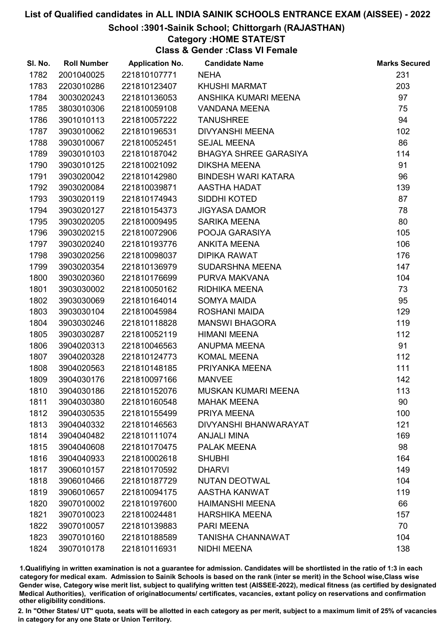## School :3901-Sainik School; Chittorgarh (RAJASTHAN)

#### Category :HOME STATE/ST

Class & Gender :Class VI Female

| SI. No. | <b>Roll Number</b> | <b>Application No.</b> | <b>Candidate Name</b>        | <b>Marks Secured</b> |
|---------|--------------------|------------------------|------------------------------|----------------------|
| 1782    | 2001040025         | 221810107771           | <b>NEHA</b>                  | 231                  |
| 1783    | 2203010286         | 221810123407           | <b>KHUSHI MARMAT</b>         | 203                  |
| 1784    | 3003020243         | 221810136053           | ANSHIKA KUMARI MEENA         | 97                   |
| 1785    | 3803010306         | 221810059108           | <b>VANDANA MEENA</b>         | 75                   |
| 1786    | 3901010113         | 221810057222           | <b>TANUSHREE</b>             | 94                   |
| 1787    | 3903010062         | 221810196531           | <b>DIVYANSHI MEENA</b>       | 102                  |
| 1788    | 3903010067         | 221810052451           | <b>SEJAL MEENA</b>           | 86                   |
| 1789    | 3903010103         | 221810187042           | <b>BHAGYA SHREE GARASIYA</b> | 114                  |
| 1790    | 3903010125         | 221810021092           | <b>DIKSHA MEENA</b>          | 91                   |
| 1791    | 3903020042         | 221810142980           | <b>BINDESH WARI KATARA</b>   | 96                   |
| 1792    | 3903020084         | 221810039871           | AASTHA HADAT                 | 139                  |
| 1793    | 3903020119         | 221810174943           | SIDDHI KOTED                 | 87                   |
| 1794    | 3903020127         | 221810154373           | <b>JIGYASA DAMOR</b>         | 78                   |
| 1795    | 3903020205         | 221810009495           | <b>SARIKA MEENA</b>          | 80                   |
| 1796    | 3903020215         | 221810072906           | POOJA GARASIYA               | 105                  |
| 1797    | 3903020240         | 221810193776           | <b>ANKITA MEENA</b>          | 106                  |
| 1798    | 3903020256         | 221810098037           | <b>DIPIKA RAWAT</b>          | 176                  |
| 1799    | 3903020354         | 221810136979           | SUDARSHNA MEENA              | 147                  |
| 1800    | 3903020360         | 221810176699           | PURVA MAKVANA                | 104                  |
| 1801    | 3903030002         | 221810050162           | RIDHIKA MEENA                | 73                   |
| 1802    | 3903030069         | 221810164014           | SOMYA MAIDA                  | 95                   |
| 1803    | 3903030104         | 221810045984           | ROSHANI MAIDA                | 129                  |
| 1804    | 3903030246         | 221810118828           | <b>MANSWI BHAGORA</b>        | 119                  |
| 1805    | 3903030287         | 221810052119           | <b>HIMANI MEENA</b>          | 112                  |
| 1806    | 3904020313         | 221810046563           | ANUPMA MEENA                 | 91                   |
| 1807    | 3904020328         | 221810124773           | <b>KOMAL MEENA</b>           | 112                  |
| 1808    | 3904020563         | 221810148185           | PRIYANKA MEENA               | 111                  |
| 1809    | 3904030176         | 221810097166           | <b>MANVEE</b>                | 142                  |
| 1810    | 3904030186         | 221810152076           | <b>MUSKAN KUMARI MEENA</b>   | 113                  |
| 1811    | 3904030380         | 221810160548           | <b>MAHAK MEENA</b>           | 90                   |
| 1812    | 3904030535         | 221810155499           | PRIYA MEENA                  | 100                  |
| 1813    | 3904040332         | 221810146563           | <b>DIVYANSHI BHANWARAYAT</b> | 121                  |
| 1814    | 3904040482         | 221810111074           | <b>ANJALI MINA</b>           | 169                  |
| 1815    | 3904040608         | 221810170475           | <b>PALAK MEENA</b>           | 98                   |
| 1816    | 3904040933         | 221810002618           | <b>SHUBHI</b>                | 164                  |
| 1817    | 3906010157         | 221810170592           | <b>DHARVI</b>                | 149                  |
| 1818    | 3906010466         | 221810187729           | <b>NUTAN DEOTWAL</b>         | 104                  |
| 1819    | 3906010657         | 221810094175           | AASTHA KANWAT                | 119                  |
| 1820    | 3907010002         | 221810197600           | <b>HAIMANSHI MEENA</b>       | 66                   |
| 1821    | 3907010023         | 221810024481           | <b>HARSHIKA MEENA</b>        | 157                  |
| 1822    | 3907010057         | 221810139883           | <b>PARI MEENA</b>            | 70                   |
| 1823    | 3907010160         | 221810188589           | <b>TANISHA CHANNAWAT</b>     | 104                  |
| 1824    | 3907010178         | 221810116931           | NIDHI MEENA                  | 138                  |

1.Qualifiying in written examination is not a guarantee for admission. Candidates will be shortlisted in the ratio of 1:3 in each category for medical exam. Admission to Sainik Schools is based on the rank (inter se merit) in the School wise,Class wise Gender wise, Category wise merit list, subject to qualifying written test (AISSEE-2022), medical fitness (as certified by designated Medical Authorities), verification of originablocuments/ certificates, vacancies, extant policy on reservations and confirmation other eligibility conditions.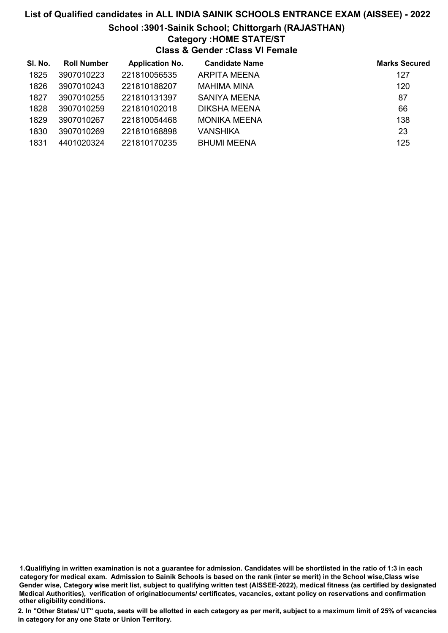#### School :3901-Sainik School; Chittorgarh (RAJASTHAN)

#### Category :HOME STATE/ST

Class & Gender :Class VI Female

| SI. No. | <b>Roll Number</b> | <b>Application No.</b> | <b>Candidate Name</b> | <b>Marks Secured</b> |
|---------|--------------------|------------------------|-----------------------|----------------------|
| 1825    | 3907010223         | 221810056535           | <b>ARPITA MEENA</b>   | 127                  |
| 1826    | 3907010243         | 221810188207           | MAHIMA MINA           | 120                  |
| 1827    | 3907010255         | 221810131397           | <b>SANIYA MEENA</b>   | 87                   |
| 1828    | 3907010259         | 221810102018           | DIKSHA MEENA          | 66                   |
| 1829    | 3907010267         | 221810054468           | <b>MONIKA MEENA</b>   | 138                  |
| 1830    | 3907010269         | 221810168898           | VANSHIKA              | 23                   |
| 1831    | 4401020324         | 221810170235           | <b>BHUMI MEENA</b>    | 125                  |

<sup>1.</sup>Qualifiying in written examination is not a guarantee for admission. Candidates will be shortlisted in the ratio of 1:3 in each category for medical exam. Admission to Sainik Schools is based on the rank (inter se merit) in the School wise,Class wise Gender wise, Category wise merit list, subject to qualifying written test (AISSEE-2022), medical fitness (as certified by designated Medical Authorities), verification of originablocuments/ certificates, vacancies, extant policy on reservations and confirmation other eligibility conditions.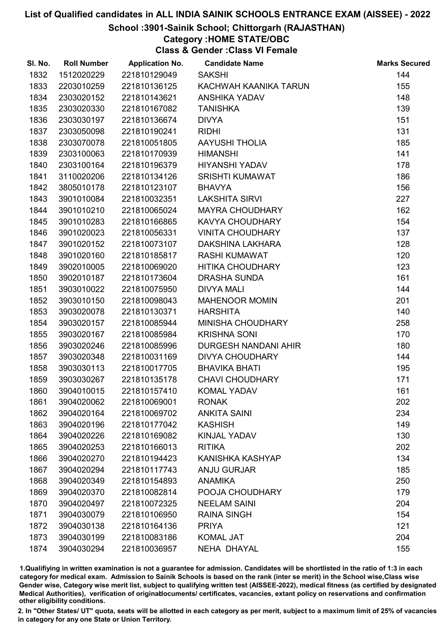## School :3901-Sainik School; Chittorgarh (RAJASTHAN)

Category :HOME STATE/OBC

Class & Gender :Class VI Female

| SI. No. | <b>Roll Number</b> | <b>Application No.</b> | <b>Candidate Name</b>   | <b>Marks Secured</b> |
|---------|--------------------|------------------------|-------------------------|----------------------|
| 1832    | 1512020229         | 221810129049           | <b>SAKSHI</b>           | 144                  |
| 1833    | 2203010259         | 221810136125           | KACHWAH KAANIKA TARUN   | 155                  |
| 1834    | 2303020152         | 221810143621           | <b>ANSHIKA YADAV</b>    | 148                  |
| 1835    | 2303020330         | 221810167082           | <b>TANISHKA</b>         | 139                  |
| 1836    | 2303030197         | 221810136674           | <b>DIVYA</b>            | 151                  |
| 1837    | 2303050098         | 221810190241           | <b>RIDHI</b>            | 131                  |
| 1838    | 2303070078         | 221810051805           | <b>AAYUSHI THOLIA</b>   | 185                  |
| 1839    | 2303100063         | 221810170939           | <b>HIMANSHI</b>         | 141                  |
| 1840    | 2303100164         | 221810196379           | <b>HIYANSHI YADAV</b>   | 178                  |
| 1841    | 3110020206         | 221810134126           | <b>SRISHTI KUMAWAT</b>  | 186                  |
| 1842    | 3805010178         | 221810123107           | <b>BHAVYA</b>           | 156                  |
| 1843    | 3901010084         | 221810032351           | <b>LAKSHITA SIRVI</b>   | 227                  |
| 1844    | 3901010210         | 221810065024           | <b>MAYRA CHOUDHARY</b>  | 162                  |
| 1845    | 3901010283         | 221810166865           | <b>KAVYA CHOUDHARY</b>  | 154                  |
| 1846    | 3901020023         | 221810056331           | <b>VINITA CHOUDHARY</b> | 137                  |
| 1847    | 3901020152         | 221810073107           | DAKSHINA LAKHARA        | 128                  |
| 1848    | 3901020160         | 221810185817           | RASHI KUMAWAT           | 120                  |
| 1849    | 3902010005         | 221810069020           | <b>HITIKA CHOUDHARY</b> | 123                  |
| 1850    | 3902010187         | 221810173604           | <b>DRASHA SUNDA</b>     | 161                  |
| 1851    | 3903010022         | 221810075950           | <b>DIVYA MALI</b>       | 144                  |
| 1852    | 3903010150         | 221810098043           | <b>MAHENOOR MOMIN</b>   | 201                  |
| 1853    | 3903020078         | 221810130371           | <b>HARSHITA</b>         | 140                  |
| 1854    | 3903020157         | 221810085944           | MINISHA CHOUDHARY       | 258                  |
| 1855    | 3903020167         | 221810085984           | <b>KRISHNA SONI</b>     | 170                  |
| 1856    | 3903020246         | 221810085996           | DURGESH NANDANI AHIR    | 180                  |
| 1857    | 3903020348         | 221810031169           | <b>DIVYA CHOUDHARY</b>  | 144                  |
| 1858    | 3903030113         | 221810017705           | <b>BHAVIKA BHATI</b>    | 195                  |
| 1859    | 3903030267         | 221810135178           | <b>CHAVI CHOUDHARY</b>  | 171                  |
| 1860    | 3904010015         | 221810157410           | <b>KOMAL YADAV</b>      | 161                  |
| 1861    | 3904020062         | 221810069001           | <b>RONAK</b>            | 202                  |
| 1862    | 3904020164         | 221810069702           | <b>ANKITA SAINI</b>     | 234                  |
| 1863    | 3904020196         | 221810177042           | <b>KASHISH</b>          | 149                  |
| 1864    | 3904020226         | 221810169082           | <b>KINJAL YADAV</b>     | 130                  |
| 1865    | 3904020253         | 221810166013           | <b>RITIKA</b>           | 202                  |
| 1866    | 3904020270         | 221810194423           | <b>KANISHKA KASHYAP</b> | 134                  |
| 1867    | 3904020294         | 221810117743           | <b>ANJU GURJAR</b>      | 185                  |
| 1868    | 3904020349         | 221810154893           | <b>ANAMIKA</b>          | 250                  |
| 1869    | 3904020370         | 221810082814           | POOJA CHOUDHARY         | 179                  |
| 1870    | 3904020497         | 221810072325           | <b>NEELAM SAINI</b>     | 204                  |
| 1871    | 3904030079         | 221810106950           | <b>RAINA SINGH</b>      | 154                  |
| 1872    | 3904030138         | 221810164136           | <b>PRIYA</b>            | 121                  |
| 1873    | 3904030199         | 221810083186           | <b>KOMAL JAT</b>        | 204                  |
| 1874    | 3904030294         | 221810036957           | NEHA DHAYAL             | 155                  |

1.Qualifiying in written examination is not a guarantee for admission. Candidates will be shortlisted in the ratio of 1:3 in each category for medical exam. Admission to Sainik Schools is based on the rank (inter se merit) in the School wise,Class wise Gender wise, Category wise merit list, subject to qualifying written test (AISSEE-2022), medical fitness (as certified by designated Medical Authorities), verification of originablocuments/ certificates, vacancies, extant policy on reservations and confirmation other eligibility conditions.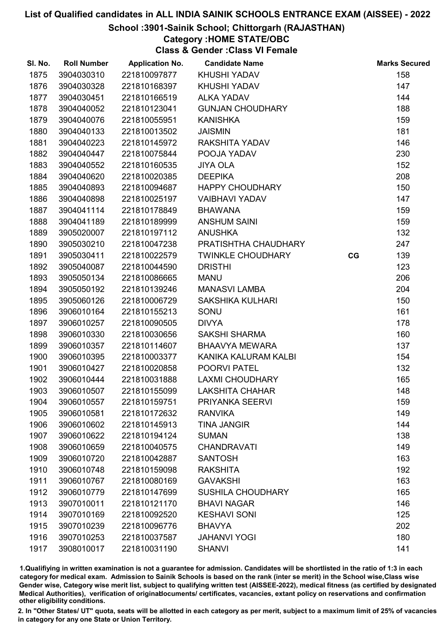## School :3901-Sainik School; Chittorgarh (RAJASTHAN)

## Category :HOME STATE/OBC

Class & Gender :Class VI Female

| SI. No. | <b>Roll Number</b> | <b>Application No.</b> | <b>Candidate Name</b>    |    | <b>Marks Secured</b> |
|---------|--------------------|------------------------|--------------------------|----|----------------------|
| 1875    | 3904030310         | 221810097877           | <b>KHUSHI YADAV</b>      |    | 158                  |
| 1876    | 3904030328         | 221810168397           | <b>KHUSHI YADAV</b>      |    | 147                  |
| 1877    | 3904030451         | 221810166519           | <b>ALKA YADAV</b>        |    | 144                  |
| 1878    | 3904040052         | 221810123041           | <b>GUNJAN CHOUDHARY</b>  |    | 188                  |
| 1879    | 3904040076         | 221810055951           | <b>KANISHKA</b>          |    | 159                  |
| 1880    | 3904040133         | 221810013502           | <b>JAISMIN</b>           |    | 181                  |
| 1881    | 3904040223         | 221810145972           | <b>RAKSHITA YADAV</b>    |    | 146                  |
| 1882    | 3904040447         | 221810075844           | POOJA YADAV              |    | 230                  |
| 1883    | 3904040552         | 221810160535           | <b>JIYA OLA</b>          |    | 152                  |
| 1884    | 3904040620         | 221810020385           | <b>DEEPIKA</b>           |    | 208                  |
| 1885    | 3904040893         | 221810094687           | <b>HAPPY CHOUDHARY</b>   |    | 150                  |
| 1886    | 3904040898         | 221810025197           | <b>VAIBHAVI YADAV</b>    |    | 147                  |
| 1887    | 3904041114         | 221810178849           | <b>BHAWANA</b>           |    | 159                  |
| 1888    | 3904041189         | 221810189999           | <b>ANSHUM SAINI</b>      |    | 159                  |
| 1889    | 3905020007         | 221810197112           | <b>ANUSHKA</b>           |    | 132                  |
| 1890    | 3905030210         | 221810047238           | PRATISHTHA CHAUDHARY     |    | 247                  |
| 1891    | 3905030411         | 221810022579           | <b>TWINKLE CHOUDHARY</b> | CG | 139                  |
| 1892    | 3905040087         | 221810044590           | <b>DRISTHI</b>           |    | 123                  |
| 1893    | 3905050134         | 221810086665           | <b>MANU</b>              |    | 206                  |
| 1894    | 3905050192         | 221810139246           | <b>MANASVI LAMBA</b>     |    | 204                  |
| 1895    | 3905060126         | 221810006729           | <b>SAKSHIKA KULHARI</b>  |    | 150                  |
| 1896    | 3906010164         | 221810155213           | SONU                     |    | 161                  |
| 1897    | 3906010257         | 221810090505           | <b>DIVYA</b>             |    | 178                  |
| 1898    | 3906010330         | 221810030656           | <b>SAKSHI SHARMA</b>     |    | 160                  |
| 1899    | 3906010357         | 221810114607           | <b>BHAAVYA MEWARA</b>    |    | 137                  |
| 1900    | 3906010395         | 221810003377           | KANIKA KALURAM KALBI     |    | 154                  |
| 1901    | 3906010427         | 221810020858           | POORVI PATEL             |    | 132                  |
| 1902    | 3906010444         | 221810031888           | <b>LAXMI CHOUDHARY</b>   |    | 165                  |
| 1903    | 3906010507         | 221810155099           | <b>LAKSHITA CHAHAR</b>   |    | 148                  |
| 1904    | 3906010557         | 221810159751           | PRIYANKA SEERVI          |    | 159                  |
| 1905    | 3906010581         | 221810172632           | <b>RANVIKA</b>           |    | 149                  |
| 1906    | 3906010602         | 221810145913           | <b>TINA JANGIR</b>       |    | 144                  |
| 1907    | 3906010622         | 221810194124           | <b>SUMAN</b>             |    | 138                  |
| 1908    | 3906010659         | 221810040575           | <b>CHANDRAVATI</b>       |    | 149                  |
| 1909    | 3906010720         | 221810042887           | <b>SANTOSH</b>           |    | 163                  |
| 1910    | 3906010748         | 221810159098           | <b>RAKSHITA</b>          |    | 192                  |
| 1911    | 3906010767         | 221810080169           | <b>GAVAKSHI</b>          |    | 163                  |
| 1912    | 3906010779         | 221810147699           | <b>SUSHILA CHOUDHARY</b> |    | 165                  |
| 1913    | 3907010011         | 221810121170           | <b>BHAVI NAGAR</b>       |    | 146                  |
| 1914    | 3907010169         | 221810092520           | <b>KESHAVI SONI</b>      |    | 125                  |
| 1915    | 3907010239         | 221810096776           | <b>BHAVYA</b>            |    | 202                  |
| 1916    | 3907010253         | 221810037587           | <b>JAHANVI YOGI</b>      |    | 180                  |
| 1917    | 3908010017         | 221810031190           | <b>SHANVI</b>            |    | 141                  |

1.Qualifiying in written examination is not a guarantee for admission. Candidates will be shortlisted in the ratio of 1:3 in each category for medical exam. Admission to Sainik Schools is based on the rank (inter se merit) in the School wise,Class wise Gender wise, Category wise merit list, subject to qualifying written test (AISSEE-2022), medical fitness (as certified by designated Medical Authorities), verification of originablocuments/ certificates, vacancies, extant policy on reservations and confirmation other eligibility conditions.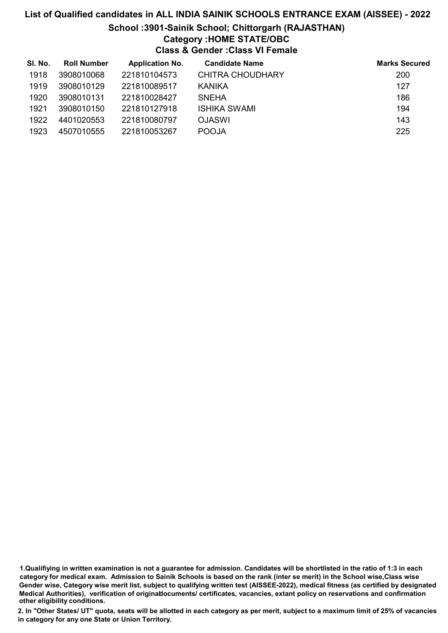# List of Qualified candidates in ALL INDIA SAINIK SCHOOLS ENTRANCE EXAM (AISSEE) - 2022 School :3901-Sainik School; Chittorgarh (RAJASTHAN) Category :HOME STATE/OBC Class & Gender :Class VI Female

| SI. No. | <b>Roll Number</b> | <b>Application No.</b> | <b>Candidate Name</b>   | <b>Marks Secured</b> |
|---------|--------------------|------------------------|-------------------------|----------------------|
| 1918    | 3908010068         | 221810104573           | <b>CHITRA CHOUDHARY</b> | 200                  |
| 1919    | 3908010129         | 221810089517           | KANIKA                  | 127                  |
| 1920    | 3908010131         | 221810028427           | <b>SNEHA</b>            | 186                  |
| 1921    | 3908010150         | 221810127918           | ISHIKA SWAMI            | 194                  |
| 1922    | 4401020553         | 221810080797           | <b>OJASWI</b>           | 143                  |
| 1923    | 4507010555         | 221810053267           | <b>POOJA</b>            | 225                  |

1.Qualifiying in written examination is not a guarantee for admission. Candidates will be shortlisted in the ratio of 1:3 in each category for medical exam. Admission to Sainik Schools is based on the rank (inter se merit) in the School wise,Class wise Gender wise, Category wise merit list, subject to qualifying written test (AISSEE-2022), medical fitness (as certified by designated Medical Authorities), verification of originablocuments/ certificates, vacancies, extant policy on reservations and confirmation other eligibility conditions.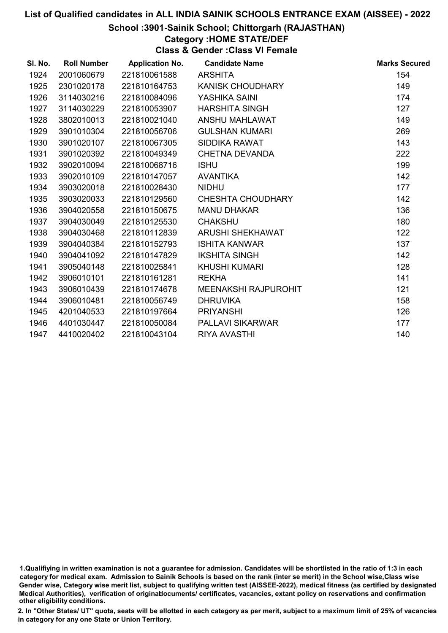## School :3901-Sainik School; Chittorgarh (RAJASTHAN)

## Category :HOME STATE/DEF

Class & Gender :Class VI Female

| SI. No. | <b>Roll Number</b> | <b>Application No.</b> | <b>Candidate Name</b>       | <b>Marks Secured</b> |
|---------|--------------------|------------------------|-----------------------------|----------------------|
| 1924    | 2001060679         | 221810061588           | <b>ARSHITA</b>              | 154                  |
| 1925    | 2301020178         | 221810164753           | <b>KANISK CHOUDHARY</b>     | 149                  |
| 1926    | 3114030216         | 221810084096           | YASHIKA SAINI               | 174                  |
| 1927    | 3114030229         | 221810053907           | <b>HARSHITA SINGH</b>       | 127                  |
| 1928    | 3802010013         | 221810021040           | ANSHU MAHLAWAT              | 149                  |
| 1929    | 3901010304         | 221810056706           | <b>GULSHAN KUMARI</b>       | 269                  |
| 1930    | 3901020107         | 221810067305           | <b>SIDDIKA RAWAT</b>        | 143                  |
| 1931    | 3901020392         | 221810049349           | <b>CHETNA DEVANDA</b>       | 222                  |
| 1932    | 3902010094         | 221810068716           | <b>ISHU</b>                 | 199                  |
| 1933    | 3902010109         | 221810147057           | <b>AVANTIKA</b>             | 142                  |
| 1934    | 3903020018         | 221810028430           | <b>NIDHU</b>                | 177                  |
| 1935    | 3903020033         | 221810129560           | <b>CHESHTA CHOUDHARY</b>    | 142                  |
| 1936    | 3904020558         | 221810150675           | <b>MANU DHAKAR</b>          | 136                  |
| 1937    | 3904030049         | 221810125530           | <b>CHAKSHU</b>              | 180                  |
| 1938    | 3904030468         | 221810112839           | ARUSHI SHEKHAWAT            | 122                  |
| 1939    | 3904040384         | 221810152793           | <b>ISHITA KANWAR</b>        | 137                  |
| 1940    | 3904041092         | 221810147829           | <b>IKSHITA SINGH</b>        | 142                  |
| 1941    | 3905040148         | 221810025841           | <b>KHUSHI KUMARI</b>        | 128                  |
| 1942    | 3906010101         | 221810161281           | <b>REKHA</b>                | 141                  |
| 1943    | 3906010439         | 221810174678           | <b>MEENAKSHI RAJPUROHIT</b> | 121                  |
| 1944    | 3906010481         | 221810056749           | <b>DHRUVIKA</b>             | 158                  |
| 1945    | 4201040533         | 221810197664           | <b>PRIYANSHI</b>            | 126                  |
| 1946    | 4401030447         | 221810050084           | <b>PALLAVI SIKARWAR</b>     | 177                  |
| 1947    | 4410020402         | 221810043104           | <b>RIYA AVASTHI</b>         | 140                  |

<sup>1.</sup>Qualifiying in written examination is not a guarantee for admission. Candidates will be shortlisted in the ratio of 1:3 in each category for medical exam. Admission to Sainik Schools is based on the rank (inter se merit) in the School wise,Class wise Gender wise, Category wise merit list, subject to qualifying written test (AISSEE-2022), medical fitness (as certified by designated Medical Authorities), verification of originablocuments/ certificates, vacancies, extant policy on reservations and confirmation other eligibility conditions.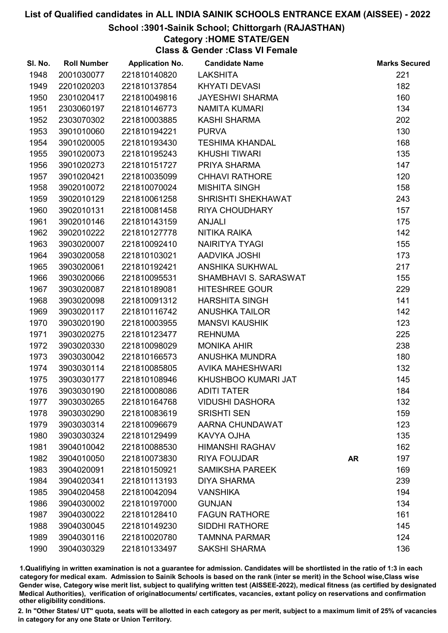## School :3901-Sainik School; Chittorgarh (RAJASTHAN)

## Category :HOME STATE/GEN

Class & Gender :Class VI Female

| SI. No. | <b>Roll Number</b> | <b>Application No.</b> | <b>Candidate Name</b>   |           | <b>Marks Secured</b> |
|---------|--------------------|------------------------|-------------------------|-----------|----------------------|
| 1948    | 2001030077         | 221810140820           | <b>LAKSHITA</b>         |           | 221                  |
| 1949    | 2201020203         | 221810137854           | <b>KHYATI DEVASI</b>    |           | 182                  |
| 1950    | 2301020417         | 221810049816           | <b>JAYESHWI SHARMA</b>  |           | 160                  |
| 1951    | 2303060197         | 221810146773           | <b>NAMITA KUMARI</b>    |           | 134                  |
| 1952    | 2303070302         | 221810003885           | <b>KASHI SHARMA</b>     |           | 202                  |
| 1953    | 3901010060         | 221810194221           | <b>PURVA</b>            |           | 130                  |
| 1954    | 3901020005         | 221810193430           | <b>TESHIMA KHANDAL</b>  |           | 168                  |
| 1955    | 3901020073         | 221810195243           | <b>KHUSHI TIWARI</b>    |           | 135                  |
| 1956    | 3901020273         | 221810151727           | PRIYA SHARMA            |           | 147                  |
| 1957    | 3901020421         | 221810035099           | <b>CHHAVI RATHORE</b>   |           | 120                  |
| 1958    | 3902010072         | 221810070024           | <b>MISHITA SINGH</b>    |           | 158                  |
| 1959    | 3902010129         | 221810061258           | SHRISHTI SHEKHAWAT      |           | 243                  |
| 1960    | 3902010131         | 221810081458           | <b>RIYA CHOUDHARY</b>   |           | 157                  |
| 1961    | 3902010146         | 221810143159           | <b>ANJALI</b>           |           | 175                  |
| 1962    | 3902010222         | 221810127778           | NITIKA RAIKA            |           | 142                  |
| 1963    | 3903020007         | 221810092410           | NAIRITYA TYAGI          |           | 155                  |
| 1964    | 3903020058         | 221810103021           | AADVIKA JOSHI           |           | 173                  |
| 1965    | 3903020061         | 221810192421           | <b>ANSHIKA SUKHWAL</b>  |           | 217                  |
| 1966    | 3903020066         | 221810095531           | SHAMBHAVI S. SARASWAT   |           | 155                  |
| 1967    | 3903020087         | 221810189081           | <b>HITESHREE GOUR</b>   |           | 229                  |
| 1968    | 3903020098         | 221810091312           | <b>HARSHITA SINGH</b>   |           | 141                  |
| 1969    | 3903020117         | 221810116742           | <b>ANUSHKA TAILOR</b>   |           | 142                  |
| 1970    | 3903020190         | 221810003955           | <b>MANSVI KAUSHIK</b>   |           | 123                  |
| 1971    | 3903020275         | 221810123477           | <b>REHNUMA</b>          |           | 225                  |
| 1972    | 3903020330         | 221810098029           | <b>MONIKA AHIR</b>      |           | 238                  |
| 1973    | 3903030042         | 221810166573           | ANUSHKA MUNDRA          |           | 180                  |
| 1974    | 3903030114         | 221810085805           | <b>AVIKA MAHESHWARI</b> |           | 132                  |
| 1975    | 3903030177         | 221810108946           | KHUSHBOO KUMARI JAT     |           | 145                  |
| 1976    | 3903030190         | 221810008086           | <b>ADITI TATER</b>      |           | 184                  |
| 1977    | 3903030265         | 221810164768           | <b>VIDUSHI DASHORA</b>  |           | 132                  |
| 1978    | 3903030290         | 221810083619           | <b>SRISHTI SEN</b>      |           | 159                  |
| 1979    | 3903030314         | 221810096679           | AARNA CHUNDAWAT         |           | 123                  |
| 1980    | 3903030324         | 221810129499           | KAVYA OJHA              |           | 135                  |
| 1981    | 3904010042         | 221810088530           | <b>HIMANSHI RAGHAV</b>  |           | 162                  |
| 1982    | 3904010050         | 221810073830           | <b>RIYA FOUJDAR</b>     | <b>AR</b> | 197                  |
| 1983    | 3904020091         | 221810150921           | <b>SAMIKSHA PAREEK</b>  |           | 169                  |
| 1984    | 3904020341         | 221810113193           | <b>DIYA SHARMA</b>      |           | 239                  |
| 1985    | 3904020458         | 221810042094           | <b>VANSHIKA</b>         |           | 194                  |
| 1986    | 3904030002         | 221810197000           | <b>GUNJAN</b>           |           | 134                  |
| 1987    | 3904030022         | 221810128410           | <b>FAGUN RATHORE</b>    |           | 161                  |
| 1988    | 3904030045         | 221810149230           | <b>SIDDHI RATHORE</b>   |           | 145                  |
| 1989    | 3904030116         | 221810020780           | <b>TAMNNA PARMAR</b>    |           | 124                  |
| 1990    | 3904030329         | 221810133497           | <b>SAKSHI SHARMA</b>    |           | 136                  |

1.Qualifiying in written examination is not a guarantee for admission. Candidates will be shortlisted in the ratio of 1:3 in each category for medical exam. Admission to Sainik Schools is based on the rank (inter se merit) in the School wise,Class wise Gender wise, Category wise merit list, subject to qualifying written test (AISSEE-2022), medical fitness (as certified by designated Medical Authorities), verification of originablocuments/ certificates, vacancies, extant policy on reservations and confirmation other eligibility conditions.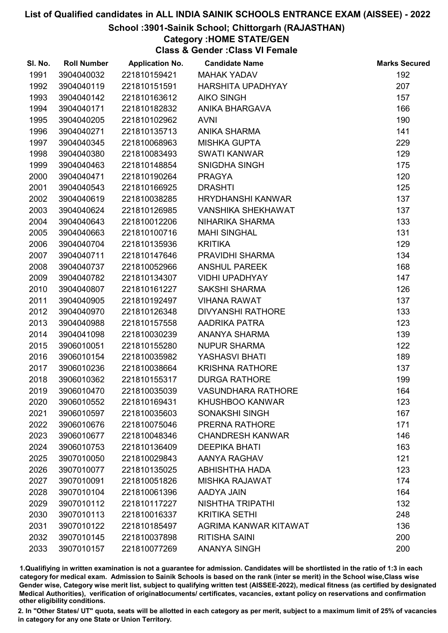## School :3901-Sainik School; Chittorgarh (RAJASTHAN)

## Category :HOME STATE/GEN

Class & Gender :Class VI Female

| SI. No. | <b>Roll Number</b> | <b>Application No.</b> | <b>Candidate Name</b>     | <b>Marks Secured</b> |
|---------|--------------------|------------------------|---------------------------|----------------------|
| 1991    | 3904040032         | 221810159421           | <b>MAHAK YADAV</b>        | 192                  |
| 1992    | 3904040119         | 221810151591           | <b>HARSHITA UPADHYAY</b>  | 207                  |
| 1993    | 3904040142         | 221810163612           | <b>AIKO SINGH</b>         | 157                  |
| 1994    | 3904040171         | 221810182832           | ANIKA BHARGAVA            | 166                  |
| 1995    | 3904040205         | 221810102962           | <b>AVNI</b>               | 190                  |
| 1996    | 3904040271         | 221810135713           | <b>ANIKA SHARMA</b>       | 141                  |
| 1997    | 3904040345         | 221810068963           | <b>MISHKA GUPTA</b>       | 229                  |
| 1998    | 3904040380         | 221810083493           | <b>SWATI KANWAR</b>       | 129                  |
| 1999    | 3904040463         | 221810148854           | SNIGDHA SINGH             | 175                  |
| 2000    | 3904040471         | 221810190264           | <b>PRAGYA</b>             | 120                  |
| 2001    | 3904040543         | 221810166925           | <b>DRASHTI</b>            | 125                  |
| 2002    | 3904040619         | 221810038285           | <b>HRYDHANSHI KANWAR</b>  | 137                  |
| 2003    | 3904040624         | 221810126985           | <b>VANSHIKA SHEKHAWAT</b> | 137                  |
| 2004    | 3904040643         | 221810012206           | NIHARIKA SHARMA           | 133                  |
| 2005    | 3904040663         | 221810100716           | <b>MAHI SINGHAL</b>       | 131                  |
| 2006    | 3904040704         | 221810135936           | <b>KRITIKA</b>            | 129                  |
| 2007    | 3904040711         | 221810147646           | PRAVIDHI SHARMA           | 134                  |
| 2008    | 3904040737         | 221810052966           | <b>ANSHUL PAREEK</b>      | 168                  |
| 2009    | 3904040782         | 221810134307           | <b>VIDHI UPADHYAY</b>     | 147                  |
| 2010    | 3904040807         | 221810161227           | <b>SAKSHI SHARMA</b>      | 126                  |
| 2011    | 3904040905         | 221810192497           | <b>VIHANA RAWAT</b>       | 137                  |
| 2012    | 3904040970         | 221810126348           | <b>DIVYANSHI RATHORE</b>  | 133                  |
| 2013    | 3904040988         | 221810157558           | AADRIKA PATRA             | 123                  |
| 2014    | 3904041098         | 221810030239           | ANANYA SHARMA             | 139                  |
| 2015    | 3906010051         | 221810155280           | <b>NUPUR SHARMA</b>       | 122                  |
| 2016    | 3906010154         | 221810035982           | YASHASVI BHATI            | 189                  |
| 2017    | 3906010236         | 221810038664           | <b>KRISHNA RATHORE</b>    | 137                  |
| 2018    | 3906010362         | 221810155317           | <b>DURGA RATHORE</b>      | 199                  |
| 2019    | 3906010470         | 221810035039           | <b>VASUNDHARA RATHORE</b> | 164                  |
| 2020    | 3906010552         | 221810169431           | <b>KHUSHBOO KANWAR</b>    | 123                  |
| 2021    | 3906010597         | 221810035603           | <b>SONAKSHI SINGH</b>     | 167                  |
| 2022    | 3906010676         | 221810075046           | PRERNA RATHORE            | 171                  |
| 2023    | 3906010677         | 221810048346           | <b>CHANDRESH KANWAR</b>   | 146                  |
| 2024    | 3906010753         | 221810136409           | <b>DEEPIKA BHATI</b>      | 163                  |
| 2025    | 3907010050         | 221810029843           | AANYA RAGHAV              | 121                  |
| 2026    | 3907010077         | 221810135025           | <b>ABHISHTHA HADA</b>     | 123                  |
| 2027    | 3907010091         | 221810051826           | <b>MISHKA RAJAWAT</b>     | 174                  |
| 2028    | 3907010104         | 221810061396           | AADYA JAIN                | 164                  |
| 2029    | 3907010112         | 221810117227           | <b>NISHTHA TRIPATHI</b>   | 132                  |
| 2030    | 3907010113         | 221810016337           | <b>KRITIKA SETHI</b>      | 248                  |
| 2031    | 3907010122         | 221810185497           | AGRIMA KANWAR KITAWAT     | 136                  |
| 2032    | 3907010145         | 221810037898           | <b>RITISHA SAINI</b>      | 200                  |
| 2033    | 3907010157         | 221810077269           | <b>ANANYA SINGH</b>       | 200                  |

1.Qualifiying in written examination is not a guarantee for admission. Candidates will be shortlisted in the ratio of 1:3 in each category for medical exam. Admission to Sainik Schools is based on the rank (inter se merit) in the School wise,Class wise Gender wise, Category wise merit list, subject to qualifying written test (AISSEE-2022), medical fitness (as certified by designated Medical Authorities), verification of originablocuments/ certificates, vacancies, extant policy on reservations and confirmation other eligibility conditions.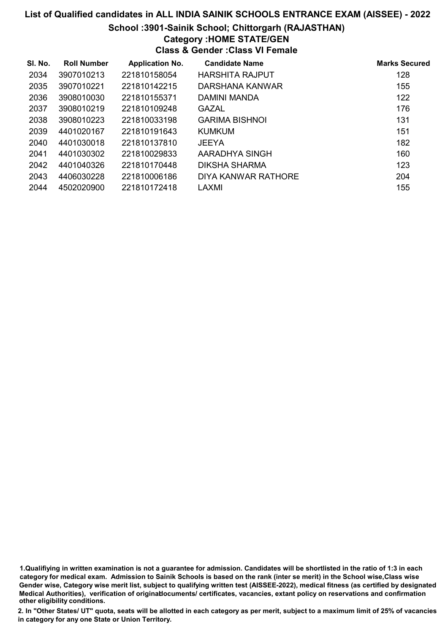#### School :3901-Sainik School; Chittorgarh (RAJASTHAN)

## Category :HOME STATE/GEN

Class & Gender :Class VI Female

| SI. No. | <b>Roll Number</b> | <b>Application No.</b> | <b>Candidate Name</b>  | <b>Marks Secured</b> |
|---------|--------------------|------------------------|------------------------|----------------------|
| 2034    | 3907010213         | 221810158054           | <b>HARSHITA RAJPUT</b> | 128                  |
| 2035    | 3907010221         | 221810142215           | DARSHANA KANWAR        | 155                  |
| 2036    | 3908010030         | 221810155371           | DAMINI MANDA           | 122                  |
| 2037    | 3908010219         | 221810109248           | <b>GAZAL</b>           | 176                  |
| 2038    | 3908010223         | 221810033198           | <b>GARIMA BISHNOI</b>  | 131                  |
| 2039    | 4401020167         | 221810191643           | KUMKUM                 | 151                  |
| 2040    | 4401030018         | 221810137810           | <b>JEEYA</b>           | 182                  |
| 2041    | 4401030302         | 221810029833           | AARADHYA SINGH         | 160                  |
| 2042    | 4401040326         | 221810170448           | DIKSHA SHARMA          | 123                  |
| 2043    | 4406030228         | 221810006186           | DIYA KANWAR RATHORE    | 204                  |
| 2044    | 4502020900         | 221810172418           | <b>LAXMI</b>           | 155                  |

1.Qualifiying in written examination is not a guarantee for admission. Candidates will be shortlisted in the ratio of 1:3 in each category for medical exam. Admission to Sainik Schools is based on the rank (inter se merit) in the School wise,Class wise Gender wise, Category wise merit list, subject to qualifying written test (AISSEE-2022), medical fitness (as certified by designated Medical Authorities), verification of originablocuments/ certificates, vacancies, extant policy on reservations and confirmation other eligibility conditions.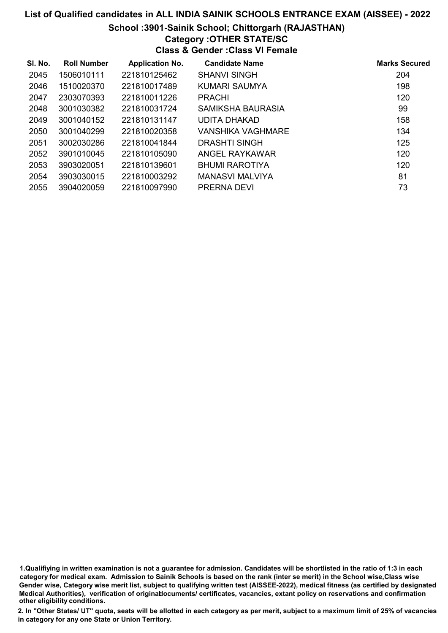### School :3901-Sainik School; Chittorgarh (RAJASTHAN)

## Category :OTHER STATE/SC

Class & Gender :Class VI Female

| SI. No. | <b>Roll Number</b> | <b>Application No.</b> | <b>Candidate Name</b> | <b>Marks Secured</b> |
|---------|--------------------|------------------------|-----------------------|----------------------|
| 2045    | 1506010111         | 221810125462           | <b>SHANVI SINGH</b>   | 204                  |
| 2046    | 1510020370         | 221810017489           | KUMARI SAUMYA         | 198                  |
| 2047    | 2303070393         | 221810011226           | <b>PRACHI</b>         | 120                  |
| 2048    | 3001030382         | 221810031724           | SAMIKSHA BAURASIA     | 99                   |
| 2049    | 3001040152         | 221810131147           | UDITA DHAKAD          | 158                  |
| 2050    | 3001040299         | 221810020358           | VANSHIKA VAGHMARE     | 134                  |
| 2051    | 3002030286         | 221810041844           | DRASHTI SINGH         | 125                  |
| 2052    | 3901010045         | 221810105090           | ANGEL RAYKAWAR        | 120                  |
| 2053    | 3903020051         | 221810139601           | <b>BHUMI RAROTIYA</b> | 120                  |
| 2054    | 3903030015         | 221810003292           | MANASVI MALVIYA       | 81                   |
| 2055    | 3904020059         | 221810097990           | <b>PRERNA DEVI</b>    | 73                   |

1.Qualifiying in written examination is not a guarantee for admission. Candidates will be shortlisted in the ratio of 1:3 in each category for medical exam. Admission to Sainik Schools is based on the rank (inter se merit) in the School wise,Class wise Gender wise, Category wise merit list, subject to qualifying written test (AISSEE-2022), medical fitness (as certified by designated Medical Authorities), verification of originablocuments/ certificates, vacancies, extant policy on reservations and confirmation other eligibility conditions.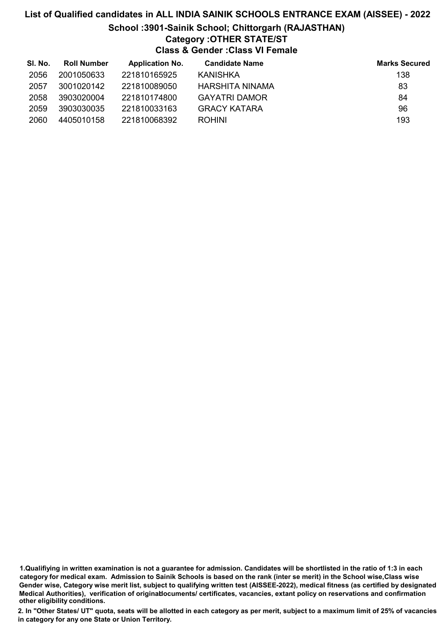# List of Qualified candidates in ALL INDIA SAINIK SCHOOLS ENTRANCE EXAM (AISSEE) - 2022 School :3901-Sainik School; Chittorgarh (RAJASTHAN) Category :OTHER STATE/ST Class & Gender :Class VI Female

| SI. No. | <b>Roll Number</b> | <b>Application No.</b> | <b>Candidate Name</b> | <b>Marks Secured</b> |
|---------|--------------------|------------------------|-----------------------|----------------------|
| 2056    | 2001050633         | 221810165925           | KANISHKA              | 138                  |
| 2057    | 3001020142         | 221810089050           | HARSHITA NINAMA       | 83                   |
| 2058    | 3903020004         | 221810174800           | <b>GAYATRI DAMOR</b>  | 84                   |
| 2059    | 3903030035         | 221810033163           | <b>GRACY KATARA</b>   | 96                   |
| 2060    | 4405010158         | 221810068392           | <b>ROHINI</b>         | 193                  |

1.Qualifiying in written examination is not a guarantee for admission. Candidates will be shortlisted in the ratio of 1:3 in each category for medical exam. Admission to Sainik Schools is based on the rank (inter se merit) in the School wise,Class wise Gender wise, Category wise merit list, subject to qualifying written test (AISSEE-2022), medical fitness (as certified by designated Medical Authorities), verification of originablocuments/ certificates, vacancies, extant policy on reservations and confirmation other eligibility conditions.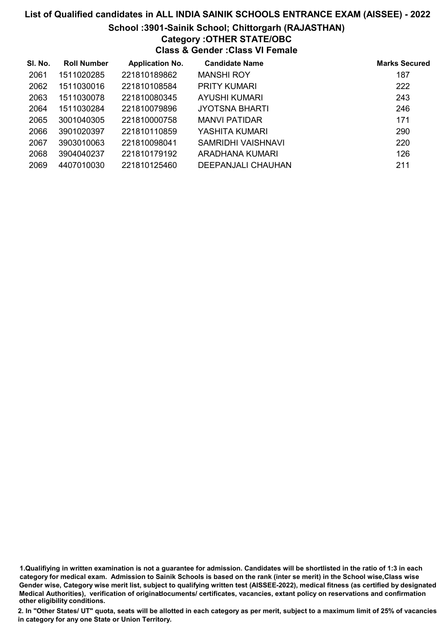## School :3901-Sainik School; Chittorgarh (RAJASTHAN)

## Category :OTHER STATE/OBC

Class & Gender :Class VI Female

| SI. No. | <b>Roll Number</b> | <b>Application No.</b> | <b>Candidate Name</b> | <b>Marks Secured</b> |
|---------|--------------------|------------------------|-----------------------|----------------------|
| 2061    | 1511020285         | 221810189862           | <b>MANSHI ROY</b>     | 187                  |
| 2062    | 1511030016         | 221810108584           | <b>PRITY KUMARI</b>   | 222                  |
| 2063    | 1511030078         | 221810080345           | AYUSHI KUMARI         | 243                  |
| 2064    | 1511030284         | 221810079896           | JYOTSNA BHARTI        | 246                  |
| 2065    | 3001040305         | 221810000758           | <b>MANVI PATIDAR</b>  | 171                  |
| 2066    | 3901020397         | 221810110859           | YASHITA KUMARI        | 290                  |
| 2067    | 3903010063         | 221810098041           | SAMRIDHI VAISHNAVI    | 220                  |
| 2068    | 3904040237         | 221810179192           | ARADHANA KUMARI       | 126                  |
| 2069    | 4407010030         | 221810125460           | DEEPANJALI CHAUHAN    | 211                  |

1.Qualifiying in written examination is not a guarantee for admission. Candidates will be shortlisted in the ratio of 1:3 in each category for medical exam. Admission to Sainik Schools is based on the rank (inter se merit) in the School wise,Class wise Gender wise, Category wise merit list, subject to qualifying written test (AISSEE-2022), medical fitness (as certified by designated Medical Authorities), verification of originablocuments/ certificates, vacancies, extant policy on reservations and confirmation other eligibility conditions.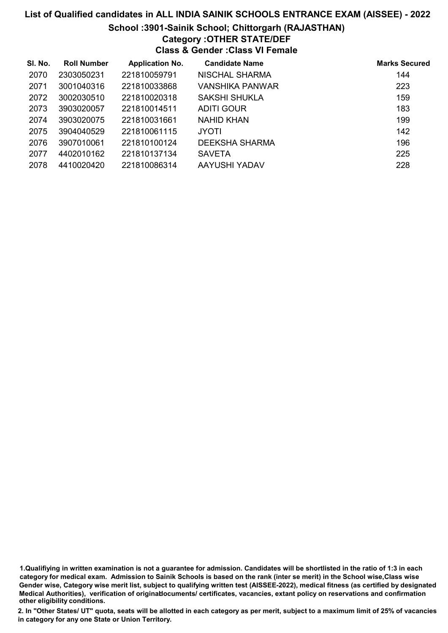#### School :3901-Sainik School; Chittorgarh (RAJASTHAN)

## Category :OTHER STATE/DEF

Class & Gender :Class VI Female

| SI. No. | <b>Roll Number</b> | <b>Application No.</b> | <b>Candidate Name</b> | <b>Marks Secured</b> |
|---------|--------------------|------------------------|-----------------------|----------------------|
| 2070    | 2303050231         | 221810059791           | <b>NISCHAL SHARMA</b> | 144                  |
| 2071    | 3001040316         | 221810033868           | VANSHIKA PANWAR       | 223                  |
| 2072    | 3002030510         | 221810020318           | SAKSHI SHUKLA         | 159                  |
| 2073    | 3903020057         | 221810014511           | <b>ADITI GOUR</b>     | 183                  |
| 2074    | 3903020075         | 221810031661           | NAHID KHAN            | 199                  |
| 2075    | 3904040529         | 221810061115           | <b>JYOTI</b>          | 142                  |
| 2076    | 3907010061         | 221810100124           | <b>DEEKSHA SHARMA</b> | 196                  |
| 2077    | 4402010162         | 221810137134           | <b>SAVETA</b>         | 225                  |
| 2078    | 4410020420         | 221810086314           | AAYUSHI YADAV         | 228                  |

1.Qualifiying in written examination is not a guarantee for admission. Candidates will be shortlisted in the ratio of 1:3 in each category for medical exam. Admission to Sainik Schools is based on the rank (inter se merit) in the School wise,Class wise Gender wise, Category wise merit list, subject to qualifying written test (AISSEE-2022), medical fitness (as certified by designated Medical Authorities), verification of originablocuments/ certificates, vacancies, extant policy on reservations and confirmation other eligibility conditions.